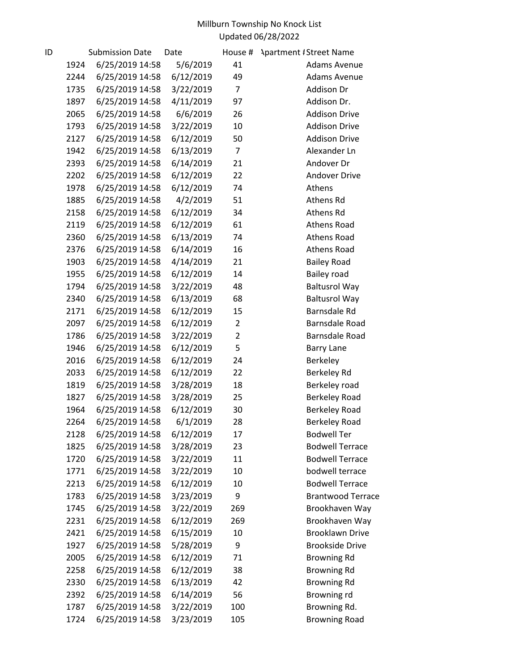| ID |      | <b>Submission Date</b> | Date      | House #        | <b>Apartment #Street Name</b> |
|----|------|------------------------|-----------|----------------|-------------------------------|
|    | 1924 | 6/25/2019 14:58        | 5/6/2019  | 41             | <b>Adams Avenue</b>           |
|    | 2244 | 6/25/2019 14:58        | 6/12/2019 | 49             | <b>Adams Avenue</b>           |
|    | 1735 | 6/25/2019 14:58        | 3/22/2019 | $\overline{7}$ | Addison Dr                    |
|    | 1897 | 6/25/2019 14:58        | 4/11/2019 | 97             | Addison Dr.                   |
|    | 2065 | 6/25/2019 14:58        | 6/6/2019  | 26             | <b>Addison Drive</b>          |
|    | 1793 | 6/25/2019 14:58        | 3/22/2019 | 10             | <b>Addison Drive</b>          |
|    | 2127 | 6/25/2019 14:58        | 6/12/2019 | 50             | <b>Addison Drive</b>          |
|    | 1942 | 6/25/2019 14:58        | 6/13/2019 | $\overline{7}$ | Alexander Ln                  |
|    | 2393 | 6/25/2019 14:58        | 6/14/2019 | 21             | Andover Dr                    |
|    | 2202 | 6/25/2019 14:58        | 6/12/2019 | 22             | <b>Andover Drive</b>          |
|    | 1978 | 6/25/2019 14:58        | 6/12/2019 | 74             | Athens                        |
|    | 1885 | 6/25/2019 14:58        | 4/2/2019  | 51             | Athens Rd                     |
|    | 2158 | 6/25/2019 14:58        | 6/12/2019 | 34             | Athens Rd                     |
|    | 2119 | 6/25/2019 14:58        | 6/12/2019 | 61             | <b>Athens Road</b>            |
|    | 2360 | 6/25/2019 14:58        | 6/13/2019 | 74             | Athens Road                   |
|    | 2376 | 6/25/2019 14:58        | 6/14/2019 | 16             | <b>Athens Road</b>            |
|    | 1903 | 6/25/2019 14:58        | 4/14/2019 | 21             | <b>Bailey Road</b>            |
|    | 1955 | 6/25/2019 14:58        | 6/12/2019 | 14             | Bailey road                   |
|    | 1794 | 6/25/2019 14:58        | 3/22/2019 | 48             | <b>Baltusrol Way</b>          |
|    | 2340 | 6/25/2019 14:58        | 6/13/2019 | 68             | <b>Baltusrol Way</b>          |
|    | 2171 | 6/25/2019 14:58        | 6/12/2019 | 15             | Barnsdale Rd                  |
|    | 2097 | 6/25/2019 14:58        | 6/12/2019 | $\overline{2}$ | Barnsdale Road                |
|    | 1786 | 6/25/2019 14:58        | 3/22/2019 | $\overline{2}$ | Barnsdale Road                |
|    | 1946 | 6/25/2019 14:58        | 6/12/2019 | 5              | <b>Barry Lane</b>             |
|    | 2016 | 6/25/2019 14:58        | 6/12/2019 | 24             | Berkeley                      |
|    | 2033 | 6/25/2019 14:58        | 6/12/2019 | 22             | Berkeley Rd                   |
|    | 1819 | 6/25/2019 14:58        | 3/28/2019 | 18             | Berkeley road                 |
|    | 1827 | 6/25/2019 14:58        | 3/28/2019 | 25             | Berkeley Road                 |
|    | 1964 | 6/25/2019 14:58        | 6/12/2019 | 30             | <b>Berkeley Road</b>          |
|    | 2264 | 6/25/2019 14:58        | 6/1/2019  | 28             | <b>Berkeley Road</b>          |
|    | 2128 | 6/25/2019 14:58        | 6/12/2019 | 17             | <b>Bodwell Ter</b>            |
|    | 1825 | 6/25/2019 14:58        | 3/28/2019 | 23             | <b>Bodwell Terrace</b>        |
|    | 1720 | 6/25/2019 14:58        | 3/22/2019 | 11             | <b>Bodwell Terrace</b>        |
|    | 1771 | 6/25/2019 14:58        | 3/22/2019 | 10             | bodwell terrace               |
|    | 2213 | 6/25/2019 14:58        | 6/12/2019 | 10             | <b>Bodwell Terrace</b>        |
|    | 1783 | 6/25/2019 14:58        | 3/23/2019 | 9              | <b>Brantwood Terrace</b>      |
|    | 1745 | 6/25/2019 14:58        | 3/22/2019 | 269            | Brookhaven Way                |
|    | 2231 | 6/25/2019 14:58        | 6/12/2019 | 269            | Brookhaven Way                |
|    | 2421 | 6/25/2019 14:58        | 6/15/2019 | 10             | <b>Brooklawn Drive</b>        |
|    | 1927 | 6/25/2019 14:58        | 5/28/2019 | 9              | <b>Brookside Drive</b>        |
|    | 2005 | 6/25/2019 14:58        | 6/12/2019 | 71             | <b>Browning Rd</b>            |
|    | 2258 | 6/25/2019 14:58        | 6/12/2019 | 38             | <b>Browning Rd</b>            |
|    | 2330 | 6/25/2019 14:58        | 6/13/2019 | 42             | <b>Browning Rd</b>            |
|    | 2392 | 6/25/2019 14:58        | 6/14/2019 | 56             | Browning rd                   |
|    | 1787 | 6/25/2019 14:58        | 3/22/2019 | 100            | Browning Rd.                  |
|    | 1724 | 6/25/2019 14:58        | 3/23/2019 | 105            | <b>Browning Road</b>          |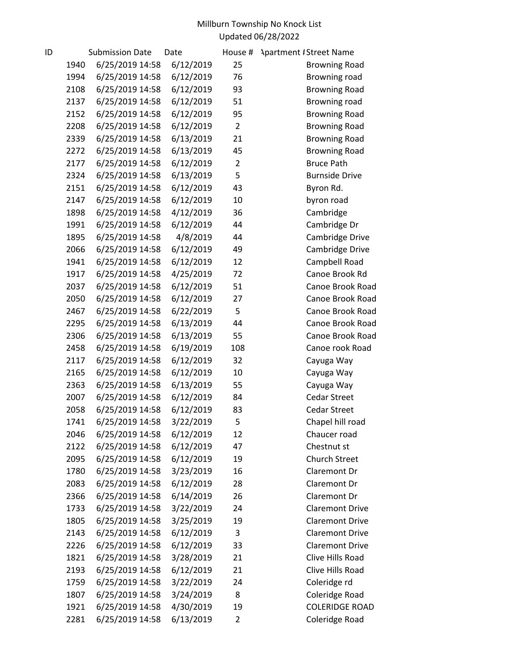| ID |      | <b>Submission Date</b> | Date      | House #        | <b>Apartment #Street Name</b> |
|----|------|------------------------|-----------|----------------|-------------------------------|
|    | 1940 | 6/25/2019 14:58        | 6/12/2019 | 25             | <b>Browning Road</b>          |
|    | 1994 | 6/25/2019 14:58        | 6/12/2019 | 76             | Browning road                 |
|    | 2108 | 6/25/2019 14:58        | 6/12/2019 | 93             | <b>Browning Road</b>          |
|    | 2137 | 6/25/2019 14:58        | 6/12/2019 | 51             | Browning road                 |
|    | 2152 | 6/25/2019 14:58        | 6/12/2019 | 95             | <b>Browning Road</b>          |
|    | 2208 | 6/25/2019 14:58        | 6/12/2019 | $\overline{2}$ | <b>Browning Road</b>          |
|    | 2339 | 6/25/2019 14:58        | 6/13/2019 | 21             | <b>Browning Road</b>          |
|    | 2272 | 6/25/2019 14:58        | 6/13/2019 | 45             | <b>Browning Road</b>          |
|    | 2177 | 6/25/2019 14:58        | 6/12/2019 | $\overline{2}$ | <b>Bruce Path</b>             |
|    | 2324 | 6/25/2019 14:58        | 6/13/2019 | 5              | <b>Burnside Drive</b>         |
|    | 2151 | 6/25/2019 14:58        | 6/12/2019 | 43             | Byron Rd.                     |
|    | 2147 | 6/25/2019 14:58        | 6/12/2019 | 10             | byron road                    |
|    | 1898 | 6/25/2019 14:58        | 4/12/2019 | 36             | Cambridge                     |
|    | 1991 | 6/25/2019 14:58        | 6/12/2019 | 44             | Cambridge Dr                  |
|    | 1895 | 6/25/2019 14:58        | 4/8/2019  | 44             | Cambridge Drive               |
|    | 2066 | 6/25/2019 14:58        | 6/12/2019 | 49             | Cambridge Drive               |
|    | 1941 | 6/25/2019 14:58        | 6/12/2019 | 12             | Campbell Road                 |
|    | 1917 | 6/25/2019 14:58        | 4/25/2019 | 72             | Canoe Brook Rd                |
|    | 2037 | 6/25/2019 14:58        | 6/12/2019 | 51             | Canoe Brook Road              |
|    | 2050 | 6/25/2019 14:58        | 6/12/2019 | 27             | Canoe Brook Road              |
|    | 2467 | 6/25/2019 14:58        | 6/22/2019 | 5              | Canoe Brook Road              |
|    | 2295 | 6/25/2019 14:58        | 6/13/2019 | 44             | Canoe Brook Road              |
|    | 2306 | 6/25/2019 14:58        | 6/13/2019 | 55             | Canoe Brook Road              |
|    | 2458 | 6/25/2019 14:58        | 6/19/2019 | 108            | Canoe rook Road               |
|    | 2117 | 6/25/2019 14:58        | 6/12/2019 | 32             | Cayuga Way                    |
|    | 2165 | 6/25/2019 14:58        | 6/12/2019 | 10             | Cayuga Way                    |
|    | 2363 | 6/25/2019 14:58        | 6/13/2019 | 55             | Cayuga Way                    |
|    | 2007 | 6/25/2019 14:58        | 6/12/2019 | 84             | Cedar Street                  |
|    | 2058 | 6/25/2019 14:58        | 6/12/2019 | 83             | Cedar Street                  |
|    | 1741 | 6/25/2019 14:58        | 3/22/2019 | 5              | Chapel hill road              |
|    | 2046 | 6/25/2019 14:58        | 6/12/2019 | 12             | Chaucer road                  |
|    | 2122 | 6/25/2019 14:58        | 6/12/2019 | 47             | Chestnut st                   |
|    | 2095 | 6/25/2019 14:58        | 6/12/2019 | 19             | Church Street                 |
|    | 1780 | 6/25/2019 14:58        | 3/23/2019 | 16             | Claremont Dr                  |
|    | 2083 | 6/25/2019 14:58        | 6/12/2019 | 28             | Claremont Dr                  |
|    | 2366 | 6/25/2019 14:58        | 6/14/2019 | 26             | Claremont Dr                  |
|    | 1733 | 6/25/2019 14:58        | 3/22/2019 | 24             | <b>Claremont Drive</b>        |
|    | 1805 | 6/25/2019 14:58        | 3/25/2019 | 19             | <b>Claremont Drive</b>        |
|    | 2143 | 6/25/2019 14:58        | 6/12/2019 | 3              | <b>Claremont Drive</b>        |
|    | 2226 | 6/25/2019 14:58        | 6/12/2019 | 33             | <b>Claremont Drive</b>        |
|    | 1821 | 6/25/2019 14:58        | 3/28/2019 | 21             | Clive Hills Road              |
|    | 2193 | 6/25/2019 14:58        | 6/12/2019 | 21             | Clive Hills Road              |
|    | 1759 | 6/25/2019 14:58        | 3/22/2019 | 24             | Coleridge rd                  |
|    | 1807 | 6/25/2019 14:58        | 3/24/2019 | 8              | Coleridge Road                |
|    | 1921 | 6/25/2019 14:58        | 4/30/2019 | 19             | <b>COLERIDGE ROAD</b>         |
|    | 2281 | 6/25/2019 14:58        | 6/13/2019 | $\overline{2}$ | Coleridge Road                |
|    |      |                        |           |                |                               |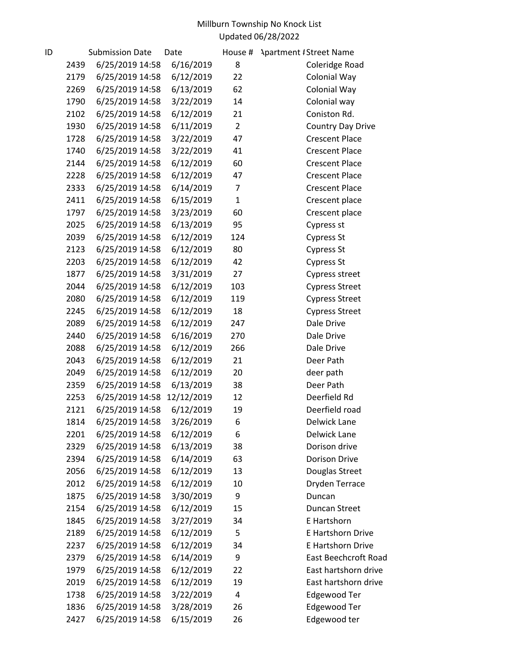| ID |      | <b>Submission Date</b> | Date       | House #        | <b>Apartment #Street Name</b> |
|----|------|------------------------|------------|----------------|-------------------------------|
|    | 2439 | 6/25/2019 14:58        | 6/16/2019  | 8              | Coleridge Road                |
|    | 2179 | 6/25/2019 14:58        | 6/12/2019  | 22             | Colonial Way                  |
|    | 2269 | 6/25/2019 14:58        | 6/13/2019  | 62             | Colonial Way                  |
|    | 1790 | 6/25/2019 14:58        | 3/22/2019  | 14             | Colonial way                  |
|    | 2102 | 6/25/2019 14:58        | 6/12/2019  | 21             | Coniston Rd.                  |
|    | 1930 | 6/25/2019 14:58        | 6/11/2019  | $\overline{2}$ | Country Day Drive             |
|    | 1728 | 6/25/2019 14:58        | 3/22/2019  | 47             | <b>Crescent Place</b>         |
|    | 1740 | 6/25/2019 14:58        | 3/22/2019  | 41             | <b>Crescent Place</b>         |
|    | 2144 | 6/25/2019 14:58        | 6/12/2019  | 60             | <b>Crescent Place</b>         |
|    | 2228 | 6/25/2019 14:58        | 6/12/2019  | 47             | <b>Crescent Place</b>         |
|    | 2333 | 6/25/2019 14:58        | 6/14/2019  | $\overline{7}$ | <b>Crescent Place</b>         |
|    | 2411 | 6/25/2019 14:58        | 6/15/2019  | $\mathbf{1}$   | Crescent place                |
|    | 1797 | 6/25/2019 14:58        | 3/23/2019  | 60             | Crescent place                |
|    | 2025 | 6/25/2019 14:58        | 6/13/2019  | 95             | Cypress st                    |
|    | 2039 | 6/25/2019 14:58        | 6/12/2019  | 124            | Cypress St                    |
|    | 2123 | 6/25/2019 14:58        | 6/12/2019  | 80             | Cypress St                    |
|    | 2203 | 6/25/2019 14:58        | 6/12/2019  | 42             | Cypress St                    |
|    | 1877 | 6/25/2019 14:58        | 3/31/2019  | 27             | Cypress street                |
|    | 2044 | 6/25/2019 14:58        | 6/12/2019  | 103            | <b>Cypress Street</b>         |
|    | 2080 | 6/25/2019 14:58        | 6/12/2019  | 119            | <b>Cypress Street</b>         |
|    | 2245 | 6/25/2019 14:58        | 6/12/2019  | 18             | <b>Cypress Street</b>         |
|    | 2089 | 6/25/2019 14:58        | 6/12/2019  | 247            | Dale Drive                    |
|    | 2440 | 6/25/2019 14:58        | 6/16/2019  | 270            | Dale Drive                    |
|    | 2088 | 6/25/2019 14:58        | 6/12/2019  | 266            | Dale Drive                    |
|    | 2043 | 6/25/2019 14:58        | 6/12/2019  | 21             | Deer Path                     |
|    | 2049 | 6/25/2019 14:58        | 6/12/2019  | 20             | deer path                     |
|    | 2359 | 6/25/2019 14:58        | 6/13/2019  | 38             | Deer Path                     |
|    | 2253 | 6/25/2019 14:58        | 12/12/2019 | 12             | Deerfield Rd                  |
|    | 2121 | 6/25/2019 14:58        | 6/12/2019  | 19             | Deerfield road                |
|    | 1814 | 6/25/2019 14:58        | 3/26/2019  | 6              | Delwick Lane                  |
|    | 2201 | 6/25/2019 14:58        | 6/12/2019  | 6              | Delwick Lane                  |
|    | 2329 | 6/25/2019 14:58        | 6/13/2019  | 38             | Dorison drive                 |
|    | 2394 | 6/25/2019 14:58        | 6/14/2019  | 63             | Dorison Drive                 |
|    | 2056 | 6/25/2019 14:58        | 6/12/2019  | 13             | Douglas Street                |
|    | 2012 | 6/25/2019 14:58        | 6/12/2019  | 10             | Dryden Terrace                |
|    | 1875 | 6/25/2019 14:58        | 3/30/2019  | 9              | Duncan                        |
|    | 2154 | 6/25/2019 14:58        | 6/12/2019  | 15             | Duncan Street                 |
|    | 1845 | 6/25/2019 14:58        | 3/27/2019  | 34             | E Hartshorn                   |
|    | 2189 | 6/25/2019 14:58        | 6/12/2019  | 5              | E Hartshorn Drive             |
|    | 2237 | 6/25/2019 14:58        | 6/12/2019  | 34             | E Hartshorn Drive             |
|    | 2379 | 6/25/2019 14:58        | 6/14/2019  | 9              | <b>East Beechcroft Road</b>   |
|    | 1979 | 6/25/2019 14:58        | 6/12/2019  | 22             | East hartshorn drive          |
|    | 2019 | 6/25/2019 14:58        | 6/12/2019  | 19             | East hartshorn drive          |
|    | 1738 | 6/25/2019 14:58        | 3/22/2019  | 4              | Edgewood Ter                  |
|    | 1836 | 6/25/2019 14:58        | 3/28/2019  | 26             | Edgewood Ter                  |
|    | 2427 | 6/25/2019 14:58        | 6/15/2019  | 26             | Edgewood ter                  |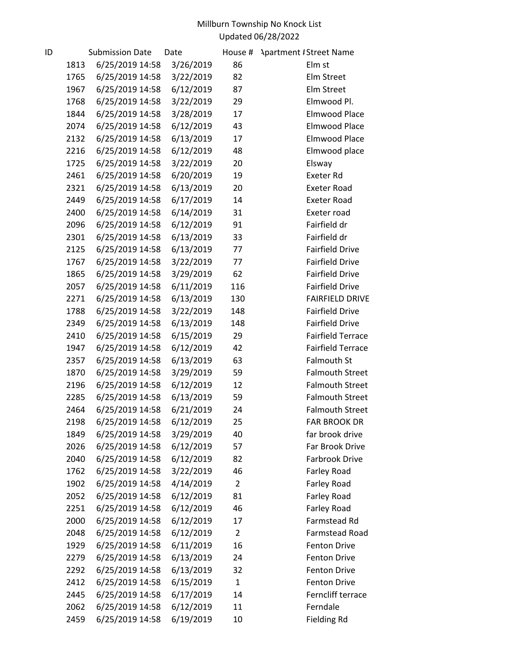| ID |      | <b>Submission Date</b> | Date      | House #        | <b>Apartment #Street Name</b> |
|----|------|------------------------|-----------|----------------|-------------------------------|
|    | 1813 | 6/25/2019 14:58        | 3/26/2019 | 86             | Elm st                        |
|    | 1765 | 6/25/2019 14:58        | 3/22/2019 | 82             | <b>Elm Street</b>             |
|    | 1967 | 6/25/2019 14:58        | 6/12/2019 | 87             | Elm Street                    |
|    | 1768 | 6/25/2019 14:58        | 3/22/2019 | 29             | Elmwood Pl.                   |
|    | 1844 | 6/25/2019 14:58        | 3/28/2019 | 17             | <b>Elmwood Place</b>          |
|    | 2074 | 6/25/2019 14:58        | 6/12/2019 | 43             | <b>Elmwood Place</b>          |
|    | 2132 | 6/25/2019 14:58        | 6/13/2019 | 17             | Elmwood Place                 |
|    | 2216 | 6/25/2019 14:58        | 6/12/2019 | 48             | Elmwood place                 |
|    | 1725 | 6/25/2019 14:58        | 3/22/2019 | 20             | Elsway                        |
|    | 2461 | 6/25/2019 14:58        | 6/20/2019 | 19             | <b>Exeter Rd</b>              |
|    | 2321 | 6/25/2019 14:58        | 6/13/2019 | 20             | <b>Exeter Road</b>            |
|    | 2449 | 6/25/2019 14:58        | 6/17/2019 | 14             | <b>Exeter Road</b>            |
|    | 2400 | 6/25/2019 14:58        | 6/14/2019 | 31             | Exeter road                   |
|    | 2096 | 6/25/2019 14:58        | 6/12/2019 | 91             | Fairfield dr                  |
|    | 2301 | 6/25/2019 14:58        | 6/13/2019 | 33             | Fairfield dr                  |
|    | 2125 | 6/25/2019 14:58        | 6/13/2019 | 77             | <b>Fairfield Drive</b>        |
|    | 1767 | 6/25/2019 14:58        | 3/22/2019 | 77             | <b>Fairfield Drive</b>        |
|    | 1865 | 6/25/2019 14:58        | 3/29/2019 | 62             | <b>Fairfield Drive</b>        |
|    | 2057 | 6/25/2019 14:58        | 6/11/2019 | 116            | <b>Fairfield Drive</b>        |
|    | 2271 | 6/25/2019 14:58        | 6/13/2019 | 130            | <b>FAIRFIELD DRIVE</b>        |
|    | 1788 | 6/25/2019 14:58        | 3/22/2019 | 148            | <b>Fairfield Drive</b>        |
|    | 2349 | 6/25/2019 14:58        | 6/13/2019 | 148            | <b>Fairfield Drive</b>        |
|    | 2410 | 6/25/2019 14:58        | 6/15/2019 | 29             | <b>Fairfield Terrace</b>      |
|    | 1947 | 6/25/2019 14:58        | 6/12/2019 | 42             | <b>Fairfield Terrace</b>      |
|    | 2357 | 6/25/2019 14:58        | 6/13/2019 | 63             | <b>Falmouth St</b>            |
|    | 1870 | 6/25/2019 14:58        | 3/29/2019 | 59             | <b>Falmouth Street</b>        |
|    | 2196 | 6/25/2019 14:58        | 6/12/2019 | 12             | <b>Falmouth Street</b>        |
|    | 2285 | 6/25/2019 14:58        | 6/13/2019 | 59             | <b>Falmouth Street</b>        |
|    | 2464 | 6/25/2019 14:58        | 6/21/2019 | 24             | <b>Falmouth Street</b>        |
|    | 2198 | 6/25/2019 14:58        | 6/12/2019 | 25             | <b>FAR BROOK DR</b>           |
|    | 1849 | 6/25/2019 14:58        | 3/29/2019 | 40             | far brook drive               |
|    | 2026 | 6/25/2019 14:58        | 6/12/2019 | 57             | Far Brook Drive               |
|    | 2040 | 6/25/2019 14:58        | 6/12/2019 | 82             | Farbrook Drive                |
|    | 1762 | 6/25/2019 14:58        | 3/22/2019 | 46             | Farley Road                   |
|    | 1902 | 6/25/2019 14:58        | 4/14/2019 | $\overline{2}$ | Farley Road                   |
|    | 2052 | 6/25/2019 14:58        | 6/12/2019 | 81             | Farley Road                   |
|    | 2251 | 6/25/2019 14:58        | 6/12/2019 | 46             | Farley Road                   |
|    | 2000 | 6/25/2019 14:58        | 6/12/2019 | 17             | Farmstead Rd                  |
|    | 2048 | 6/25/2019 14:58        | 6/12/2019 | $\overline{2}$ | <b>Farmstead Road</b>         |
|    | 1929 | 6/25/2019 14:58        | 6/11/2019 | 16             | <b>Fenton Drive</b>           |
|    | 2279 | 6/25/2019 14:58        | 6/13/2019 | 24             | <b>Fenton Drive</b>           |
|    | 2292 | 6/25/2019 14:58        | 6/13/2019 | 32             | <b>Fenton Drive</b>           |
|    | 2412 | 6/25/2019 14:58        | 6/15/2019 | $\mathbf{1}$   | <b>Fenton Drive</b>           |
|    | 2445 | 6/25/2019 14:58        | 6/17/2019 | 14             | Ferncliff terrace             |
|    | 2062 | 6/25/2019 14:58        | 6/12/2019 | 11             | Ferndale                      |
|    | 2459 | 6/25/2019 14:58        | 6/19/2019 | 10             | <b>Fielding Rd</b>            |
|    |      |                        |           |                |                               |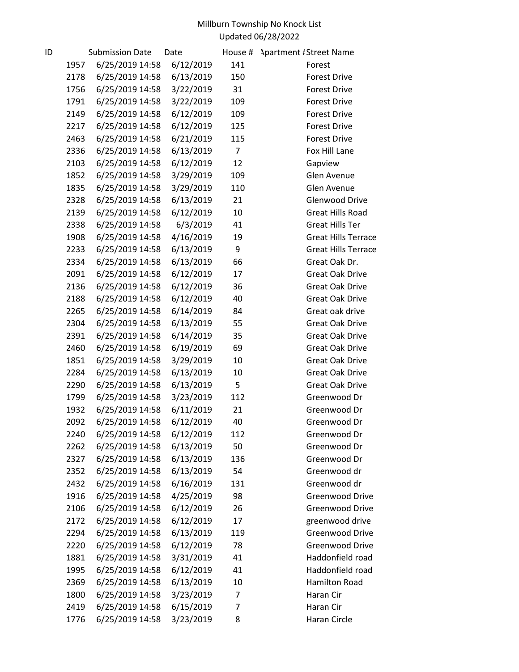| ID |      | <b>Submission Date</b> | Date      | House #        | <b>Apartment #Street Name</b> |
|----|------|------------------------|-----------|----------------|-------------------------------|
|    | 1957 | 6/25/2019 14:58        | 6/12/2019 | 141            | Forest                        |
|    | 2178 | 6/25/2019 14:58        | 6/13/2019 | 150            | <b>Forest Drive</b>           |
|    | 1756 | 6/25/2019 14:58        | 3/22/2019 | 31             | <b>Forest Drive</b>           |
|    | 1791 | 6/25/2019 14:58        | 3/22/2019 | 109            | <b>Forest Drive</b>           |
|    | 2149 | 6/25/2019 14:58        | 6/12/2019 | 109            | <b>Forest Drive</b>           |
|    | 2217 | 6/25/2019 14:58        | 6/12/2019 | 125            | <b>Forest Drive</b>           |
|    | 2463 | 6/25/2019 14:58        | 6/21/2019 | 115            | <b>Forest Drive</b>           |
|    | 2336 | 6/25/2019 14:58        | 6/13/2019 | $\overline{7}$ | Fox Hill Lane                 |
|    | 2103 | 6/25/2019 14:58        | 6/12/2019 | 12             | Gapview                       |
|    | 1852 | 6/25/2019 14:58        | 3/29/2019 | 109            | Glen Avenue                   |
|    | 1835 | 6/25/2019 14:58        | 3/29/2019 | 110            | Glen Avenue                   |
|    | 2328 | 6/25/2019 14:58        | 6/13/2019 | 21             | <b>Glenwood Drive</b>         |
|    | 2139 | 6/25/2019 14:58        | 6/12/2019 | 10             | <b>Great Hills Road</b>       |
|    | 2338 | 6/25/2019 14:58        | 6/3/2019  | 41             | <b>Great Hills Ter</b>        |
|    | 1908 | 6/25/2019 14:58        | 4/16/2019 | 19             | <b>Great Hills Terrace</b>    |
|    | 2233 | 6/25/2019 14:58        | 6/13/2019 | 9              | <b>Great Hills Terrace</b>    |
|    | 2334 | 6/25/2019 14:58        | 6/13/2019 | 66             | Great Oak Dr.                 |
|    | 2091 | 6/25/2019 14:58        | 6/12/2019 | 17             | <b>Great Oak Drive</b>        |
|    | 2136 | 6/25/2019 14:58        | 6/12/2019 | 36             | <b>Great Oak Drive</b>        |
|    | 2188 | 6/25/2019 14:58        | 6/12/2019 | 40             | <b>Great Oak Drive</b>        |
|    | 2265 | 6/25/2019 14:58        | 6/14/2019 | 84             | Great oak drive               |
|    | 2304 | 6/25/2019 14:58        | 6/13/2019 | 55             | <b>Great Oak Drive</b>        |
|    | 2391 | 6/25/2019 14:58        | 6/14/2019 | 35             | <b>Great Oak Drive</b>        |
|    | 2460 | 6/25/2019 14:58        | 6/19/2019 | 69             | <b>Great Oak Drive</b>        |
|    | 1851 | 6/25/2019 14:58        | 3/29/2019 | 10             | <b>Great Oak Drive</b>        |
|    | 2284 | 6/25/2019 14:58        | 6/13/2019 | 10             | Great Oak Drive               |
|    | 2290 | 6/25/2019 14:58        | 6/13/2019 | 5              | Great Oak Drive               |
|    | 1799 | 6/25/2019 14:58        | 3/23/2019 | 112            | Greenwood Dr                  |
|    | 1932 | 6/25/2019 14:58        | 6/11/2019 | 21             | Greenwood Dr                  |
|    | 2092 | 6/25/2019 14:58        | 6/12/2019 | 40             | Greenwood Dr                  |
|    | 2240 | 6/25/2019 14:58        | 6/12/2019 | 112            | Greenwood Dr                  |
|    | 2262 | 6/25/2019 14:58        | 6/13/2019 | 50             | Greenwood Dr                  |
|    | 2327 | 6/25/2019 14:58        | 6/13/2019 | 136            | Greenwood Dr                  |
|    | 2352 | 6/25/2019 14:58        | 6/13/2019 | 54             | Greenwood dr                  |
|    | 2432 | 6/25/2019 14:58        | 6/16/2019 | 131            | Greenwood dr                  |
|    | 1916 | 6/25/2019 14:58        | 4/25/2019 | 98             | Greenwood Drive               |
|    | 2106 | 6/25/2019 14:58        | 6/12/2019 | 26             | <b>Greenwood Drive</b>        |
|    | 2172 | 6/25/2019 14:58        | 6/12/2019 | 17             | greenwood drive               |
|    | 2294 | 6/25/2019 14:58        | 6/13/2019 | 119            | Greenwood Drive               |
|    | 2220 | 6/25/2019 14:58        | 6/12/2019 | 78             | Greenwood Drive               |
|    | 1881 | 6/25/2019 14:58        | 3/31/2019 | 41             | Haddonfield road              |
|    | 1995 | 6/25/2019 14:58        | 6/12/2019 | 41             | Haddonfield road              |
|    | 2369 | 6/25/2019 14:58        | 6/13/2019 | 10             | <b>Hamilton Road</b>          |
|    | 1800 | 6/25/2019 14:58        | 3/23/2019 | 7              | Haran Cir                     |
|    | 2419 | 6/25/2019 14:58        | 6/15/2019 | 7              | Haran Cir                     |
|    | 1776 | 6/25/2019 14:58        | 3/23/2019 | 8              | Haran Circle                  |
|    |      |                        |           |                |                               |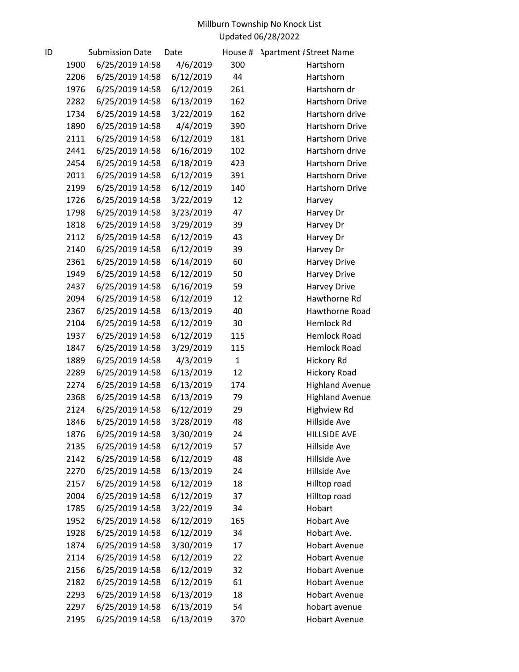| ID |      | <b>Submission Date</b> | Date      | House #      | <b>Apartment #Street Name</b> |
|----|------|------------------------|-----------|--------------|-------------------------------|
|    | 1900 | 6/25/2019 14:58        | 4/6/2019  | 300          | Hartshorn                     |
|    | 2206 | 6/25/2019 14:58        | 6/12/2019 | 44           | Hartshorn                     |
|    | 1976 | 6/25/2019 14:58        | 6/12/2019 | 261          | Hartshorn dr                  |
|    | 2282 | 6/25/2019 14:58        | 6/13/2019 | 162          | Hartshorn Drive               |
|    | 1734 | 6/25/2019 14:58        | 3/22/2019 | 162          | Hartshorn drive               |
|    | 1890 | 6/25/2019 14:58        | 4/4/2019  | 390          | Hartshorn Drive               |
|    | 2111 | 6/25/2019 14:58        | 6/12/2019 | 181          | Hartshorn Drive               |
|    | 2441 | 6/25/2019 14:58        | 6/16/2019 | 102          | Hartshorn drive               |
|    | 2454 | 6/25/2019 14:58        | 6/18/2019 | 423          | Hartshorn Drive               |
|    | 2011 | 6/25/2019 14:58        | 6/12/2019 | 391          | Hartshorn Drive               |
|    | 2199 | 6/25/2019 14:58        | 6/12/2019 | 140          | Hartshorn Drive               |
|    | 1726 | 6/25/2019 14:58        | 3/22/2019 | 12           | Harvey                        |
|    | 1798 | 6/25/2019 14:58        | 3/23/2019 | 47           | Harvey Dr                     |
|    | 1818 | 6/25/2019 14:58        | 3/29/2019 | 39           | Harvey Dr                     |
|    | 2112 | 6/25/2019 14:58        | 6/12/2019 | 43           | Harvey Dr                     |
|    | 2140 | 6/25/2019 14:58        | 6/12/2019 | 39           | Harvey Dr                     |
|    | 2361 | 6/25/2019 14:58        | 6/14/2019 | 60           | <b>Harvey Drive</b>           |
|    | 1949 | 6/25/2019 14:58        | 6/12/2019 | 50           | <b>Harvey Drive</b>           |
|    | 2437 | 6/25/2019 14:58        | 6/16/2019 | 59           | Harvey Drive                  |
|    | 2094 | 6/25/2019 14:58        | 6/12/2019 | 12           | Hawthorne Rd                  |
|    | 2367 | 6/25/2019 14:58        | 6/13/2019 | 40           | Hawthorne Road                |
|    | 2104 | 6/25/2019 14:58        | 6/12/2019 | 30           | Hemlock Rd                    |
|    | 1937 | 6/25/2019 14:58        | 6/12/2019 | 115          | <b>Hemlock Road</b>           |
|    | 1847 | 6/25/2019 14:58        | 3/29/2019 | 115          | <b>Hemlock Road</b>           |
|    | 1889 | 6/25/2019 14:58        | 4/3/2019  | $\mathbf{1}$ | Hickory Rd                    |
|    | 2289 | 6/25/2019 14:58        | 6/13/2019 | 12           | <b>Hickory Road</b>           |
|    | 2274 | 6/25/2019 14:58        | 6/13/2019 | 174          | <b>Highland Avenue</b>        |
|    | 2368 | 6/25/2019 14:58        | 6/13/2019 | 79           | <b>Highland Avenue</b>        |
|    | 2124 | 6/25/2019 14:58        | 6/12/2019 | 29           | <b>Highview Rd</b>            |
|    | 1846 | 6/25/2019 14:58        | 3/28/2019 | 48           | Hillside Ave                  |
|    | 1876 | 6/25/2019 14:58        | 3/30/2019 | 24           | <b>HILLSIDE AVE</b>           |
|    | 2135 | 6/25/2019 14:58        | 6/12/2019 | 57           | Hillside Ave                  |
|    | 2142 | 6/25/2019 14:58        | 6/12/2019 | 48           | Hillside Ave                  |
|    | 2270 | 6/25/2019 14:58        | 6/13/2019 | 24           | Hillside Ave                  |
|    | 2157 | 6/25/2019 14:58        | 6/12/2019 | 18           | Hilltop road                  |
|    | 2004 | 6/25/2019 14:58        | 6/12/2019 | 37           | Hilltop road                  |
|    | 1785 | 6/25/2019 14:58        | 3/22/2019 | 34           | Hobart                        |
|    | 1952 | 6/25/2019 14:58        | 6/12/2019 | 165          | <b>Hobart Ave</b>             |
|    | 1928 | 6/25/2019 14:58        | 6/12/2019 | 34           | Hobart Ave.                   |
|    | 1874 | 6/25/2019 14:58        | 3/30/2019 | 17           | <b>Hobart Avenue</b>          |
|    | 2114 | 6/25/2019 14:58        | 6/12/2019 | 22           | <b>Hobart Avenue</b>          |
|    | 2156 | 6/25/2019 14:58        | 6/12/2019 | 32           | <b>Hobart Avenue</b>          |
|    | 2182 | 6/25/2019 14:58        | 6/12/2019 | 61           | <b>Hobart Avenue</b>          |
|    | 2293 | 6/25/2019 14:58        | 6/13/2019 | 18           | <b>Hobart Avenue</b>          |
|    | 2297 | 6/25/2019 14:58        | 6/13/2019 | 54           | hobart avenue                 |
|    | 2195 | 6/25/2019 14:58        | 6/13/2019 | 370          | <b>Hobart Avenue</b>          |
|    |      |                        |           |              |                               |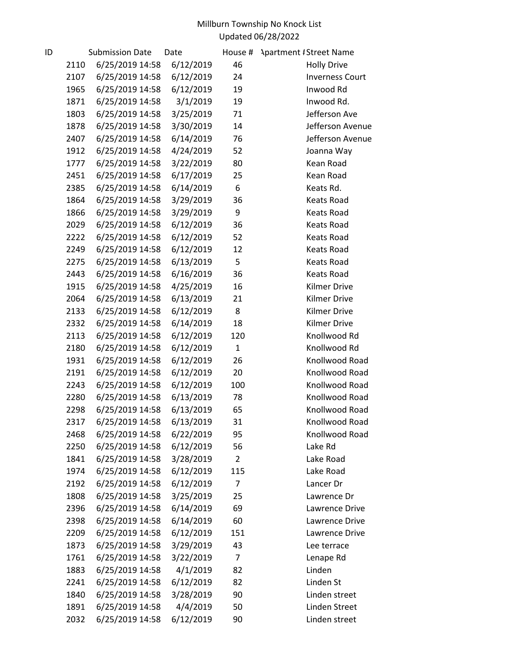| ID |      | <b>Submission Date</b> | Date      | House #        | <b>Apartment #Street Name</b> |
|----|------|------------------------|-----------|----------------|-------------------------------|
|    | 2110 | 6/25/2019 14:58        | 6/12/2019 | 46             | <b>Holly Drive</b>            |
|    | 2107 | 6/25/2019 14:58        | 6/12/2019 | 24             | <b>Inverness Court</b>        |
|    | 1965 | 6/25/2019 14:58        | 6/12/2019 | 19             | Inwood Rd                     |
|    | 1871 | 6/25/2019 14:58        | 3/1/2019  | 19             | Inwood Rd.                    |
|    | 1803 | 6/25/2019 14:58        | 3/25/2019 | 71             | Jefferson Ave                 |
|    | 1878 | 6/25/2019 14:58        | 3/30/2019 | 14             | Jefferson Avenue              |
|    | 2407 | 6/25/2019 14:58        | 6/14/2019 | 76             | Jefferson Avenue              |
|    | 1912 | 6/25/2019 14:58        | 4/24/2019 | 52             | Joanna Way                    |
|    | 1777 | 6/25/2019 14:58        | 3/22/2019 | 80             | Kean Road                     |
|    | 2451 | 6/25/2019 14:58        | 6/17/2019 | 25             | Kean Road                     |
|    | 2385 | 6/25/2019 14:58        | 6/14/2019 | 6              | Keats Rd.                     |
|    | 1864 | 6/25/2019 14:58        | 3/29/2019 | 36             | <b>Keats Road</b>             |
|    | 1866 | 6/25/2019 14:58        | 3/29/2019 | 9              | <b>Keats Road</b>             |
|    | 2029 | 6/25/2019 14:58        | 6/12/2019 | 36             | <b>Keats Road</b>             |
|    | 2222 | 6/25/2019 14:58        | 6/12/2019 | 52             | Keats Road                    |
|    | 2249 | 6/25/2019 14:58        | 6/12/2019 | 12             | <b>Keats Road</b>             |
|    | 2275 | 6/25/2019 14:58        | 6/13/2019 | 5              | <b>Keats Road</b>             |
|    | 2443 | 6/25/2019 14:58        | 6/16/2019 | 36             | <b>Keats Road</b>             |
|    | 1915 | 6/25/2019 14:58        | 4/25/2019 | 16             | <b>Kilmer Drive</b>           |
|    | 2064 | 6/25/2019 14:58        | 6/13/2019 | 21             | <b>Kilmer Drive</b>           |
|    | 2133 | 6/25/2019 14:58        | 6/12/2019 | 8              | <b>Kilmer Drive</b>           |
|    | 2332 | 6/25/2019 14:58        | 6/14/2019 | 18             | <b>Kilmer Drive</b>           |
|    | 2113 | 6/25/2019 14:58        | 6/12/2019 | 120            | Knollwood Rd                  |
|    | 2180 | 6/25/2019 14:58        | 6/12/2019 | $\mathbf{1}$   | Knollwood Rd                  |
|    | 1931 | 6/25/2019 14:58        | 6/12/2019 | 26             | Knollwood Road                |
|    | 2191 | 6/25/2019 14:58        | 6/12/2019 | 20             | Knollwood Road                |
|    | 2243 | 6/25/2019 14:58        | 6/12/2019 | 100            | Knollwood Road                |
|    | 2280 | 6/25/2019 14:58        | 6/13/2019 | 78             | Knollwood Road                |
|    | 2298 | 6/25/2019 14:58        | 6/13/2019 | 65             | Knollwood Road                |
|    | 2317 | 6/25/2019 14:58        | 6/13/2019 | 31             | Knollwood Road                |
|    | 2468 | 6/25/2019 14:58        | 6/22/2019 | 95             | Knollwood Road                |
|    | 2250 | 6/25/2019 14:58        | 6/12/2019 | 56             | Lake Rd                       |
|    | 1841 | 6/25/2019 14:58        | 3/28/2019 | $\overline{2}$ | Lake Road                     |
|    | 1974 | 6/25/2019 14:58        | 6/12/2019 | 115            | Lake Road                     |
|    | 2192 | 6/25/2019 14:58        | 6/12/2019 | 7              | Lancer Dr                     |
|    | 1808 | 6/25/2019 14:58        | 3/25/2019 | 25             | Lawrence Dr                   |
|    | 2396 | 6/25/2019 14:58        | 6/14/2019 | 69             | Lawrence Drive                |
|    | 2398 | 6/25/2019 14:58        | 6/14/2019 | 60             | Lawrence Drive                |
|    | 2209 | 6/25/2019 14:58        | 6/12/2019 | 151            | Lawrence Drive                |
|    | 1873 | 6/25/2019 14:58        | 3/29/2019 | 43             | Lee terrace                   |
|    | 1761 | 6/25/2019 14:58        | 3/22/2019 | 7              | Lenape Rd                     |
|    | 1883 | 6/25/2019 14:58        | 4/1/2019  | 82             | Linden                        |
|    | 2241 | 6/25/2019 14:58        | 6/12/2019 | 82             | Linden St                     |
|    | 1840 | 6/25/2019 14:58        | 3/28/2019 | 90             | Linden street                 |
|    | 1891 | 6/25/2019 14:58        | 4/4/2019  | 50             | Linden Street                 |
|    | 2032 | 6/25/2019 14:58        | 6/12/2019 | 90             | Linden street                 |
|    |      |                        |           |                |                               |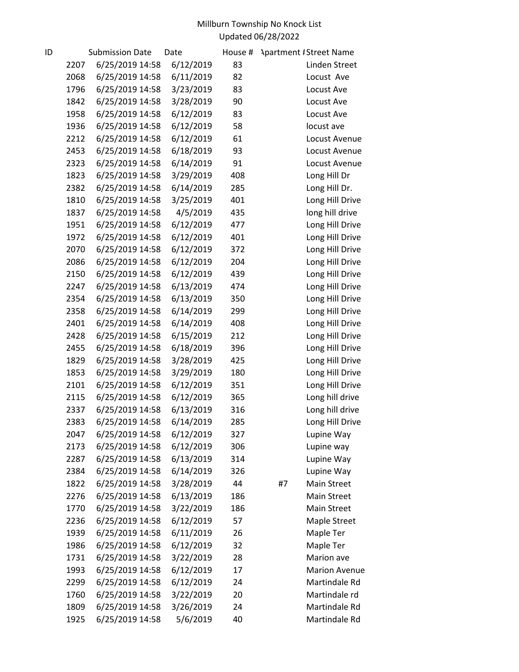| ID |      | <b>Submission Date</b> | Date      | House # | <b>Apartment #Street Name</b> |
|----|------|------------------------|-----------|---------|-------------------------------|
|    | 2207 | 6/25/2019 14:58        | 6/12/2019 | 83      | Linden Street                 |
|    | 2068 | 6/25/2019 14:58        | 6/11/2019 | 82      | Locust Ave                    |
|    | 1796 | 6/25/2019 14:58        | 3/23/2019 | 83      | Locust Ave                    |
|    | 1842 | 6/25/2019 14:58        | 3/28/2019 | 90      | Locust Ave                    |
|    | 1958 | 6/25/2019 14:58        | 6/12/2019 | 83      | Locust Ave                    |
|    | 1936 | 6/25/2019 14:58        | 6/12/2019 | 58      | locust ave                    |
|    | 2212 | 6/25/2019 14:58        | 6/12/2019 | 61      | Locust Avenue                 |
|    | 2453 | 6/25/2019 14:58        | 6/18/2019 | 93      | Locust Avenue                 |
|    | 2323 | 6/25/2019 14:58        | 6/14/2019 | 91      | Locust Avenue                 |
|    | 1823 | 6/25/2019 14:58        | 3/29/2019 | 408     | Long Hill Dr                  |
|    | 2382 | 6/25/2019 14:58        | 6/14/2019 | 285     | Long Hill Dr.                 |
|    | 1810 | 6/25/2019 14:58        | 3/25/2019 | 401     | Long Hill Drive               |
|    | 1837 | 6/25/2019 14:58        | 4/5/2019  | 435     | long hill drive               |
|    | 1951 | 6/25/2019 14:58        | 6/12/2019 | 477     | Long Hill Drive               |
|    | 1972 | 6/25/2019 14:58        | 6/12/2019 | 401     | Long Hill Drive               |
|    | 2070 | 6/25/2019 14:58        | 6/12/2019 | 372     | Long Hill Drive               |
|    | 2086 | 6/25/2019 14:58        | 6/12/2019 | 204     | Long Hill Drive               |
|    | 2150 | 6/25/2019 14:58        | 6/12/2019 | 439     | Long Hill Drive               |
|    | 2247 | 6/25/2019 14:58        | 6/13/2019 | 474     | Long Hill Drive               |
|    | 2354 | 6/25/2019 14:58        | 6/13/2019 | 350     | Long Hill Drive               |
|    | 2358 | 6/25/2019 14:58        | 6/14/2019 | 299     | Long Hill Drive               |
|    | 2401 | 6/25/2019 14:58        | 6/14/2019 | 408     | Long Hill Drive               |
|    | 2428 | 6/25/2019 14:58        | 6/15/2019 | 212     | Long Hill Drive               |
|    | 2455 | 6/25/2019 14:58        | 6/18/2019 | 396     | Long Hill Drive               |
|    | 1829 | 6/25/2019 14:58        | 3/28/2019 | 425     | Long Hill Drive               |
|    | 1853 | 6/25/2019 14:58        | 3/29/2019 | 180     | Long Hill Drive               |
|    | 2101 | 6/25/2019 14:58        | 6/12/2019 | 351     | Long Hill Drive               |
|    | 2115 | 6/25/2019 14:58        | 6/12/2019 | 365     | Long hill drive               |
|    | 2337 | 6/25/2019 14:58        | 6/13/2019 | 316     | Long hill drive               |
|    | 2383 | 6/25/2019 14:58        | 6/14/2019 | 285     | Long Hill Drive               |
|    | 2047 | 6/25/2019 14:58        | 6/12/2019 | 327     | Lupine Way                    |
|    | 2173 | 6/25/2019 14:58        | 6/12/2019 | 306     | Lupine way                    |
|    | 2287 | 6/25/2019 14:58        | 6/13/2019 | 314     | Lupine Way                    |
|    | 2384 | 6/25/2019 14:58        | 6/14/2019 | 326     | Lupine Way                    |
|    | 1822 | 6/25/2019 14:58        | 3/28/2019 | 44      | Main Street<br>#7             |
|    | 2276 | 6/25/2019 14:58        | 6/13/2019 | 186     | Main Street                   |
|    | 1770 | 6/25/2019 14:58        | 3/22/2019 | 186     | Main Street                   |
|    | 2236 | 6/25/2019 14:58        | 6/12/2019 | 57      | Maple Street                  |
|    | 1939 | 6/25/2019 14:58        | 6/11/2019 | 26      | Maple Ter                     |
|    | 1986 | 6/25/2019 14:58        | 6/12/2019 | 32      | Maple Ter                     |
|    | 1731 | 6/25/2019 14:58        | 3/22/2019 | 28      | Marion ave                    |
|    | 1993 | 6/25/2019 14:58        | 6/12/2019 | 17      | <b>Marion Avenue</b>          |
|    | 2299 | 6/25/2019 14:58        | 6/12/2019 | 24      | Martindale Rd                 |
|    | 1760 | 6/25/2019 14:58        | 3/22/2019 | 20      | Martindale rd                 |
|    | 1809 | 6/25/2019 14:58        | 3/26/2019 | 24      | Martindale Rd                 |
|    | 1925 | 6/25/2019 14:58        | 5/6/2019  | 40      | Martindale Rd                 |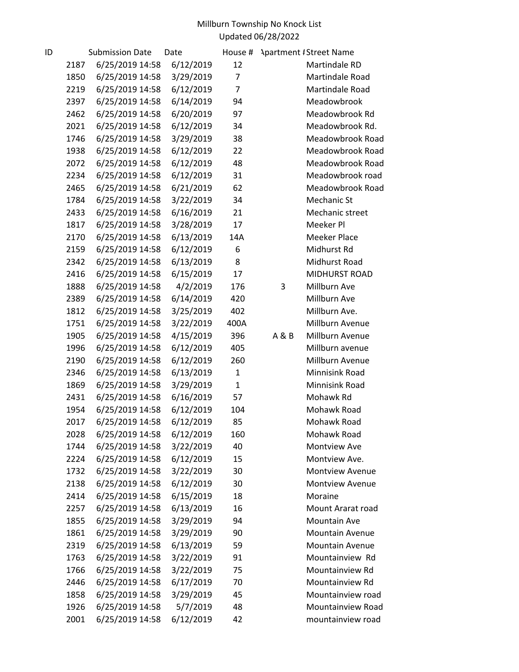| ID |      | <b>Submission Date</b> | Date      | House #      |       | <b>Apartment #Street Name</b> |
|----|------|------------------------|-----------|--------------|-------|-------------------------------|
|    | 2187 | 6/25/2019 14:58        | 6/12/2019 | 12           |       | Martindale RD                 |
|    | 1850 | 6/25/2019 14:58        | 3/29/2019 | 7            |       | Martindale Road               |
|    | 2219 | 6/25/2019 14:58        | 6/12/2019 | 7            |       | Martindale Road               |
|    | 2397 | 6/25/2019 14:58        | 6/14/2019 | 94           |       | Meadowbrook                   |
|    | 2462 | 6/25/2019 14:58        | 6/20/2019 | 97           |       | Meadowbrook Rd                |
|    | 2021 | 6/25/2019 14:58        | 6/12/2019 | 34           |       | Meadowbrook Rd.               |
|    | 1746 | 6/25/2019 14:58        | 3/29/2019 | 38           |       | Meadowbrook Road              |
|    | 1938 | 6/25/2019 14:58        | 6/12/2019 | 22           |       | Meadowbrook Road              |
|    | 2072 | 6/25/2019 14:58        | 6/12/2019 | 48           |       | Meadowbrook Road              |
|    | 2234 | 6/25/2019 14:58        | 6/12/2019 | 31           |       | Meadowbrook road              |
|    | 2465 | 6/25/2019 14:58        | 6/21/2019 | 62           |       | Meadowbrook Road              |
|    | 1784 | 6/25/2019 14:58        | 3/22/2019 | 34           |       | Mechanic St                   |
|    | 2433 | 6/25/2019 14:58        | 6/16/2019 | 21           |       | Mechanic street               |
|    | 1817 | 6/25/2019 14:58        | 3/28/2019 | 17           |       | Meeker Pl                     |
|    | 2170 | 6/25/2019 14:58        | 6/13/2019 | 14A          |       | <b>Meeker Place</b>           |
|    | 2159 | 6/25/2019 14:58        | 6/12/2019 | 6            |       | Midhurst Rd                   |
|    | 2342 | 6/25/2019 14:58        | 6/13/2019 | 8            |       | Midhurst Road                 |
|    | 2416 | 6/25/2019 14:58        | 6/15/2019 | 17           |       | MIDHURST ROAD                 |
|    | 1888 | 6/25/2019 14:58        | 4/2/2019  | 176          | 3     | Millburn Ave                  |
|    | 2389 | 6/25/2019 14:58        | 6/14/2019 | 420          |       | Millburn Ave                  |
|    | 1812 | 6/25/2019 14:58        | 3/25/2019 | 402          |       | Millburn Ave.                 |
|    | 1751 | 6/25/2019 14:58        | 3/22/2019 | 400A         |       | Millburn Avenue               |
|    | 1905 | 6/25/2019 14:58        | 4/15/2019 | 396          | A & B | Millburn Avenue               |
|    | 1996 | 6/25/2019 14:58        | 6/12/2019 | 405          |       | Millburn avenue               |
|    | 2190 | 6/25/2019 14:58        | 6/12/2019 | 260          |       | Millburn Avenue               |
|    | 2346 | 6/25/2019 14:58        | 6/13/2019 | $\mathbf{1}$ |       | Minnisink Road                |
|    | 1869 | 6/25/2019 14:58        | 3/29/2019 | $\mathbf{1}$ |       | Minnisink Road                |
|    | 2431 | 6/25/2019 14:58        | 6/16/2019 | 57           |       | Mohawk Rd                     |
|    | 1954 | 6/25/2019 14:58        | 6/12/2019 | 104          |       | Mohawk Road                   |
|    | 2017 | 6/25/2019 14:58        | 6/12/2019 | 85           |       | Mohawk Road                   |
|    | 2028 | 6/25/2019 14:58        | 6/12/2019 | 160          |       | Mohawk Road                   |
|    | 1744 | 6/25/2019 14:58        | 3/22/2019 | 40           |       | Montview Ave                  |
|    | 2224 | 6/25/2019 14:58        | 6/12/2019 | 15           |       | Montview Ave.                 |
|    | 1732 | 6/25/2019 14:58        | 3/22/2019 | 30           |       | <b>Montview Avenue</b>        |
|    | 2138 | 6/25/2019 14:58        | 6/12/2019 | 30           |       | <b>Montview Avenue</b>        |
|    | 2414 | 6/25/2019 14:58        | 6/15/2019 | 18           |       | Moraine                       |
|    | 2257 | 6/25/2019 14:58        | 6/13/2019 | 16           |       | Mount Ararat road             |
|    | 1855 | 6/25/2019 14:58        | 3/29/2019 | 94           |       | Mountain Ave                  |
|    | 1861 | 6/25/2019 14:58        | 3/29/2019 | 90           |       | <b>Mountain Avenue</b>        |
|    | 2319 | 6/25/2019 14:58        | 6/13/2019 | 59           |       | <b>Mountain Avenue</b>        |
|    | 1763 | 6/25/2019 14:58        | 3/22/2019 | 91           |       | Mountainview Rd               |
|    | 1766 | 6/25/2019 14:58        | 3/22/2019 | 75           |       | Mountainview Rd               |
|    | 2446 | 6/25/2019 14:58        | 6/17/2019 | 70           |       | Mountainview Rd               |
|    | 1858 | 6/25/2019 14:58        | 3/29/2019 | 45           |       | Mountainview road             |
|    | 1926 | 6/25/2019 14:58        | 5/7/2019  | 48           |       | Mountainview Road             |
|    | 2001 | 6/25/2019 14:58        | 6/12/2019 | 42           |       | mountainview road             |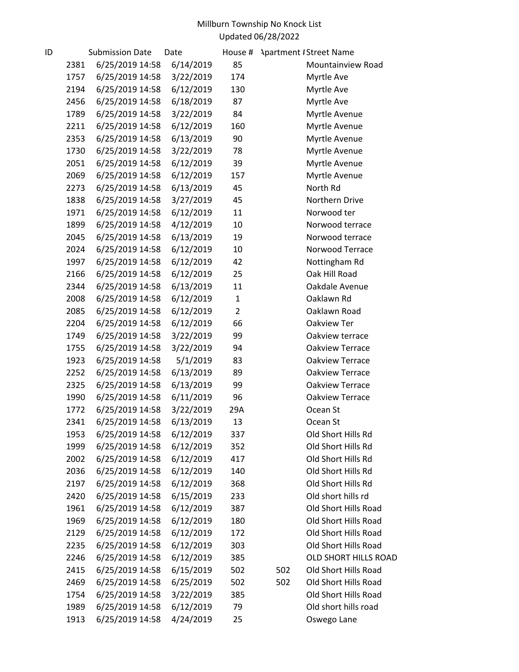| ID |      | <b>Submission Date</b> | Date      | House #        |     | <b>Apartment #Street Name</b> |
|----|------|------------------------|-----------|----------------|-----|-------------------------------|
|    | 2381 | 6/25/2019 14:58        | 6/14/2019 | 85             |     | Mountainview Road             |
|    | 1757 | 6/25/2019 14:58        | 3/22/2019 | 174            |     | Myrtle Ave                    |
|    | 2194 | 6/25/2019 14:58        | 6/12/2019 | 130            |     | Myrtle Ave                    |
|    | 2456 | 6/25/2019 14:58        | 6/18/2019 | 87             |     | Myrtle Ave                    |
|    | 1789 | 6/25/2019 14:58        | 3/22/2019 | 84             |     | Myrtle Avenue                 |
|    | 2211 | 6/25/2019 14:58        | 6/12/2019 | 160            |     | Myrtle Avenue                 |
|    | 2353 | 6/25/2019 14:58        | 6/13/2019 | 90             |     | Myrtle Avenue                 |
|    | 1730 | 6/25/2019 14:58        | 3/22/2019 | 78             |     | Myrtle Avenue                 |
|    | 2051 | 6/25/2019 14:58        | 6/12/2019 | 39             |     | Myrtle Avenue                 |
|    | 2069 | 6/25/2019 14:58        | 6/12/2019 | 157            |     | Myrtle Avenue                 |
|    | 2273 | 6/25/2019 14:58        | 6/13/2019 | 45             |     | North Rd                      |
|    | 1838 | 6/25/2019 14:58        | 3/27/2019 | 45             |     | Northern Drive                |
|    | 1971 | 6/25/2019 14:58        | 6/12/2019 | 11             |     | Norwood ter                   |
|    | 1899 | 6/25/2019 14:58        | 4/12/2019 | 10             |     | Norwood terrace               |
|    | 2045 | 6/25/2019 14:58        | 6/13/2019 | 19             |     | Norwood terrace               |
|    | 2024 | 6/25/2019 14:58        | 6/12/2019 | 10             |     | Norwood Terrace               |
|    | 1997 | 6/25/2019 14:58        | 6/12/2019 | 42             |     | Nottingham Rd                 |
|    | 2166 | 6/25/2019 14:58        | 6/12/2019 | 25             |     | Oak Hill Road                 |
|    | 2344 | 6/25/2019 14:58        | 6/13/2019 | 11             |     | Oakdale Avenue                |
|    | 2008 | 6/25/2019 14:58        | 6/12/2019 | $\mathbf{1}$   |     | Oaklawn Rd                    |
|    | 2085 | 6/25/2019 14:58        | 6/12/2019 | $\overline{2}$ |     | Oaklawn Road                  |
|    | 2204 | 6/25/2019 14:58        | 6/12/2019 | 66             |     | Oakview Ter                   |
|    | 1749 | 6/25/2019 14:58        | 3/22/2019 | 99             |     | Oakview terrace               |
|    | 1755 | 6/25/2019 14:58        | 3/22/2019 | 94             |     | Oakview Terrace               |
|    | 1923 | 6/25/2019 14:58        | 5/1/2019  | 83             |     | Oakview Terrace               |
|    | 2252 | 6/25/2019 14:58        | 6/13/2019 | 89             |     | Oakview Terrace               |
|    | 2325 | 6/25/2019 14:58        | 6/13/2019 | 99             |     | Oakview Terrace               |
|    | 1990 | 6/25/2019 14:58        | 6/11/2019 | 96             |     | Oakview Terrace               |
|    | 1772 | 6/25/2019 14:58        | 3/22/2019 | 29A            |     | Ocean St                      |
|    | 2341 | 6/25/2019 14:58        | 6/13/2019 | 13             |     | Ocean St                      |
|    | 1953 | 6/25/2019 14:58        | 6/12/2019 | 337            |     | Old Short Hills Rd            |
|    | 1999 | 6/25/2019 14:58        | 6/12/2019 | 352            |     | Old Short Hills Rd            |
|    | 2002 | 6/25/2019 14:58        | 6/12/2019 | 417            |     | Old Short Hills Rd            |
|    | 2036 | 6/25/2019 14:58        | 6/12/2019 | 140            |     | Old Short Hills Rd            |
|    | 2197 | 6/25/2019 14:58        | 6/12/2019 | 368            |     | Old Short Hills Rd            |
|    | 2420 | 6/25/2019 14:58        | 6/15/2019 | 233            |     | Old short hills rd            |
|    | 1961 | 6/25/2019 14:58        | 6/12/2019 | 387            |     | Old Short Hills Road          |
|    | 1969 | 6/25/2019 14:58        | 6/12/2019 | 180            |     | Old Short Hills Road          |
|    | 2129 | 6/25/2019 14:58        | 6/12/2019 | 172            |     | Old Short Hills Road          |
|    | 2235 | 6/25/2019 14:58        | 6/12/2019 | 303            |     | Old Short Hills Road          |
|    | 2246 | 6/25/2019 14:58        | 6/12/2019 | 385            |     | OLD SHORT HILLS ROAD          |
|    | 2415 | 6/25/2019 14:58        | 6/15/2019 | 502            | 502 | Old Short Hills Road          |
|    | 2469 | 6/25/2019 14:58        | 6/25/2019 | 502            | 502 | Old Short Hills Road          |
|    | 1754 | 6/25/2019 14:58        | 3/22/2019 | 385            |     | Old Short Hills Road          |
|    | 1989 | 6/25/2019 14:58        | 6/12/2019 | 79             |     | Old short hills road          |
|    | 1913 | 6/25/2019 14:58        | 4/24/2019 | 25             |     | Oswego Lane                   |
|    |      |                        |           |                |     |                               |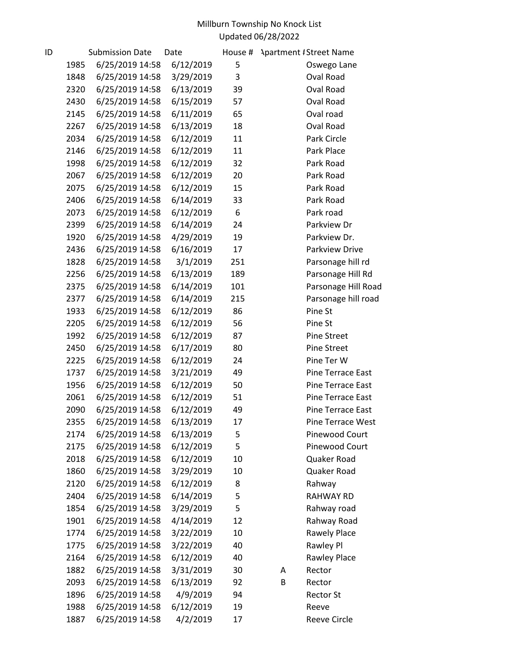| ID |      | <b>Submission Date</b> | Date      | House # | <b>Apartment / Street Name</b> |
|----|------|------------------------|-----------|---------|--------------------------------|
|    | 1985 | 6/25/2019 14:58        | 6/12/2019 | 5       | Oswego Lane                    |
|    | 1848 | 6/25/2019 14:58        | 3/29/2019 | 3       | Oval Road                      |
|    | 2320 | 6/25/2019 14:58        | 6/13/2019 | 39      | Oval Road                      |
|    | 2430 | 6/25/2019 14:58        | 6/15/2019 | 57      | Oval Road                      |
|    | 2145 | 6/25/2019 14:58        | 6/11/2019 | 65      | Oval road                      |
|    | 2267 | 6/25/2019 14:58        | 6/13/2019 | 18      | Oval Road                      |
|    | 2034 | 6/25/2019 14:58        | 6/12/2019 | 11      | Park Circle                    |
|    | 2146 | 6/25/2019 14:58        | 6/12/2019 | 11      | Park Place                     |
|    | 1998 | 6/25/2019 14:58        | 6/12/2019 | 32      | Park Road                      |
|    | 2067 | 6/25/2019 14:58        | 6/12/2019 | 20      | Park Road                      |
|    | 2075 | 6/25/2019 14:58        | 6/12/2019 | 15      | Park Road                      |
|    | 2406 | 6/25/2019 14:58        | 6/14/2019 | 33      | Park Road                      |
|    | 2073 | 6/25/2019 14:58        | 6/12/2019 | 6       | Park road                      |
|    | 2399 | 6/25/2019 14:58        | 6/14/2019 | 24      | Parkview Dr                    |
|    | 1920 | 6/25/2019 14:58        | 4/29/2019 | 19      | Parkview Dr.                   |
|    | 2436 | 6/25/2019 14:58        | 6/16/2019 | 17      | Parkview Drive                 |
|    | 1828 | 6/25/2019 14:58        | 3/1/2019  | 251     | Parsonage hill rd              |
|    | 2256 | 6/25/2019 14:58        | 6/13/2019 | 189     | Parsonage Hill Rd              |
|    | 2375 | 6/25/2019 14:58        | 6/14/2019 | 101     | Parsonage Hill Road            |
|    | 2377 | 6/25/2019 14:58        | 6/14/2019 | 215     | Parsonage hill road            |
|    | 1933 | 6/25/2019 14:58        | 6/12/2019 | 86      | Pine St                        |
|    | 2205 | 6/25/2019 14:58        | 6/12/2019 | 56      | Pine St                        |
|    | 1992 | 6/25/2019 14:58        | 6/12/2019 | 87      | <b>Pine Street</b>             |
|    | 2450 | 6/25/2019 14:58        | 6/17/2019 | 80      | <b>Pine Street</b>             |
|    | 2225 | 6/25/2019 14:58        | 6/12/2019 | 24      | Pine Ter W                     |
|    | 1737 | 6/25/2019 14:58        | 3/21/2019 | 49      | Pine Terrace East              |
|    | 1956 | 6/25/2019 14:58        | 6/12/2019 | 50      | Pine Terrace East              |
|    | 2061 | 6/25/2019 14:58        | 6/12/2019 | 51      | Pine Terrace East              |
|    | 2090 | 6/25/2019 14:58        | 6/12/2019 | 49      | Pine Terrace East              |
|    | 2355 | 6/25/2019 14:58        | 6/13/2019 | 17      | Pine Terrace West              |
|    | 2174 | 6/25/2019 14:58        | 6/13/2019 | 5       | Pinewood Court                 |
|    | 2175 | 6/25/2019 14:58        | 6/12/2019 | 5       | Pinewood Court                 |
|    | 2018 | 6/25/2019 14:58        | 6/12/2019 | 10      | Quaker Road                    |
|    | 1860 | 6/25/2019 14:58        | 3/29/2019 | 10      | Quaker Road                    |
|    | 2120 | 6/25/2019 14:58        | 6/12/2019 | 8       | Rahway                         |
|    | 2404 | 6/25/2019 14:58        | 6/14/2019 | 5       | <b>RAHWAY RD</b>               |
|    | 1854 | 6/25/2019 14:58        | 3/29/2019 | 5       | Rahway road                    |
|    | 1901 | 6/25/2019 14:58        | 4/14/2019 | 12      | Rahway Road                    |
|    | 1774 | 6/25/2019 14:58        | 3/22/2019 | 10      | Rawely Place                   |
|    | 1775 | 6/25/2019 14:58        | 3/22/2019 | 40      | Rawley Pl                      |
|    | 2164 | 6/25/2019 14:58        | 6/12/2019 | 40      | Rawley Place                   |
|    | 1882 | 6/25/2019 14:58        | 3/31/2019 | 30      | Rector<br>A                    |
|    | 2093 | 6/25/2019 14:58        | 6/13/2019 | 92      | B<br>Rector                    |
|    | 1896 | 6/25/2019 14:58        | 4/9/2019  | 94      | <b>Rector St</b>               |
|    | 1988 | 6/25/2019 14:58        | 6/12/2019 | 19      | Reeve                          |
|    | 1887 | 6/25/2019 14:58        | 4/2/2019  | 17      | Reeve Circle                   |
|    |      |                        |           |         |                                |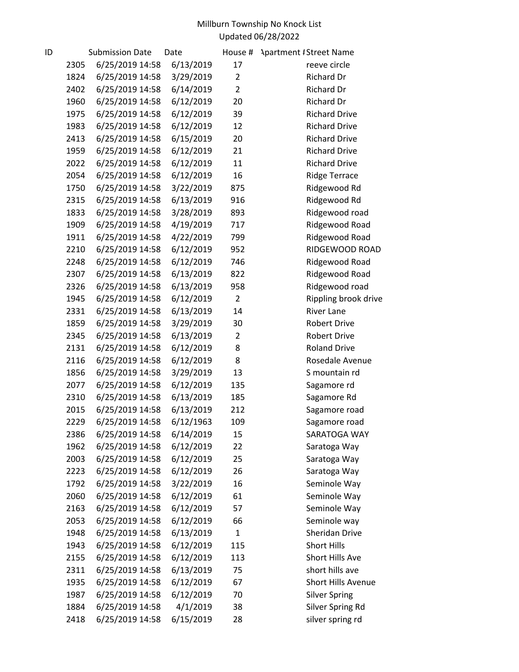| ID |      | <b>Submission Date</b> | Date      | House #        | <b>Apartment #Street Name</b> |
|----|------|------------------------|-----------|----------------|-------------------------------|
|    | 2305 | 6/25/2019 14:58        | 6/13/2019 | 17             | reeve circle                  |
|    | 1824 | 6/25/2019 14:58        | 3/29/2019 | $\overline{2}$ | Richard Dr                    |
|    | 2402 | 6/25/2019 14:58        | 6/14/2019 | $\overline{2}$ | <b>Richard Dr</b>             |
|    | 1960 | 6/25/2019 14:58        | 6/12/2019 | 20             | Richard Dr                    |
|    | 1975 | 6/25/2019 14:58        | 6/12/2019 | 39             | <b>Richard Drive</b>          |
|    | 1983 | 6/25/2019 14:58        | 6/12/2019 | 12             | <b>Richard Drive</b>          |
|    | 2413 | 6/25/2019 14:58        | 6/15/2019 | 20             | <b>Richard Drive</b>          |
|    | 1959 | 6/25/2019 14:58        | 6/12/2019 | 21             | <b>Richard Drive</b>          |
|    | 2022 | 6/25/2019 14:58        | 6/12/2019 | 11             | <b>Richard Drive</b>          |
|    | 2054 | 6/25/2019 14:58        | 6/12/2019 | 16             | <b>Ridge Terrace</b>          |
|    | 1750 | 6/25/2019 14:58        | 3/22/2019 | 875            | Ridgewood Rd                  |
|    | 2315 | 6/25/2019 14:58        | 6/13/2019 | 916            | Ridgewood Rd                  |
|    | 1833 | 6/25/2019 14:58        | 3/28/2019 | 893            | Ridgewood road                |
|    | 1909 | 6/25/2019 14:58        | 4/19/2019 | 717            | Ridgewood Road                |
|    | 1911 | 6/25/2019 14:58        | 4/22/2019 | 799            | Ridgewood Road                |
|    | 2210 | 6/25/2019 14:58        | 6/12/2019 | 952            | RIDGEWOOD ROAD                |
|    | 2248 | 6/25/2019 14:58        | 6/12/2019 | 746            | Ridgewood Road                |
|    | 2307 | 6/25/2019 14:58        | 6/13/2019 | 822            | Ridgewood Road                |
|    | 2326 | 6/25/2019 14:58        | 6/13/2019 | 958            | Ridgewood road                |
|    | 1945 | 6/25/2019 14:58        | 6/12/2019 | $\overline{2}$ | Rippling brook drive          |
|    | 2331 | 6/25/2019 14:58        | 6/13/2019 | 14             | <b>River Lane</b>             |
|    | 1859 | 6/25/2019 14:58        | 3/29/2019 | 30             | <b>Robert Drive</b>           |
|    | 2345 | 6/25/2019 14:58        | 6/13/2019 | $\overline{2}$ | <b>Robert Drive</b>           |
|    | 2131 | 6/25/2019 14:58        | 6/12/2019 | 8              | <b>Roland Drive</b>           |
|    | 2116 | 6/25/2019 14:58        | 6/12/2019 | 8              | Rosedale Avenue               |
|    | 1856 | 6/25/2019 14:58        | 3/29/2019 | 13             | S mountain rd                 |
|    | 2077 | 6/25/2019 14:58        | 6/12/2019 | 135            | Sagamore rd                   |
|    | 2310 | 6/25/2019 14:58        | 6/13/2019 | 185            | Sagamore Rd                   |
|    | 2015 | 6/25/2019 14:58        | 6/13/2019 | 212            | Sagamore road                 |
|    | 2229 | 6/25/2019 14:58        | 6/12/1963 | 109            | Sagamore road                 |
|    | 2386 | 6/25/2019 14:58        | 6/14/2019 | 15             | SARATOGA WAY                  |
|    | 1962 | 6/25/2019 14:58        | 6/12/2019 | 22             | Saratoga Way                  |
|    | 2003 | 6/25/2019 14:58        | 6/12/2019 | 25             | Saratoga Way                  |
|    | 2223 | 6/25/2019 14:58        | 6/12/2019 | 26             | Saratoga Way                  |
|    | 1792 | 6/25/2019 14:58        | 3/22/2019 | 16             | Seminole Way                  |
|    | 2060 | 6/25/2019 14:58        | 6/12/2019 | 61             | Seminole Way                  |
|    | 2163 | 6/25/2019 14:58        | 6/12/2019 | 57             | Seminole Way                  |
|    | 2053 | 6/25/2019 14:58        | 6/12/2019 | 66             | Seminole way                  |
|    | 1948 | 6/25/2019 14:58        | 6/13/2019 | 1              | Sheridan Drive                |
|    | 1943 | 6/25/2019 14:58        | 6/12/2019 | 115            | <b>Short Hills</b>            |
|    | 2155 | 6/25/2019 14:58        | 6/12/2019 | 113            | Short Hills Ave               |
|    | 2311 | 6/25/2019 14:58        | 6/13/2019 | 75             | short hills ave               |
|    | 1935 | 6/25/2019 14:58        | 6/12/2019 | 67             | <b>Short Hills Avenue</b>     |
|    | 1987 | 6/25/2019 14:58        | 6/12/2019 | 70             | <b>Silver Spring</b>          |
|    | 1884 | 6/25/2019 14:58        | 4/1/2019  | 38             | Silver Spring Rd              |
|    | 2418 | 6/25/2019 14:58        | 6/15/2019 | 28             | silver spring rd              |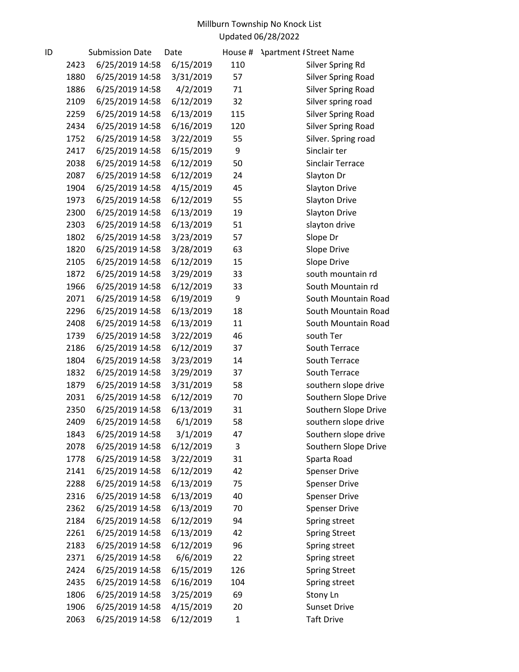| ID |      | <b>Submission Date</b> | Date      | House # | <b>Apartment #Street Name</b> |
|----|------|------------------------|-----------|---------|-------------------------------|
|    | 2423 | 6/25/2019 14:58        | 6/15/2019 | 110     | Silver Spring Rd              |
|    | 1880 | 6/25/2019 14:58        | 3/31/2019 | 57      | <b>Silver Spring Road</b>     |
|    | 1886 | 6/25/2019 14:58        | 4/2/2019  | 71      | <b>Silver Spring Road</b>     |
|    | 2109 | 6/25/2019 14:58        | 6/12/2019 | 32      | Silver spring road            |
|    | 2259 | 6/25/2019 14:58        | 6/13/2019 | 115     | <b>Silver Spring Road</b>     |
|    | 2434 | 6/25/2019 14:58        | 6/16/2019 | 120     | <b>Silver Spring Road</b>     |
|    | 1752 | 6/25/2019 14:58        | 3/22/2019 | 55      | Silver. Spring road           |
|    | 2417 | 6/25/2019 14:58        | 6/15/2019 | 9       | Sinclair ter                  |
|    | 2038 | 6/25/2019 14:58        | 6/12/2019 | 50      | <b>Sinclair Terrace</b>       |
|    | 2087 | 6/25/2019 14:58        | 6/12/2019 | 24      | Slayton Dr                    |
|    | 1904 | 6/25/2019 14:58        | 4/15/2019 | 45      | Slayton Drive                 |
|    | 1973 | 6/25/2019 14:58        | 6/12/2019 | 55      | Slayton Drive                 |
|    | 2300 | 6/25/2019 14:58        | 6/13/2019 | 19      | <b>Slayton Drive</b>          |
|    | 2303 | 6/25/2019 14:58        | 6/13/2019 | 51      | slayton drive                 |
|    | 1802 | 6/25/2019 14:58        | 3/23/2019 | 57      | Slope Dr                      |
|    | 1820 | 6/25/2019 14:58        | 3/28/2019 | 63      | Slope Drive                   |
|    | 2105 | 6/25/2019 14:58        | 6/12/2019 | 15      | Slope Drive                   |
|    | 1872 | 6/25/2019 14:58        | 3/29/2019 | 33      | south mountain rd             |
|    | 1966 | 6/25/2019 14:58        | 6/12/2019 | 33      | South Mountain rd             |
|    | 2071 | 6/25/2019 14:58        | 6/19/2019 | 9       | South Mountain Road           |
|    | 2296 | 6/25/2019 14:58        | 6/13/2019 | 18      | South Mountain Road           |
|    | 2408 | 6/25/2019 14:58        | 6/13/2019 | 11      | South Mountain Road           |
|    | 1739 | 6/25/2019 14:58        | 3/22/2019 | 46      | south Ter                     |
|    | 2186 | 6/25/2019 14:58        | 6/12/2019 | 37      | South Terrace                 |
|    | 1804 | 6/25/2019 14:58        | 3/23/2019 | 14      | South Terrace                 |
|    | 1832 | 6/25/2019 14:58        | 3/29/2019 | 37      | South Terrace                 |
|    | 1879 | 6/25/2019 14:58        | 3/31/2019 | 58      | southern slope drive          |
|    | 2031 | 6/25/2019 14:58        | 6/12/2019 | 70      | Southern Slope Drive          |
|    | 2350 | 6/25/2019 14:58        | 6/13/2019 | 31      | Southern Slope Drive          |
|    | 2409 | 6/25/2019 14:58        | 6/1/2019  | 58      | southern slope drive          |
|    | 1843 | 6/25/2019 14:58        | 3/1/2019  | 47      | Southern slope drive          |
|    | 2078 | 6/25/2019 14:58        | 6/12/2019 | 3       | Southern Slope Drive          |
|    | 1778 | 6/25/2019 14:58        | 3/22/2019 | 31      | Sparta Road                   |
|    | 2141 | 6/25/2019 14:58        | 6/12/2019 | 42      | <b>Spenser Drive</b>          |
|    | 2288 | 6/25/2019 14:58        | 6/13/2019 | 75      | <b>Spenser Drive</b>          |
|    | 2316 | 6/25/2019 14:58        | 6/13/2019 | 40      | <b>Spenser Drive</b>          |
|    | 2362 | 6/25/2019 14:58        | 6/13/2019 | 70      | <b>Spenser Drive</b>          |
|    | 2184 | 6/25/2019 14:58        | 6/12/2019 | 94      | Spring street                 |
|    | 2261 | 6/25/2019 14:58        | 6/13/2019 | 42      | <b>Spring Street</b>          |
|    | 2183 | 6/25/2019 14:58        | 6/12/2019 | 96      | Spring street                 |
|    | 2371 | 6/25/2019 14:58        | 6/6/2019  | 22      | Spring street                 |
|    | 2424 | 6/25/2019 14:58        | 6/15/2019 | 126     | <b>Spring Street</b>          |
|    | 2435 | 6/25/2019 14:58        | 6/16/2019 | 104     | Spring street                 |
|    | 1806 | 6/25/2019 14:58        | 3/25/2019 | 69      | Stony Ln                      |
|    | 1906 | 6/25/2019 14:58        | 4/15/2019 | 20      | <b>Sunset Drive</b>           |
|    | 2063 | 6/25/2019 14:58        | 6/12/2019 | 1       | <b>Taft Drive</b>             |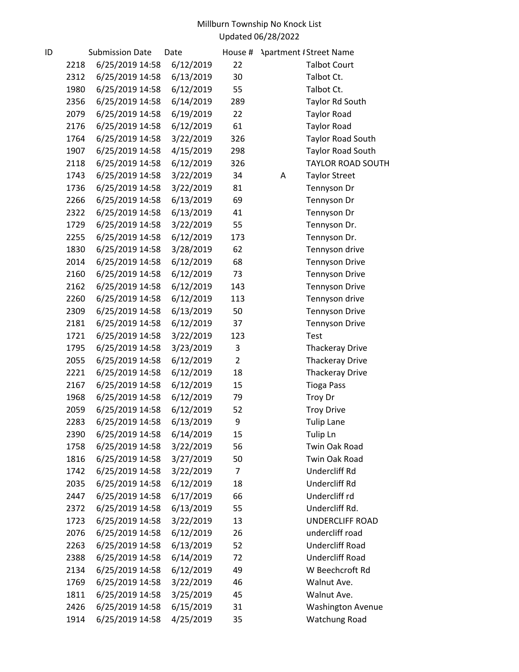| ID |      | <b>Submission Date</b> | Date      | House #        | <b>Apartment #Street Name</b> |
|----|------|------------------------|-----------|----------------|-------------------------------|
|    | 2218 | 6/25/2019 14:58        | 6/12/2019 | 22             | <b>Talbot Court</b>           |
|    | 2312 | 6/25/2019 14:58        | 6/13/2019 | 30             | Talbot Ct.                    |
|    | 1980 | 6/25/2019 14:58        | 6/12/2019 | 55             | Talbot Ct.                    |
|    | 2356 | 6/25/2019 14:58        | 6/14/2019 | 289            | Taylor Rd South               |
|    | 2079 | 6/25/2019 14:58        | 6/19/2019 | 22             | <b>Taylor Road</b>            |
|    | 2176 | 6/25/2019 14:58        | 6/12/2019 | 61             | <b>Taylor Road</b>            |
|    | 1764 | 6/25/2019 14:58        | 3/22/2019 | 326            | <b>Taylor Road South</b>      |
|    | 1907 | 6/25/2019 14:58        | 4/15/2019 | 298            | <b>Taylor Road South</b>      |
|    | 2118 | 6/25/2019 14:58        | 6/12/2019 | 326            | <b>TAYLOR ROAD SOUTH</b>      |
|    | 1743 | 6/25/2019 14:58        | 3/22/2019 | 34             | A<br><b>Taylor Street</b>     |
|    | 1736 | 6/25/2019 14:58        | 3/22/2019 | 81             | Tennyson Dr                   |
|    | 2266 | 6/25/2019 14:58        | 6/13/2019 | 69             | Tennyson Dr                   |
|    | 2322 | 6/25/2019 14:58        | 6/13/2019 | 41             | Tennyson Dr                   |
|    | 1729 | 6/25/2019 14:58        | 3/22/2019 | 55             | Tennyson Dr.                  |
|    | 2255 | 6/25/2019 14:58        | 6/12/2019 | 173            | Tennyson Dr.                  |
|    | 1830 | 6/25/2019 14:58        | 3/28/2019 | 62             | Tennyson drive                |
|    | 2014 | 6/25/2019 14:58        | 6/12/2019 | 68             | <b>Tennyson Drive</b>         |
|    | 2160 | 6/25/2019 14:58        | 6/12/2019 | 73             | <b>Tennyson Drive</b>         |
|    | 2162 | 6/25/2019 14:58        | 6/12/2019 | 143            | <b>Tennyson Drive</b>         |
|    | 2260 | 6/25/2019 14:58        | 6/12/2019 | 113            | Tennyson drive                |
|    | 2309 | 6/25/2019 14:58        | 6/13/2019 | 50             | <b>Tennyson Drive</b>         |
|    | 2181 | 6/25/2019 14:58        | 6/12/2019 | 37             | <b>Tennyson Drive</b>         |
|    | 1721 | 6/25/2019 14:58        | 3/22/2019 | 123            | <b>Test</b>                   |
|    | 1795 | 6/25/2019 14:58        | 3/23/2019 | 3              | <b>Thackeray Drive</b>        |
|    | 2055 | 6/25/2019 14:58        | 6/12/2019 | $\overline{2}$ | <b>Thackeray Drive</b>        |
|    | 2221 | 6/25/2019 14:58        | 6/12/2019 | 18             | <b>Thackeray Drive</b>        |
|    | 2167 | 6/25/2019 14:58        | 6/12/2019 | 15             | <b>Tioga Pass</b>             |
|    | 1968 | 6/25/2019 14:58        | 6/12/2019 | 79             | Troy Dr                       |
|    | 2059 | 6/25/2019 14:58        | 6/12/2019 | 52             | <b>Troy Drive</b>             |
|    | 2283 | 6/25/2019 14:58        | 6/13/2019 | 9              | <b>Tulip Lane</b>             |
|    | 2390 | 6/25/2019 14:58        | 6/14/2019 | 15             | Tulip Ln                      |
|    | 1758 | 6/25/2019 14:58        | 3/22/2019 | 56             | Twin Oak Road                 |
|    | 1816 | 6/25/2019 14:58        | 3/27/2019 | 50             | Twin Oak Road                 |
|    | 1742 | 6/25/2019 14:58        | 3/22/2019 | 7              | Undercliff Rd                 |
|    | 2035 | 6/25/2019 14:58        | 6/12/2019 | 18             | Undercliff Rd                 |
|    | 2447 | 6/25/2019 14:58        | 6/17/2019 | 66             | Undercliff rd                 |
|    | 2372 | 6/25/2019 14:58        | 6/13/2019 | 55             | Undercliff Rd.                |
|    | 1723 | 6/25/2019 14:58        | 3/22/2019 | 13             | <b>UNDERCLIFF ROAD</b>        |
|    | 2076 | 6/25/2019 14:58        | 6/12/2019 | 26             | undercliff road               |
|    | 2263 | 6/25/2019 14:58        | 6/13/2019 | 52             | <b>Undercliff Road</b>        |
|    | 2388 | 6/25/2019 14:58        | 6/14/2019 | 72             | <b>Undercliff Road</b>        |
|    | 2134 | 6/25/2019 14:58        | 6/12/2019 | 49             | W Beechcroft Rd               |
|    | 1769 | 6/25/2019 14:58        | 3/22/2019 | 46             | Walnut Ave.                   |
|    | 1811 | 6/25/2019 14:58        | 3/25/2019 | 45             | Walnut Ave.                   |
|    | 2426 | 6/25/2019 14:58        | 6/15/2019 | 31             | <b>Washington Avenue</b>      |
|    | 1914 | 6/25/2019 14:58        | 4/25/2019 | 35             | Watchung Road                 |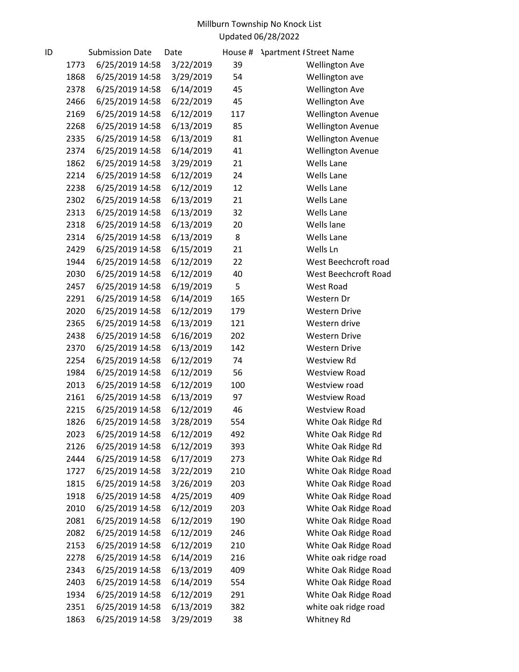| ID |      | <b>Submission Date</b> | Date      | House # | <b>Apartment #Street Name</b> |
|----|------|------------------------|-----------|---------|-------------------------------|
|    | 1773 | 6/25/2019 14:58        | 3/22/2019 | 39      | <b>Wellington Ave</b>         |
|    | 1868 | 6/25/2019 14:58        | 3/29/2019 | 54      | Wellington ave                |
|    | 2378 | 6/25/2019 14:58        | 6/14/2019 | 45      | <b>Wellington Ave</b>         |
|    | 2466 | 6/25/2019 14:58        | 6/22/2019 | 45      | <b>Wellington Ave</b>         |
|    | 2169 | 6/25/2019 14:58        | 6/12/2019 | 117     | <b>Wellington Avenue</b>      |
|    | 2268 | 6/25/2019 14:58        | 6/13/2019 | 85      | <b>Wellington Avenue</b>      |
|    | 2335 | 6/25/2019 14:58        | 6/13/2019 | 81      | <b>Wellington Avenue</b>      |
|    | 2374 | 6/25/2019 14:58        | 6/14/2019 | 41      | <b>Wellington Avenue</b>      |
|    | 1862 | 6/25/2019 14:58        | 3/29/2019 | 21      | <b>Wells Lane</b>             |
|    | 2214 | 6/25/2019 14:58        | 6/12/2019 | 24      | <b>Wells Lane</b>             |
|    | 2238 | 6/25/2019 14:58        | 6/12/2019 | 12      | <b>Wells Lane</b>             |
|    | 2302 | 6/25/2019 14:58        | 6/13/2019 | 21      | <b>Wells Lane</b>             |
|    | 2313 | 6/25/2019 14:58        | 6/13/2019 | 32      | <b>Wells Lane</b>             |
|    | 2318 | 6/25/2019 14:58        | 6/13/2019 | 20      | Wells lane                    |
|    | 2314 | 6/25/2019 14:58        | 6/13/2019 | 8       | <b>Wells Lane</b>             |
|    | 2429 | 6/25/2019 14:58        | 6/15/2019 | 21      | Wells Ln                      |
|    | 1944 | 6/25/2019 14:58        | 6/12/2019 | 22      | West Beechcroft road          |
|    | 2030 | 6/25/2019 14:58        | 6/12/2019 | 40      | West Beechcroft Road          |
|    | 2457 | 6/25/2019 14:58        | 6/19/2019 | 5       | West Road                     |
|    | 2291 | 6/25/2019 14:58        | 6/14/2019 | 165     | Western Dr                    |
|    | 2020 | 6/25/2019 14:58        | 6/12/2019 | 179     | <b>Western Drive</b>          |
|    | 2365 | 6/25/2019 14:58        | 6/13/2019 | 121     | Western drive                 |
|    | 2438 | 6/25/2019 14:58        | 6/16/2019 | 202     | <b>Western Drive</b>          |
|    | 2370 | 6/25/2019 14:58        | 6/13/2019 | 142     | <b>Western Drive</b>          |
|    | 2254 | 6/25/2019 14:58        | 6/12/2019 | 74      | Westview Rd                   |
|    | 1984 | 6/25/2019 14:58        | 6/12/2019 | 56      | <b>Westview Road</b>          |
|    | 2013 | 6/25/2019 14:58        | 6/12/2019 | 100     | Westview road                 |
|    | 2161 | 6/25/2019 14:58        | 6/13/2019 | 97      | <b>Westview Road</b>          |
|    | 2215 | 6/25/2019 14:58        | 6/12/2019 | 46      | <b>Westview Road</b>          |
|    | 1826 | 6/25/2019 14:58        | 3/28/2019 | 554     | White Oak Ridge Rd            |
|    | 2023 | 6/25/2019 14:58        | 6/12/2019 | 492     | White Oak Ridge Rd            |
|    | 2126 | 6/25/2019 14:58        | 6/12/2019 | 393     | White Oak Ridge Rd            |
|    | 2444 | 6/25/2019 14:58        | 6/17/2019 | 273     | White Oak Ridge Rd            |
|    | 1727 | 6/25/2019 14:58        | 3/22/2019 | 210     | White Oak Ridge Road          |
|    | 1815 | 6/25/2019 14:58        | 3/26/2019 | 203     | White Oak Ridge Road          |
|    | 1918 | 6/25/2019 14:58        | 4/25/2019 | 409     | White Oak Ridge Road          |
|    | 2010 | 6/25/2019 14:58        | 6/12/2019 | 203     | White Oak Ridge Road          |
|    | 2081 | 6/25/2019 14:58        | 6/12/2019 | 190     | White Oak Ridge Road          |
|    | 2082 | 6/25/2019 14:58        | 6/12/2019 | 246     | White Oak Ridge Road          |
|    | 2153 | 6/25/2019 14:58        | 6/12/2019 | 210     | White Oak Ridge Road          |
|    | 2278 | 6/25/2019 14:58        | 6/14/2019 | 216     | White oak ridge road          |
|    | 2343 | 6/25/2019 14:58        | 6/13/2019 | 409     | White Oak Ridge Road          |
|    | 2403 | 6/25/2019 14:58        | 6/14/2019 | 554     | White Oak Ridge Road          |
|    | 1934 | 6/25/2019 14:58        | 6/12/2019 | 291     | White Oak Ridge Road          |
|    | 2351 | 6/25/2019 14:58        | 6/13/2019 | 382     | white oak ridge road          |
|    | 1863 | 6/25/2019 14:58        | 3/29/2019 | 38      | Whitney Rd                    |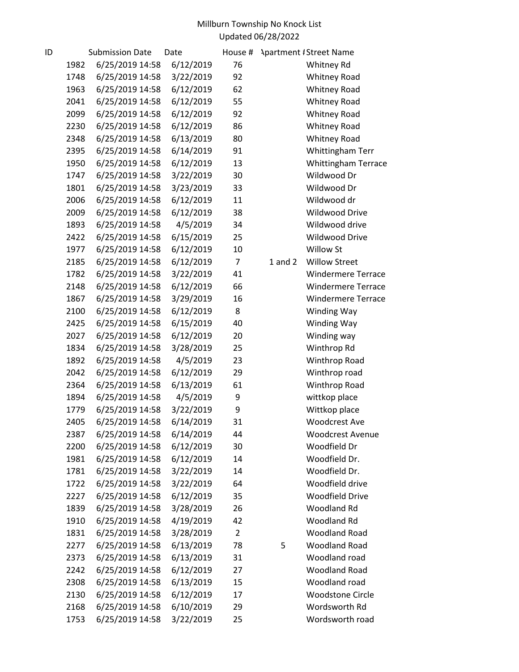| ID |      | <b>Submission Date</b> | Date      | House #        |             | <b>Apartment #Street Name</b> |
|----|------|------------------------|-----------|----------------|-------------|-------------------------------|
|    | 1982 | 6/25/2019 14:58        | 6/12/2019 | 76             |             | Whitney Rd                    |
|    | 1748 | 6/25/2019 14:58        | 3/22/2019 | 92             |             | <b>Whitney Road</b>           |
|    | 1963 | 6/25/2019 14:58        | 6/12/2019 | 62             |             | <b>Whitney Road</b>           |
|    | 2041 | 6/25/2019 14:58        | 6/12/2019 | 55             |             | <b>Whitney Road</b>           |
|    | 2099 | 6/25/2019 14:58        | 6/12/2019 | 92             |             | <b>Whitney Road</b>           |
|    | 2230 | 6/25/2019 14:58        | 6/12/2019 | 86             |             | Whitney Road                  |
|    | 2348 | 6/25/2019 14:58        | 6/13/2019 | 80             |             | <b>Whitney Road</b>           |
|    | 2395 | 6/25/2019 14:58        | 6/14/2019 | 91             |             | Whittingham Terr              |
|    | 1950 | 6/25/2019 14:58        | 6/12/2019 | 13             |             | <b>Whittingham Terrace</b>    |
|    | 1747 | 6/25/2019 14:58        | 3/22/2019 | 30             |             | Wildwood Dr                   |
|    | 1801 | 6/25/2019 14:58        | 3/23/2019 | 33             |             | Wildwood Dr                   |
|    | 2006 | 6/25/2019 14:58        | 6/12/2019 | 11             |             | Wildwood dr                   |
|    | 2009 | 6/25/2019 14:58        | 6/12/2019 | 38             |             | Wildwood Drive                |
|    | 1893 | 6/25/2019 14:58        | 4/5/2019  | 34             |             | Wildwood drive                |
|    | 2422 | 6/25/2019 14:58        | 6/15/2019 | 25             |             | Wildwood Drive                |
|    | 1977 | 6/25/2019 14:58        | 6/12/2019 | 10             |             | Willow St                     |
|    | 2185 | 6/25/2019 14:58        | 6/12/2019 | $\overline{7}$ | $1$ and $2$ | <b>Willow Street</b>          |
|    | 1782 | 6/25/2019 14:58        | 3/22/2019 | 41             |             | <b>Windermere Terrace</b>     |
|    | 2148 | 6/25/2019 14:58        | 6/12/2019 | 66             |             | <b>Windermere Terrace</b>     |
|    | 1867 | 6/25/2019 14:58        | 3/29/2019 | 16             |             | <b>Windermere Terrace</b>     |
|    | 2100 | 6/25/2019 14:58        | 6/12/2019 | 8              |             | Winding Way                   |
|    | 2425 | 6/25/2019 14:58        | 6/15/2019 | 40             |             | Winding Way                   |
|    | 2027 | 6/25/2019 14:58        | 6/12/2019 | 20             |             | Winding way                   |
|    | 1834 | 6/25/2019 14:58        | 3/28/2019 | 25             |             | Winthrop Rd                   |
|    | 1892 | 6/25/2019 14:58        | 4/5/2019  | 23             |             | Winthrop Road                 |
|    | 2042 | 6/25/2019 14:58        | 6/12/2019 | 29             |             | Winthrop road                 |
|    | 2364 | 6/25/2019 14:58        | 6/13/2019 | 61             |             | Winthrop Road                 |
|    | 1894 | 6/25/2019 14:58        | 4/5/2019  | 9              |             | wittkop place                 |
|    | 1779 | 6/25/2019 14:58        | 3/22/2019 | 9              |             | Wittkop place                 |
|    | 2405 | 6/25/2019 14:58        | 6/14/2019 | 31             |             | <b>Woodcrest Ave</b>          |
|    | 2387 | 6/25/2019 14:58        | 6/14/2019 | 44             |             | <b>Woodcrest Avenue</b>       |
|    | 2200 | 6/25/2019 14:58        | 6/12/2019 | 30             |             | Woodfield Dr                  |
|    | 1981 | 6/25/2019 14:58        | 6/12/2019 | 14             |             | Woodfield Dr.                 |
|    | 1781 | 6/25/2019 14:58        | 3/22/2019 | 14             |             | Woodfield Dr.                 |
|    | 1722 | 6/25/2019 14:58        | 3/22/2019 | 64             |             | Woodfield drive               |
|    | 2227 | 6/25/2019 14:58        | 6/12/2019 | 35             |             | <b>Woodfield Drive</b>        |
|    | 1839 | 6/25/2019 14:58        | 3/28/2019 | 26             |             | Woodland Rd                   |
|    | 1910 | 6/25/2019 14:58        | 4/19/2019 | 42             |             | Woodland Rd                   |
|    | 1831 | 6/25/2019 14:58        | 3/28/2019 | $\overline{2}$ |             | <b>Woodland Road</b>          |
|    | 2277 | 6/25/2019 14:58        | 6/13/2019 | 78             | 5           | <b>Woodland Road</b>          |
|    | 2373 | 6/25/2019 14:58        | 6/13/2019 | 31             |             | Woodland road                 |
|    | 2242 | 6/25/2019 14:58        | 6/12/2019 | 27             |             | <b>Woodland Road</b>          |
|    | 2308 | 6/25/2019 14:58        | 6/13/2019 | 15             |             | Woodland road                 |
|    | 2130 | 6/25/2019 14:58        | 6/12/2019 | 17             |             | <b>Woodstone Circle</b>       |
|    | 2168 | 6/25/2019 14:58        | 6/10/2019 | 29             |             | Wordsworth Rd                 |
|    | 1753 | 6/25/2019 14:58        | 3/22/2019 | 25             |             | Wordsworth road               |
|    |      |                        |           |                |             |                               |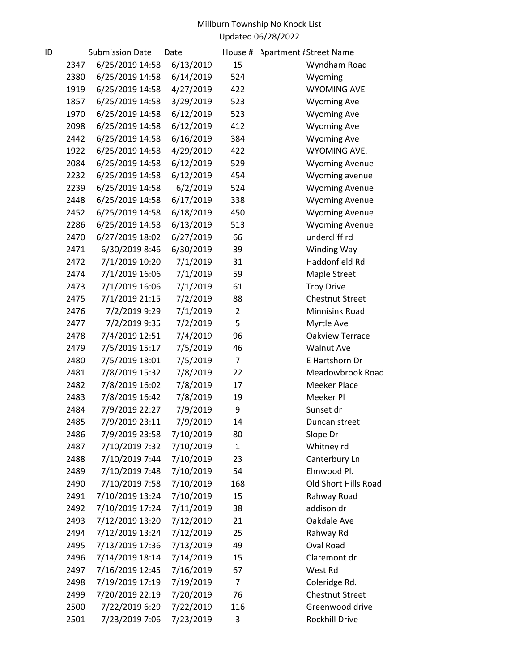| ID |      | <b>Submission Date</b> | Date      | House #        | <b>Apartment #Street Name</b> |
|----|------|------------------------|-----------|----------------|-------------------------------|
|    | 2347 | 6/25/2019 14:58        | 6/13/2019 | 15             | Wyndham Road                  |
|    | 2380 | 6/25/2019 14:58        | 6/14/2019 | 524            | Wyoming                       |
|    | 1919 | 6/25/2019 14:58        | 4/27/2019 | 422            | <b>WYOMING AVE</b>            |
|    | 1857 | 6/25/2019 14:58        | 3/29/2019 | 523            | <b>Wyoming Ave</b>            |
|    | 1970 | 6/25/2019 14:58        | 6/12/2019 | 523            | <b>Wyoming Ave</b>            |
|    | 2098 | 6/25/2019 14:58        | 6/12/2019 | 412            | <b>Wyoming Ave</b>            |
|    | 2442 | 6/25/2019 14:58        | 6/16/2019 | 384            | <b>Wyoming Ave</b>            |
|    | 1922 | 6/25/2019 14:58        | 4/29/2019 | 422            | WYOMING AVE.                  |
|    | 2084 | 6/25/2019 14:58        | 6/12/2019 | 529            | <b>Wyoming Avenue</b>         |
|    | 2232 | 6/25/2019 14:58        | 6/12/2019 | 454            | Wyoming avenue                |
|    | 2239 | 6/25/2019 14:58        | 6/2/2019  | 524            | <b>Wyoming Avenue</b>         |
|    | 2448 | 6/25/2019 14:58        | 6/17/2019 | 338            | <b>Wyoming Avenue</b>         |
|    | 2452 | 6/25/2019 14:58        | 6/18/2019 | 450            | <b>Wyoming Avenue</b>         |
|    | 2286 | 6/25/2019 14:58        | 6/13/2019 | 513            | <b>Wyoming Avenue</b>         |
|    | 2470 | 6/27/2019 18:02        | 6/27/2019 | 66             | undercliff rd                 |
|    | 2471 | 6/30/2019 8:46         | 6/30/2019 | 39             | Winding Way                   |
|    | 2472 | 7/1/2019 10:20         | 7/1/2019  | 31             | Haddonfield Rd                |
|    | 2474 | 7/1/2019 16:06         | 7/1/2019  | 59             | Maple Street                  |
|    | 2473 | 7/1/2019 16:06         | 7/1/2019  | 61             | <b>Troy Drive</b>             |
|    | 2475 | 7/1/2019 21:15         | 7/2/2019  | 88             | <b>Chestnut Street</b>        |
|    | 2476 | 7/2/2019 9:29          | 7/1/2019  | $\overline{2}$ | Minnisink Road                |
|    | 2477 | 7/2/2019 9:35          | 7/2/2019  | 5              | Myrtle Ave                    |
|    | 2478 | 7/4/2019 12:51         | 7/4/2019  | 96             | Oakview Terrace               |
|    | 2479 | 7/5/2019 15:17         | 7/5/2019  | 46             | <b>Walnut Ave</b>             |
|    | 2480 | 7/5/2019 18:01         | 7/5/2019  | $\overline{7}$ | E Hartshorn Dr                |
|    | 2481 | 7/8/2019 15:32         | 7/8/2019  | 22             | Meadowbrook Road              |
|    | 2482 | 7/8/2019 16:02         | 7/8/2019  | 17             | <b>Meeker Place</b>           |
|    | 2483 | 7/8/2019 16:42         | 7/8/2019  | 19             | Meeker Pl                     |
|    | 2484 | 7/9/2019 22:27         | 7/9/2019  | 9              | Sunset dr                     |
|    | 2485 | 7/9/2019 23:11         | 7/9/2019  | 14             | Duncan street                 |
|    | 2486 | 7/9/2019 23:58         | 7/10/2019 | 80             | Slope Dr                      |
|    | 2487 | 7/10/2019 7:32         | 7/10/2019 | $\mathbf{1}$   | Whitney rd                    |
|    | 2488 | 7/10/2019 7:44         | 7/10/2019 | 23             | Canterbury Ln                 |
|    | 2489 | 7/10/2019 7:48         | 7/10/2019 | 54             | Elmwood Pl.                   |
|    | 2490 | 7/10/2019 7:58         | 7/10/2019 | 168            | Old Short Hills Road          |
|    | 2491 | 7/10/2019 13:24        | 7/10/2019 | 15             | Rahway Road                   |
|    | 2492 | 7/10/2019 17:24        | 7/11/2019 | 38             | addison dr                    |
|    | 2493 | 7/12/2019 13:20        | 7/12/2019 | 21             | Oakdale Ave                   |
|    | 2494 | 7/12/2019 13:24        | 7/12/2019 | 25             | Rahway Rd                     |
|    | 2495 | 7/13/2019 17:36        | 7/13/2019 | 49             | Oval Road                     |
|    | 2496 | 7/14/2019 18:14        | 7/14/2019 | 15             | Claremont dr                  |
|    | 2497 | 7/16/2019 12:45        | 7/16/2019 | 67             | West Rd                       |
|    | 2498 | 7/19/2019 17:19        | 7/19/2019 | $\overline{7}$ | Coleridge Rd.                 |
|    | 2499 | 7/20/2019 22:19        | 7/20/2019 | 76             | <b>Chestnut Street</b>        |
|    | 2500 | 7/22/2019 6:29         | 7/22/2019 | 116            | Greenwood drive               |
|    | 2501 | 7/23/2019 7:06         | 7/23/2019 | 3              | Rockhill Drive                |
|    |      |                        |           |                |                               |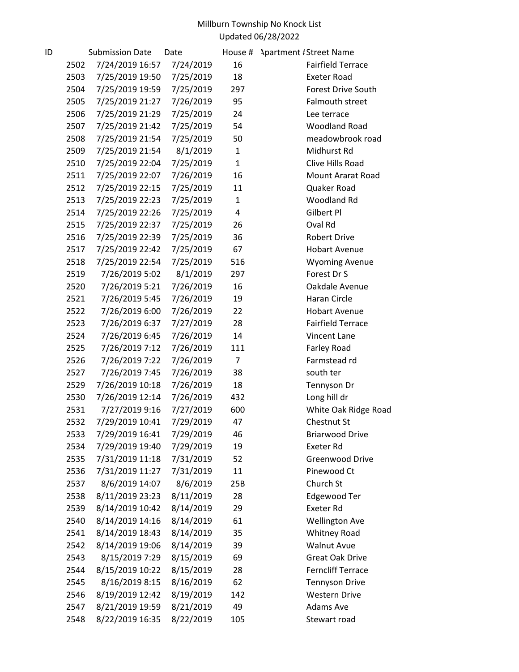| ID |      | <b>Submission Date</b> | Date      | House #        | <b>Apartment # Street Name</b> |
|----|------|------------------------|-----------|----------------|--------------------------------|
|    | 2502 | 7/24/2019 16:57        | 7/24/2019 | 16             | <b>Fairfield Terrace</b>       |
|    | 2503 | 7/25/2019 19:50        | 7/25/2019 | 18             | <b>Exeter Road</b>             |
|    | 2504 | 7/25/2019 19:59        | 7/25/2019 | 297            | Forest Drive South             |
|    | 2505 | 7/25/2019 21:27        | 7/26/2019 | 95             | Falmouth street                |
|    | 2506 | 7/25/2019 21:29        | 7/25/2019 | 24             | Lee terrace                    |
|    | 2507 | 7/25/2019 21:42        | 7/25/2019 | 54             | <b>Woodland Road</b>           |
|    | 2508 | 7/25/2019 21:54        | 7/25/2019 | 50             | meadowbrook road               |
|    | 2509 | 7/25/2019 21:54        | 8/1/2019  | $\mathbf{1}$   | Midhurst Rd                    |
|    | 2510 | 7/25/2019 22:04        | 7/25/2019 | $\mathbf{1}$   | Clive Hills Road               |
|    | 2511 | 7/25/2019 22:07        | 7/26/2019 | 16             | Mount Ararat Road              |
|    | 2512 | 7/25/2019 22:15        | 7/25/2019 | 11             | Quaker Road                    |
|    | 2513 | 7/25/2019 22:23        | 7/25/2019 | $\mathbf{1}$   | Woodland Rd                    |
|    | 2514 | 7/25/2019 22:26        | 7/25/2019 | 4              | Gilbert Pl                     |
|    | 2515 | 7/25/2019 22:37        | 7/25/2019 | 26             | Oval Rd                        |
|    | 2516 | 7/25/2019 22:39        | 7/25/2019 | 36             | Robert Drive                   |
|    | 2517 | 7/25/2019 22:42        | 7/25/2019 | 67             | <b>Hobart Avenue</b>           |
|    | 2518 | 7/25/2019 22:54        | 7/25/2019 | 516            | <b>Wyoming Avenue</b>          |
|    | 2519 | 7/26/2019 5:02         | 8/1/2019  | 297            | Forest Dr S                    |
|    | 2520 | 7/26/2019 5:21         | 7/26/2019 | 16             | Oakdale Avenue                 |
|    | 2521 | 7/26/2019 5:45         | 7/26/2019 | 19             | Haran Circle                   |
|    | 2522 | 7/26/2019 6:00         | 7/26/2019 | 22             | <b>Hobart Avenue</b>           |
|    | 2523 | 7/26/2019 6:37         | 7/27/2019 | 28             | <b>Fairfield Terrace</b>       |
|    | 2524 | 7/26/2019 6:45         | 7/26/2019 | 14             | Vincent Lane                   |
|    | 2525 | 7/26/2019 7:12         | 7/26/2019 | 111            | Farley Road                    |
|    | 2526 | 7/26/2019 7:22         | 7/26/2019 | $\overline{7}$ | Farmstead rd                   |
|    | 2527 | 7/26/2019 7:45         | 7/26/2019 | 38             | south ter                      |
|    | 2529 | 7/26/2019 10:18        | 7/26/2019 | 18             | Tennyson Dr                    |
|    | 2530 | 7/26/2019 12:14        | 7/26/2019 | 432            | Long hill dr                   |
|    | 2531 | 7/27/2019 9:16         | 7/27/2019 | 600            | White Oak Ridge Road           |
|    | 2532 | 7/29/2019 10:41        | 7/29/2019 | 47             | Chestnut St                    |
|    | 2533 | 7/29/2019 16:41        | 7/29/2019 | 46             | <b>Briarwood Drive</b>         |
|    | 2534 | 7/29/2019 19:40        | 7/29/2019 | 19             | <b>Exeter Rd</b>               |
|    | 2535 | 7/31/2019 11:18        | 7/31/2019 | 52             | Greenwood Drive                |
|    | 2536 | 7/31/2019 11:27        | 7/31/2019 | 11             | Pinewood Ct                    |
|    | 2537 | 8/6/2019 14:07         | 8/6/2019  | 25B            | Church St                      |
|    | 2538 | 8/11/2019 23:23        | 8/11/2019 | 28             | Edgewood Ter                   |
|    | 2539 | 8/14/2019 10:42        | 8/14/2019 | 29             | <b>Exeter Rd</b>               |
|    | 2540 | 8/14/2019 14:16        | 8/14/2019 | 61             | <b>Wellington Ave</b>          |
|    | 2541 | 8/14/2019 18:43        | 8/14/2019 | 35             | <b>Whitney Road</b>            |
|    | 2542 | 8/14/2019 19:06        | 8/14/2019 | 39             | <b>Walnut Avue</b>             |
|    | 2543 | 8/15/2019 7:29         | 8/15/2019 | 69             | <b>Great Oak Drive</b>         |
|    | 2544 | 8/15/2019 10:22        | 8/15/2019 | 28             | <b>Ferncliff Terrace</b>       |
|    | 2545 | 8/16/2019 8:15         | 8/16/2019 | 62             | <b>Tennyson Drive</b>          |
|    | 2546 | 8/19/2019 12:42        | 8/19/2019 | 142            | <b>Western Drive</b>           |
|    | 2547 | 8/21/2019 19:59        | 8/21/2019 | 49             | Adams Ave                      |
|    | 2548 | 8/22/2019 16:35        | 8/22/2019 | 105            | Stewart road                   |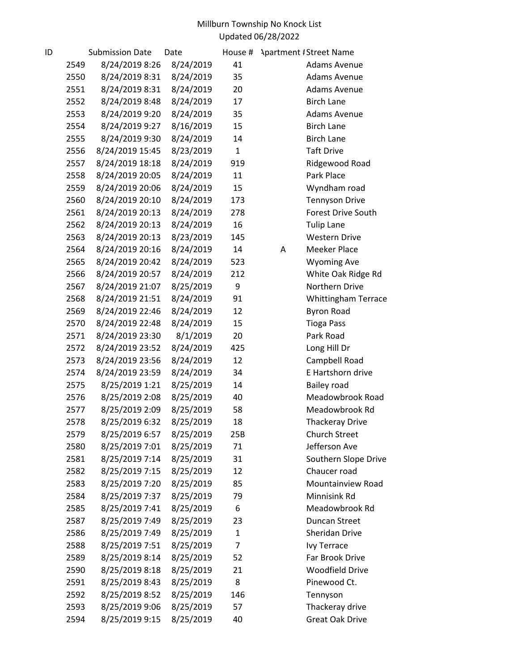| ID |      | <b>Submission Date</b> | Date      | House #      | <b>Apartment / Street Name</b> |
|----|------|------------------------|-----------|--------------|--------------------------------|
|    | 2549 | 8/24/2019 8:26         | 8/24/2019 | 41           | Adams Avenue                   |
|    | 2550 | 8/24/2019 8:31         | 8/24/2019 | 35           | <b>Adams Avenue</b>            |
|    | 2551 | 8/24/2019 8:31         | 8/24/2019 | 20           | <b>Adams Avenue</b>            |
|    | 2552 | 8/24/2019 8:48         | 8/24/2019 | 17           | <b>Birch Lane</b>              |
|    | 2553 | 8/24/2019 9:20         | 8/24/2019 | 35           | <b>Adams Avenue</b>            |
|    | 2554 | 8/24/2019 9:27         | 8/16/2019 | 15           | <b>Birch Lane</b>              |
|    | 2555 | 8/24/2019 9:30         | 8/24/2019 | 14           | <b>Birch Lane</b>              |
|    | 2556 | 8/24/2019 15:45        | 8/23/2019 | $\mathbf{1}$ | <b>Taft Drive</b>              |
|    | 2557 | 8/24/2019 18:18        | 8/24/2019 | 919          | Ridgewood Road                 |
|    | 2558 | 8/24/2019 20:05        | 8/24/2019 | 11           | Park Place                     |
|    | 2559 | 8/24/2019 20:06        | 8/24/2019 | 15           | Wyndham road                   |
|    | 2560 | 8/24/2019 20:10        | 8/24/2019 | 173          | <b>Tennyson Drive</b>          |
|    | 2561 | 8/24/2019 20:13        | 8/24/2019 | 278          | <b>Forest Drive South</b>      |
|    | 2562 | 8/24/2019 20:13        | 8/24/2019 | 16           | <b>Tulip Lane</b>              |
|    | 2563 | 8/24/2019 20:13        | 8/23/2019 | 145          | <b>Western Drive</b>           |
|    | 2564 | 8/24/2019 20:16        | 8/24/2019 | 14           | <b>Meeker Place</b><br>A       |
|    | 2565 | 8/24/2019 20:42        | 8/24/2019 | 523          | <b>Wyoming Ave</b>             |
|    | 2566 | 8/24/2019 20:57        | 8/24/2019 | 212          | White Oak Ridge Rd             |
|    | 2567 | 8/24/2019 21:07        | 8/25/2019 | 9            | <b>Northern Drive</b>          |
|    | 2568 | 8/24/2019 21:51        | 8/24/2019 | 91           | <b>Whittingham Terrace</b>     |
|    | 2569 | 8/24/2019 22:46        | 8/24/2019 | 12           | <b>Byron Road</b>              |
|    | 2570 | 8/24/2019 22:48        | 8/24/2019 | 15           | <b>Tioga Pass</b>              |
|    | 2571 | 8/24/2019 23:30        | 8/1/2019  | 20           | Park Road                      |
|    | 2572 | 8/24/2019 23:52        | 8/24/2019 | 425          | Long Hill Dr                   |
|    | 2573 | 8/24/2019 23:56        | 8/24/2019 | 12           | Campbell Road                  |
|    | 2574 | 8/24/2019 23:59        | 8/24/2019 | 34           | E Hartshorn drive              |
|    | 2575 | 8/25/2019 1:21         | 8/25/2019 | 14           | <b>Bailey road</b>             |
|    | 2576 | 8/25/2019 2:08         | 8/25/2019 | 40           | Meadowbrook Road               |
|    | 2577 | 8/25/2019 2:09         | 8/25/2019 | 58           | Meadowbrook Rd                 |
|    | 2578 | 8/25/2019 6:32         | 8/25/2019 | 18           | <b>Thackeray Drive</b>         |
|    | 2579 | 8/25/2019 6:57         | 8/25/2019 | 25B          | <b>Church Street</b>           |
|    | 2580 | 8/25/2019 7:01         | 8/25/2019 | 71           | Jefferson Ave                  |
|    | 2581 | 8/25/2019 7:14         | 8/25/2019 | 31           | Southern Slope Drive           |
|    | 2582 | 8/25/2019 7:15         | 8/25/2019 | 12           | Chaucer road                   |
|    | 2583 | 8/25/2019 7:20         | 8/25/2019 | 85           | Mountainview Road              |
|    | 2584 | 8/25/2019 7:37         | 8/25/2019 | 79           | Minnisink Rd                   |
|    | 2585 | 8/25/2019 7:41         | 8/25/2019 | 6            | Meadowbrook Rd                 |
|    | 2587 | 8/25/2019 7:49         | 8/25/2019 | 23           | <b>Duncan Street</b>           |
|    | 2586 | 8/25/2019 7:49         | 8/25/2019 | 1            | Sheridan Drive                 |
|    | 2588 | 8/25/2019 7:51         | 8/25/2019 | 7            | <b>Ivy Terrace</b>             |
|    | 2589 | 8/25/2019 8:14         | 8/25/2019 | 52           | Far Brook Drive                |
|    | 2590 | 8/25/2019 8:18         | 8/25/2019 | 21           | <b>Woodfield Drive</b>         |
|    | 2591 | 8/25/2019 8:43         | 8/25/2019 | 8            | Pinewood Ct.                   |
|    | 2592 | 8/25/2019 8:52         | 8/25/2019 | 146          | Tennyson                       |
|    | 2593 | 8/25/2019 9:06         | 8/25/2019 | 57           | Thackeray drive                |
|    | 2594 | 8/25/2019 9:15         | 8/25/2019 | 40           | <b>Great Oak Drive</b>         |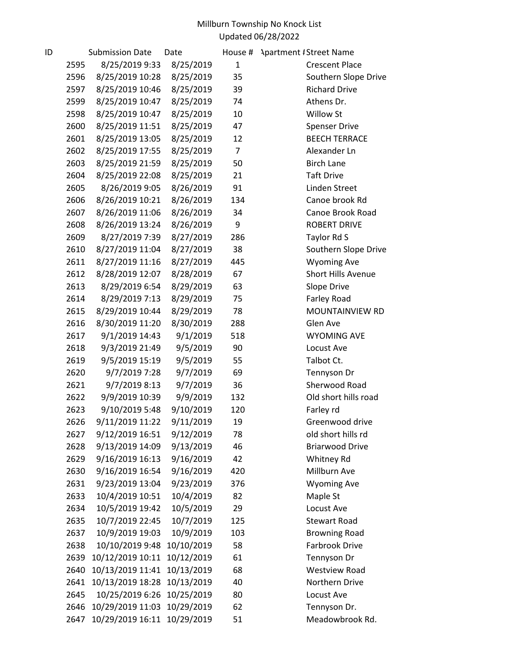| ID |      | <b>Submission Date</b>      | Date       | House #        | <b>Apartment #Street Name</b> |
|----|------|-----------------------------|------------|----------------|-------------------------------|
|    | 2595 | 8/25/2019 9:33              | 8/25/2019  | 1              | <b>Crescent Place</b>         |
|    | 2596 | 8/25/2019 10:28             | 8/25/2019  | 35             | Southern Slope Drive          |
|    | 2597 | 8/25/2019 10:46             | 8/25/2019  | 39             | <b>Richard Drive</b>          |
|    | 2599 | 8/25/2019 10:47             | 8/25/2019  | 74             | Athens Dr.                    |
|    | 2598 | 8/25/2019 10:47             | 8/25/2019  | 10             | Willow St                     |
|    | 2600 | 8/25/2019 11:51             | 8/25/2019  | 47             | <b>Spenser Drive</b>          |
|    | 2601 | 8/25/2019 13:05             | 8/25/2019  | 12             | <b>BEECH TERRACE</b>          |
|    | 2602 | 8/25/2019 17:55             | 8/25/2019  | $\overline{7}$ | Alexander Ln                  |
|    | 2603 | 8/25/2019 21:59             | 8/25/2019  | 50             | <b>Birch Lane</b>             |
|    | 2604 | 8/25/2019 22:08             | 8/25/2019  | 21             | <b>Taft Drive</b>             |
|    | 2605 | 8/26/2019 9:05              | 8/26/2019  | 91             | Linden Street                 |
|    | 2606 | 8/26/2019 10:21             | 8/26/2019  | 134            | Canoe brook Rd                |
|    | 2607 | 8/26/2019 11:06             | 8/26/2019  | 34             | Canoe Brook Road              |
|    | 2608 | 8/26/2019 13:24             | 8/26/2019  | 9              | <b>ROBERT DRIVE</b>           |
|    | 2609 | 8/27/2019 7:39              | 8/27/2019  | 286            | Taylor Rd S                   |
|    | 2610 | 8/27/2019 11:04             | 8/27/2019  | 38             | Southern Slope Drive          |
|    | 2611 | 8/27/2019 11:16             | 8/27/2019  | 445            | <b>Wyoming Ave</b>            |
|    | 2612 | 8/28/2019 12:07             | 8/28/2019  | 67             | Short Hills Avenue            |
|    | 2613 | 8/29/2019 6:54              | 8/29/2019  | 63             | Slope Drive                   |
|    | 2614 | 8/29/2019 7:13              | 8/29/2019  | 75             | Farley Road                   |
|    | 2615 | 8/29/2019 10:44             | 8/29/2019  | 78             | MOUNTAINVIEW RD               |
|    | 2616 | 8/30/2019 11:20             | 8/30/2019  | 288            | Glen Ave                      |
|    | 2617 | 9/1/2019 14:43              | 9/1/2019   | 518            | <b>WYOMING AVE</b>            |
|    | 2618 | 9/3/2019 21:49              | 9/5/2019   | 90             | Locust Ave                    |
|    | 2619 | 9/5/2019 15:19              | 9/5/2019   | 55             | Talbot Ct.                    |
|    | 2620 | 9/7/2019 7:28               | 9/7/2019   | 69             | Tennyson Dr                   |
|    | 2621 | 9/7/2019 8:13               | 9/7/2019   | 36             | Sherwood Road                 |
|    | 2622 | 9/9/2019 10:39              | 9/9/2019   | 132            | Old short hills road          |
|    | 2623 | 9/10/2019 5:48              | 9/10/2019  | 120            | Farley rd                     |
|    | 2626 | 9/11/2019 11:22             | 9/11/2019  | 19             | Greenwood drive               |
|    | 2627 | 9/12/2019 16:51             | 9/12/2019  | 78             | old short hills rd            |
|    | 2628 | 9/13/2019 14:09             | 9/13/2019  | 46             | <b>Briarwood Drive</b>        |
|    | 2629 | 9/16/2019 16:13             | 9/16/2019  | 42             | Whitney Rd                    |
|    | 2630 | 9/16/2019 16:54             | 9/16/2019  | 420            | Millburn Ave                  |
|    | 2631 | 9/23/2019 13:04             | 9/23/2019  | 376            | <b>Wyoming Ave</b>            |
|    | 2633 | 10/4/2019 10:51             | 10/4/2019  | 82             | Maple St                      |
|    | 2634 | 10/5/2019 19:42             | 10/5/2019  | 29             | Locust Ave                    |
|    | 2635 | 10/7/2019 22:45             | 10/7/2019  | 125            | <b>Stewart Road</b>           |
|    | 2637 | 10/9/2019 19:03             | 10/9/2019  | 103            | <b>Browning Road</b>          |
|    | 2638 | 10/10/2019 9:48             | 10/10/2019 | 58             | Farbrook Drive                |
|    | 2639 | 10/12/2019 10:11            | 10/12/2019 | 61             | Tennyson Dr                   |
|    | 2640 | 10/13/2019 11:41            | 10/13/2019 | 68             | <b>Westview Road</b>          |
|    | 2641 | 10/13/2019 18:28            | 10/13/2019 | 40             | Northern Drive                |
|    | 2645 | 10/25/2019 6:26             | 10/25/2019 | 80             | Locust Ave                    |
|    | 2646 | 10/29/2019 11:03            | 10/29/2019 | 62             | Tennyson Dr.                  |
|    | 2647 | 10/29/2019 16:11 10/29/2019 |            | 51             | Meadowbrook Rd.               |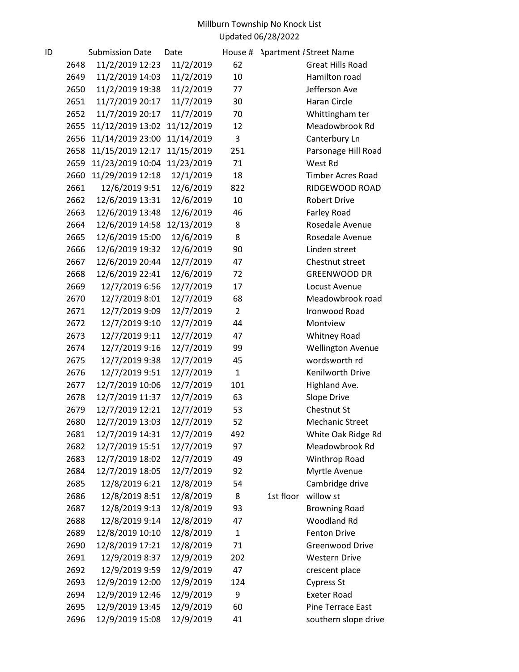| 11/2/2019 12:23<br><b>Great Hills Road</b><br>2648<br>11/2/2019<br>62<br>2649<br>11/2/2019 14:03<br>11/2/2019<br>10<br>Hamilton road<br>11/2/2019 19:38<br>11/2/2019<br>77<br>Jefferson Ave<br>2650<br>11/7/2019 20:17<br>Haran Circle<br>2651<br>11/7/2019<br>30<br>11/7/2019 20:17<br>11/7/2019<br>Whittingham ter<br>2652<br>70<br>11/12/2019 13:02<br>11/12/2019<br>Meadowbrook Rd<br>12<br>2655<br>11/14/2019 23:00<br>3<br>2656<br>11/14/2019<br>Canterbury Ln<br>11/15/2019<br>2658<br>11/15/2019 12:17<br>251<br>Parsonage Hill Road<br>11/23/2019 10:04<br>11/23/2019<br>71<br>2659<br>West Rd<br>11/29/2019 12:18<br>12/1/2019<br>18<br>2660<br><b>Timber Acres Road</b><br>2661<br>12/6/2019 9:51<br>12/6/2019<br>822<br>RIDGEWOOD ROAD<br>2662<br>12/6/2019 13:31<br>12/6/2019<br>10<br><b>Robert Drive</b><br>12/6/2019 13:48<br>12/6/2019<br>2663<br>46<br>Farley Road<br>12/6/2019 14:58<br>2664<br>12/13/2019<br>8<br>Rosedale Avenue<br>12/6/2019 15:00<br>12/6/2019<br>8<br>Rosedale Avenue<br>2665<br>2666<br>12/6/2019 19:32<br>12/6/2019<br>90<br>Linden street<br>12/6/2019 20:44<br>12/7/2019<br>47<br>2667<br>Chestnut street<br>12/6/2019 22:41<br>12/6/2019<br>2668<br>72<br><b>GREENWOOD DR</b><br>2669<br>12/7/2019 6:56<br>12/7/2019<br>17<br>Locust Avenue<br>12/7/2019<br>2670<br>12/7/2019 8:01<br>68<br>Meadowbrook road<br>$\overline{2}$<br>2671<br>12/7/2019 9:09<br>12/7/2019<br>Ironwood Road<br>12/7/2019 9:10<br>12/7/2019<br>44<br>2672<br>Montview<br>2673<br>12/7/2019 9:11<br>12/7/2019<br>47<br><b>Whitney Road</b><br>2674<br>12/7/2019 9:16<br>12/7/2019<br><b>Wellington Avenue</b><br>99<br>12/7/2019 9:38<br>12/7/2019<br>wordsworth rd<br>2675<br>45<br>$\mathbf{1}$<br>12/7/2019 9:51<br>Kenilworth Drive<br>2676<br>12/7/2019<br>12/7/2019 10:06<br>12/7/2019<br>Highland Ave.<br>2677<br>101<br>2678<br>12/7/2019 11:37<br>12/7/2019<br>63<br>Slope Drive<br>Chestnut St<br>12/7/2019 12:21<br>12/7/2019<br>53<br>2679<br>12/7/2019<br>12/7/2019 13:03<br>52<br>2680<br><b>Mechanic Street</b><br>12/7/2019 14:31<br>12/7/2019<br>2681<br>White Oak Ridge Rd<br>492<br>12/7/2019 15:51<br>12/7/2019<br>97<br>Meadowbrook Rd<br>2682<br>12/7/2019 18:02<br>Winthrop Road<br>2683<br>12/7/2019<br>49<br>12/7/2019 18:05<br>12/7/2019<br>Myrtle Avenue<br>2684<br>92<br>2685<br>12/8/2019 6:21<br>12/8/2019<br>Cambridge drive<br>54<br>12/8/2019 8:51<br>12/8/2019<br>1st floor<br>willow st<br>2686<br>8<br>12/8/2019 9:13<br>12/8/2019<br>2687<br>93<br><b>Browning Road</b><br>12/8/2019 9:14<br>Woodland Rd<br>2688<br>12/8/2019<br>47<br>12/8/2019 10:10<br>12/8/2019<br><b>Fenton Drive</b><br>2689<br>1<br>12/8/2019 17:21<br>71<br>2690<br>12/8/2019<br><b>Greenwood Drive</b><br>12/9/2019 8:37<br>12/9/2019<br><b>Western Drive</b><br>2691<br>202<br>2692<br>12/9/2019 9:59<br>12/9/2019<br>47<br>crescent place<br>12/9/2019 12:00<br>12/9/2019<br><b>Cypress St</b><br>2693<br>124<br>12/9/2019 12:46<br>12/9/2019<br><b>Exeter Road</b><br>2694<br>9<br>2695<br>12/9/2019 13:45<br>60<br>Pine Terrace East<br>12/9/2019<br>12/9/2019 15:08<br>12/9/2019<br>southern slope drive<br>2696<br>41 | ID | <b>Submission Date</b> | Date | House # | <b>Apartment #Street Name</b> |
|-----------------------------------------------------------------------------------------------------------------------------------------------------------------------------------------------------------------------------------------------------------------------------------------------------------------------------------------------------------------------------------------------------------------------------------------------------------------------------------------------------------------------------------------------------------------------------------------------------------------------------------------------------------------------------------------------------------------------------------------------------------------------------------------------------------------------------------------------------------------------------------------------------------------------------------------------------------------------------------------------------------------------------------------------------------------------------------------------------------------------------------------------------------------------------------------------------------------------------------------------------------------------------------------------------------------------------------------------------------------------------------------------------------------------------------------------------------------------------------------------------------------------------------------------------------------------------------------------------------------------------------------------------------------------------------------------------------------------------------------------------------------------------------------------------------------------------------------------------------------------------------------------------------------------------------------------------------------------------------------------------------------------------------------------------------------------------------------------------------------------------------------------------------------------------------------------------------------------------------------------------------------------------------------------------------------------------------------------------------------------------------------------------------------------------------------------------------------------------------------------------------------------------------------------------------------------------------------------------------------------------------------------------------------------------------------------------------------------------------------------------------------------------------------------------------------------------------------------------------------------------------------------------------------------------------------------------------------------------------------------------------------------------------------------------------------------------------------------------------------------------------------------------------------|----|------------------------|------|---------|-------------------------------|
|                                                                                                                                                                                                                                                                                                                                                                                                                                                                                                                                                                                                                                                                                                                                                                                                                                                                                                                                                                                                                                                                                                                                                                                                                                                                                                                                                                                                                                                                                                                                                                                                                                                                                                                                                                                                                                                                                                                                                                                                                                                                                                                                                                                                                                                                                                                                                                                                                                                                                                                                                                                                                                                                                                                                                                                                                                                                                                                                                                                                                                                                                                                                                                 |    |                        |      |         |                               |
|                                                                                                                                                                                                                                                                                                                                                                                                                                                                                                                                                                                                                                                                                                                                                                                                                                                                                                                                                                                                                                                                                                                                                                                                                                                                                                                                                                                                                                                                                                                                                                                                                                                                                                                                                                                                                                                                                                                                                                                                                                                                                                                                                                                                                                                                                                                                                                                                                                                                                                                                                                                                                                                                                                                                                                                                                                                                                                                                                                                                                                                                                                                                                                 |    |                        |      |         |                               |
|                                                                                                                                                                                                                                                                                                                                                                                                                                                                                                                                                                                                                                                                                                                                                                                                                                                                                                                                                                                                                                                                                                                                                                                                                                                                                                                                                                                                                                                                                                                                                                                                                                                                                                                                                                                                                                                                                                                                                                                                                                                                                                                                                                                                                                                                                                                                                                                                                                                                                                                                                                                                                                                                                                                                                                                                                                                                                                                                                                                                                                                                                                                                                                 |    |                        |      |         |                               |
|                                                                                                                                                                                                                                                                                                                                                                                                                                                                                                                                                                                                                                                                                                                                                                                                                                                                                                                                                                                                                                                                                                                                                                                                                                                                                                                                                                                                                                                                                                                                                                                                                                                                                                                                                                                                                                                                                                                                                                                                                                                                                                                                                                                                                                                                                                                                                                                                                                                                                                                                                                                                                                                                                                                                                                                                                                                                                                                                                                                                                                                                                                                                                                 |    |                        |      |         |                               |
|                                                                                                                                                                                                                                                                                                                                                                                                                                                                                                                                                                                                                                                                                                                                                                                                                                                                                                                                                                                                                                                                                                                                                                                                                                                                                                                                                                                                                                                                                                                                                                                                                                                                                                                                                                                                                                                                                                                                                                                                                                                                                                                                                                                                                                                                                                                                                                                                                                                                                                                                                                                                                                                                                                                                                                                                                                                                                                                                                                                                                                                                                                                                                                 |    |                        |      |         |                               |
|                                                                                                                                                                                                                                                                                                                                                                                                                                                                                                                                                                                                                                                                                                                                                                                                                                                                                                                                                                                                                                                                                                                                                                                                                                                                                                                                                                                                                                                                                                                                                                                                                                                                                                                                                                                                                                                                                                                                                                                                                                                                                                                                                                                                                                                                                                                                                                                                                                                                                                                                                                                                                                                                                                                                                                                                                                                                                                                                                                                                                                                                                                                                                                 |    |                        |      |         |                               |
|                                                                                                                                                                                                                                                                                                                                                                                                                                                                                                                                                                                                                                                                                                                                                                                                                                                                                                                                                                                                                                                                                                                                                                                                                                                                                                                                                                                                                                                                                                                                                                                                                                                                                                                                                                                                                                                                                                                                                                                                                                                                                                                                                                                                                                                                                                                                                                                                                                                                                                                                                                                                                                                                                                                                                                                                                                                                                                                                                                                                                                                                                                                                                                 |    |                        |      |         |                               |
|                                                                                                                                                                                                                                                                                                                                                                                                                                                                                                                                                                                                                                                                                                                                                                                                                                                                                                                                                                                                                                                                                                                                                                                                                                                                                                                                                                                                                                                                                                                                                                                                                                                                                                                                                                                                                                                                                                                                                                                                                                                                                                                                                                                                                                                                                                                                                                                                                                                                                                                                                                                                                                                                                                                                                                                                                                                                                                                                                                                                                                                                                                                                                                 |    |                        |      |         |                               |
|                                                                                                                                                                                                                                                                                                                                                                                                                                                                                                                                                                                                                                                                                                                                                                                                                                                                                                                                                                                                                                                                                                                                                                                                                                                                                                                                                                                                                                                                                                                                                                                                                                                                                                                                                                                                                                                                                                                                                                                                                                                                                                                                                                                                                                                                                                                                                                                                                                                                                                                                                                                                                                                                                                                                                                                                                                                                                                                                                                                                                                                                                                                                                                 |    |                        |      |         |                               |
|                                                                                                                                                                                                                                                                                                                                                                                                                                                                                                                                                                                                                                                                                                                                                                                                                                                                                                                                                                                                                                                                                                                                                                                                                                                                                                                                                                                                                                                                                                                                                                                                                                                                                                                                                                                                                                                                                                                                                                                                                                                                                                                                                                                                                                                                                                                                                                                                                                                                                                                                                                                                                                                                                                                                                                                                                                                                                                                                                                                                                                                                                                                                                                 |    |                        |      |         |                               |
|                                                                                                                                                                                                                                                                                                                                                                                                                                                                                                                                                                                                                                                                                                                                                                                                                                                                                                                                                                                                                                                                                                                                                                                                                                                                                                                                                                                                                                                                                                                                                                                                                                                                                                                                                                                                                                                                                                                                                                                                                                                                                                                                                                                                                                                                                                                                                                                                                                                                                                                                                                                                                                                                                                                                                                                                                                                                                                                                                                                                                                                                                                                                                                 |    |                        |      |         |                               |
|                                                                                                                                                                                                                                                                                                                                                                                                                                                                                                                                                                                                                                                                                                                                                                                                                                                                                                                                                                                                                                                                                                                                                                                                                                                                                                                                                                                                                                                                                                                                                                                                                                                                                                                                                                                                                                                                                                                                                                                                                                                                                                                                                                                                                                                                                                                                                                                                                                                                                                                                                                                                                                                                                                                                                                                                                                                                                                                                                                                                                                                                                                                                                                 |    |                        |      |         |                               |
|                                                                                                                                                                                                                                                                                                                                                                                                                                                                                                                                                                                                                                                                                                                                                                                                                                                                                                                                                                                                                                                                                                                                                                                                                                                                                                                                                                                                                                                                                                                                                                                                                                                                                                                                                                                                                                                                                                                                                                                                                                                                                                                                                                                                                                                                                                                                                                                                                                                                                                                                                                                                                                                                                                                                                                                                                                                                                                                                                                                                                                                                                                                                                                 |    |                        |      |         |                               |
|                                                                                                                                                                                                                                                                                                                                                                                                                                                                                                                                                                                                                                                                                                                                                                                                                                                                                                                                                                                                                                                                                                                                                                                                                                                                                                                                                                                                                                                                                                                                                                                                                                                                                                                                                                                                                                                                                                                                                                                                                                                                                                                                                                                                                                                                                                                                                                                                                                                                                                                                                                                                                                                                                                                                                                                                                                                                                                                                                                                                                                                                                                                                                                 |    |                        |      |         |                               |
|                                                                                                                                                                                                                                                                                                                                                                                                                                                                                                                                                                                                                                                                                                                                                                                                                                                                                                                                                                                                                                                                                                                                                                                                                                                                                                                                                                                                                                                                                                                                                                                                                                                                                                                                                                                                                                                                                                                                                                                                                                                                                                                                                                                                                                                                                                                                                                                                                                                                                                                                                                                                                                                                                                                                                                                                                                                                                                                                                                                                                                                                                                                                                                 |    |                        |      |         |                               |
|                                                                                                                                                                                                                                                                                                                                                                                                                                                                                                                                                                                                                                                                                                                                                                                                                                                                                                                                                                                                                                                                                                                                                                                                                                                                                                                                                                                                                                                                                                                                                                                                                                                                                                                                                                                                                                                                                                                                                                                                                                                                                                                                                                                                                                                                                                                                                                                                                                                                                                                                                                                                                                                                                                                                                                                                                                                                                                                                                                                                                                                                                                                                                                 |    |                        |      |         |                               |
|                                                                                                                                                                                                                                                                                                                                                                                                                                                                                                                                                                                                                                                                                                                                                                                                                                                                                                                                                                                                                                                                                                                                                                                                                                                                                                                                                                                                                                                                                                                                                                                                                                                                                                                                                                                                                                                                                                                                                                                                                                                                                                                                                                                                                                                                                                                                                                                                                                                                                                                                                                                                                                                                                                                                                                                                                                                                                                                                                                                                                                                                                                                                                                 |    |                        |      |         |                               |
|                                                                                                                                                                                                                                                                                                                                                                                                                                                                                                                                                                                                                                                                                                                                                                                                                                                                                                                                                                                                                                                                                                                                                                                                                                                                                                                                                                                                                                                                                                                                                                                                                                                                                                                                                                                                                                                                                                                                                                                                                                                                                                                                                                                                                                                                                                                                                                                                                                                                                                                                                                                                                                                                                                                                                                                                                                                                                                                                                                                                                                                                                                                                                                 |    |                        |      |         |                               |
|                                                                                                                                                                                                                                                                                                                                                                                                                                                                                                                                                                                                                                                                                                                                                                                                                                                                                                                                                                                                                                                                                                                                                                                                                                                                                                                                                                                                                                                                                                                                                                                                                                                                                                                                                                                                                                                                                                                                                                                                                                                                                                                                                                                                                                                                                                                                                                                                                                                                                                                                                                                                                                                                                                                                                                                                                                                                                                                                                                                                                                                                                                                                                                 |    |                        |      |         |                               |
|                                                                                                                                                                                                                                                                                                                                                                                                                                                                                                                                                                                                                                                                                                                                                                                                                                                                                                                                                                                                                                                                                                                                                                                                                                                                                                                                                                                                                                                                                                                                                                                                                                                                                                                                                                                                                                                                                                                                                                                                                                                                                                                                                                                                                                                                                                                                                                                                                                                                                                                                                                                                                                                                                                                                                                                                                                                                                                                                                                                                                                                                                                                                                                 |    |                        |      |         |                               |
|                                                                                                                                                                                                                                                                                                                                                                                                                                                                                                                                                                                                                                                                                                                                                                                                                                                                                                                                                                                                                                                                                                                                                                                                                                                                                                                                                                                                                                                                                                                                                                                                                                                                                                                                                                                                                                                                                                                                                                                                                                                                                                                                                                                                                                                                                                                                                                                                                                                                                                                                                                                                                                                                                                                                                                                                                                                                                                                                                                                                                                                                                                                                                                 |    |                        |      |         |                               |
|                                                                                                                                                                                                                                                                                                                                                                                                                                                                                                                                                                                                                                                                                                                                                                                                                                                                                                                                                                                                                                                                                                                                                                                                                                                                                                                                                                                                                                                                                                                                                                                                                                                                                                                                                                                                                                                                                                                                                                                                                                                                                                                                                                                                                                                                                                                                                                                                                                                                                                                                                                                                                                                                                                                                                                                                                                                                                                                                                                                                                                                                                                                                                                 |    |                        |      |         |                               |
|                                                                                                                                                                                                                                                                                                                                                                                                                                                                                                                                                                                                                                                                                                                                                                                                                                                                                                                                                                                                                                                                                                                                                                                                                                                                                                                                                                                                                                                                                                                                                                                                                                                                                                                                                                                                                                                                                                                                                                                                                                                                                                                                                                                                                                                                                                                                                                                                                                                                                                                                                                                                                                                                                                                                                                                                                                                                                                                                                                                                                                                                                                                                                                 |    |                        |      |         |                               |
|                                                                                                                                                                                                                                                                                                                                                                                                                                                                                                                                                                                                                                                                                                                                                                                                                                                                                                                                                                                                                                                                                                                                                                                                                                                                                                                                                                                                                                                                                                                                                                                                                                                                                                                                                                                                                                                                                                                                                                                                                                                                                                                                                                                                                                                                                                                                                                                                                                                                                                                                                                                                                                                                                                                                                                                                                                                                                                                                                                                                                                                                                                                                                                 |    |                        |      |         |                               |
|                                                                                                                                                                                                                                                                                                                                                                                                                                                                                                                                                                                                                                                                                                                                                                                                                                                                                                                                                                                                                                                                                                                                                                                                                                                                                                                                                                                                                                                                                                                                                                                                                                                                                                                                                                                                                                                                                                                                                                                                                                                                                                                                                                                                                                                                                                                                                                                                                                                                                                                                                                                                                                                                                                                                                                                                                                                                                                                                                                                                                                                                                                                                                                 |    |                        |      |         |                               |
|                                                                                                                                                                                                                                                                                                                                                                                                                                                                                                                                                                                                                                                                                                                                                                                                                                                                                                                                                                                                                                                                                                                                                                                                                                                                                                                                                                                                                                                                                                                                                                                                                                                                                                                                                                                                                                                                                                                                                                                                                                                                                                                                                                                                                                                                                                                                                                                                                                                                                                                                                                                                                                                                                                                                                                                                                                                                                                                                                                                                                                                                                                                                                                 |    |                        |      |         |                               |
|                                                                                                                                                                                                                                                                                                                                                                                                                                                                                                                                                                                                                                                                                                                                                                                                                                                                                                                                                                                                                                                                                                                                                                                                                                                                                                                                                                                                                                                                                                                                                                                                                                                                                                                                                                                                                                                                                                                                                                                                                                                                                                                                                                                                                                                                                                                                                                                                                                                                                                                                                                                                                                                                                                                                                                                                                                                                                                                                                                                                                                                                                                                                                                 |    |                        |      |         |                               |
|                                                                                                                                                                                                                                                                                                                                                                                                                                                                                                                                                                                                                                                                                                                                                                                                                                                                                                                                                                                                                                                                                                                                                                                                                                                                                                                                                                                                                                                                                                                                                                                                                                                                                                                                                                                                                                                                                                                                                                                                                                                                                                                                                                                                                                                                                                                                                                                                                                                                                                                                                                                                                                                                                                                                                                                                                                                                                                                                                                                                                                                                                                                                                                 |    |                        |      |         |                               |
|                                                                                                                                                                                                                                                                                                                                                                                                                                                                                                                                                                                                                                                                                                                                                                                                                                                                                                                                                                                                                                                                                                                                                                                                                                                                                                                                                                                                                                                                                                                                                                                                                                                                                                                                                                                                                                                                                                                                                                                                                                                                                                                                                                                                                                                                                                                                                                                                                                                                                                                                                                                                                                                                                                                                                                                                                                                                                                                                                                                                                                                                                                                                                                 |    |                        |      |         |                               |
|                                                                                                                                                                                                                                                                                                                                                                                                                                                                                                                                                                                                                                                                                                                                                                                                                                                                                                                                                                                                                                                                                                                                                                                                                                                                                                                                                                                                                                                                                                                                                                                                                                                                                                                                                                                                                                                                                                                                                                                                                                                                                                                                                                                                                                                                                                                                                                                                                                                                                                                                                                                                                                                                                                                                                                                                                                                                                                                                                                                                                                                                                                                                                                 |    |                        |      |         |                               |
|                                                                                                                                                                                                                                                                                                                                                                                                                                                                                                                                                                                                                                                                                                                                                                                                                                                                                                                                                                                                                                                                                                                                                                                                                                                                                                                                                                                                                                                                                                                                                                                                                                                                                                                                                                                                                                                                                                                                                                                                                                                                                                                                                                                                                                                                                                                                                                                                                                                                                                                                                                                                                                                                                                                                                                                                                                                                                                                                                                                                                                                                                                                                                                 |    |                        |      |         |                               |
|                                                                                                                                                                                                                                                                                                                                                                                                                                                                                                                                                                                                                                                                                                                                                                                                                                                                                                                                                                                                                                                                                                                                                                                                                                                                                                                                                                                                                                                                                                                                                                                                                                                                                                                                                                                                                                                                                                                                                                                                                                                                                                                                                                                                                                                                                                                                                                                                                                                                                                                                                                                                                                                                                                                                                                                                                                                                                                                                                                                                                                                                                                                                                                 |    |                        |      |         |                               |
|                                                                                                                                                                                                                                                                                                                                                                                                                                                                                                                                                                                                                                                                                                                                                                                                                                                                                                                                                                                                                                                                                                                                                                                                                                                                                                                                                                                                                                                                                                                                                                                                                                                                                                                                                                                                                                                                                                                                                                                                                                                                                                                                                                                                                                                                                                                                                                                                                                                                                                                                                                                                                                                                                                                                                                                                                                                                                                                                                                                                                                                                                                                                                                 |    |                        |      |         |                               |
|                                                                                                                                                                                                                                                                                                                                                                                                                                                                                                                                                                                                                                                                                                                                                                                                                                                                                                                                                                                                                                                                                                                                                                                                                                                                                                                                                                                                                                                                                                                                                                                                                                                                                                                                                                                                                                                                                                                                                                                                                                                                                                                                                                                                                                                                                                                                                                                                                                                                                                                                                                                                                                                                                                                                                                                                                                                                                                                                                                                                                                                                                                                                                                 |    |                        |      |         |                               |
|                                                                                                                                                                                                                                                                                                                                                                                                                                                                                                                                                                                                                                                                                                                                                                                                                                                                                                                                                                                                                                                                                                                                                                                                                                                                                                                                                                                                                                                                                                                                                                                                                                                                                                                                                                                                                                                                                                                                                                                                                                                                                                                                                                                                                                                                                                                                                                                                                                                                                                                                                                                                                                                                                                                                                                                                                                                                                                                                                                                                                                                                                                                                                                 |    |                        |      |         |                               |
|                                                                                                                                                                                                                                                                                                                                                                                                                                                                                                                                                                                                                                                                                                                                                                                                                                                                                                                                                                                                                                                                                                                                                                                                                                                                                                                                                                                                                                                                                                                                                                                                                                                                                                                                                                                                                                                                                                                                                                                                                                                                                                                                                                                                                                                                                                                                                                                                                                                                                                                                                                                                                                                                                                                                                                                                                                                                                                                                                                                                                                                                                                                                                                 |    |                        |      |         |                               |
|                                                                                                                                                                                                                                                                                                                                                                                                                                                                                                                                                                                                                                                                                                                                                                                                                                                                                                                                                                                                                                                                                                                                                                                                                                                                                                                                                                                                                                                                                                                                                                                                                                                                                                                                                                                                                                                                                                                                                                                                                                                                                                                                                                                                                                                                                                                                                                                                                                                                                                                                                                                                                                                                                                                                                                                                                                                                                                                                                                                                                                                                                                                                                                 |    |                        |      |         |                               |
|                                                                                                                                                                                                                                                                                                                                                                                                                                                                                                                                                                                                                                                                                                                                                                                                                                                                                                                                                                                                                                                                                                                                                                                                                                                                                                                                                                                                                                                                                                                                                                                                                                                                                                                                                                                                                                                                                                                                                                                                                                                                                                                                                                                                                                                                                                                                                                                                                                                                                                                                                                                                                                                                                                                                                                                                                                                                                                                                                                                                                                                                                                                                                                 |    |                        |      |         |                               |
|                                                                                                                                                                                                                                                                                                                                                                                                                                                                                                                                                                                                                                                                                                                                                                                                                                                                                                                                                                                                                                                                                                                                                                                                                                                                                                                                                                                                                                                                                                                                                                                                                                                                                                                                                                                                                                                                                                                                                                                                                                                                                                                                                                                                                                                                                                                                                                                                                                                                                                                                                                                                                                                                                                                                                                                                                                                                                                                                                                                                                                                                                                                                                                 |    |                        |      |         |                               |
|                                                                                                                                                                                                                                                                                                                                                                                                                                                                                                                                                                                                                                                                                                                                                                                                                                                                                                                                                                                                                                                                                                                                                                                                                                                                                                                                                                                                                                                                                                                                                                                                                                                                                                                                                                                                                                                                                                                                                                                                                                                                                                                                                                                                                                                                                                                                                                                                                                                                                                                                                                                                                                                                                                                                                                                                                                                                                                                                                                                                                                                                                                                                                                 |    |                        |      |         |                               |
|                                                                                                                                                                                                                                                                                                                                                                                                                                                                                                                                                                                                                                                                                                                                                                                                                                                                                                                                                                                                                                                                                                                                                                                                                                                                                                                                                                                                                                                                                                                                                                                                                                                                                                                                                                                                                                                                                                                                                                                                                                                                                                                                                                                                                                                                                                                                                                                                                                                                                                                                                                                                                                                                                                                                                                                                                                                                                                                                                                                                                                                                                                                                                                 |    |                        |      |         |                               |
|                                                                                                                                                                                                                                                                                                                                                                                                                                                                                                                                                                                                                                                                                                                                                                                                                                                                                                                                                                                                                                                                                                                                                                                                                                                                                                                                                                                                                                                                                                                                                                                                                                                                                                                                                                                                                                                                                                                                                                                                                                                                                                                                                                                                                                                                                                                                                                                                                                                                                                                                                                                                                                                                                                                                                                                                                                                                                                                                                                                                                                                                                                                                                                 |    |                        |      |         |                               |
|                                                                                                                                                                                                                                                                                                                                                                                                                                                                                                                                                                                                                                                                                                                                                                                                                                                                                                                                                                                                                                                                                                                                                                                                                                                                                                                                                                                                                                                                                                                                                                                                                                                                                                                                                                                                                                                                                                                                                                                                                                                                                                                                                                                                                                                                                                                                                                                                                                                                                                                                                                                                                                                                                                                                                                                                                                                                                                                                                                                                                                                                                                                                                                 |    |                        |      |         |                               |
|                                                                                                                                                                                                                                                                                                                                                                                                                                                                                                                                                                                                                                                                                                                                                                                                                                                                                                                                                                                                                                                                                                                                                                                                                                                                                                                                                                                                                                                                                                                                                                                                                                                                                                                                                                                                                                                                                                                                                                                                                                                                                                                                                                                                                                                                                                                                                                                                                                                                                                                                                                                                                                                                                                                                                                                                                                                                                                                                                                                                                                                                                                                                                                 |    |                        |      |         |                               |
|                                                                                                                                                                                                                                                                                                                                                                                                                                                                                                                                                                                                                                                                                                                                                                                                                                                                                                                                                                                                                                                                                                                                                                                                                                                                                                                                                                                                                                                                                                                                                                                                                                                                                                                                                                                                                                                                                                                                                                                                                                                                                                                                                                                                                                                                                                                                                                                                                                                                                                                                                                                                                                                                                                                                                                                                                                                                                                                                                                                                                                                                                                                                                                 |    |                        |      |         |                               |
|                                                                                                                                                                                                                                                                                                                                                                                                                                                                                                                                                                                                                                                                                                                                                                                                                                                                                                                                                                                                                                                                                                                                                                                                                                                                                                                                                                                                                                                                                                                                                                                                                                                                                                                                                                                                                                                                                                                                                                                                                                                                                                                                                                                                                                                                                                                                                                                                                                                                                                                                                                                                                                                                                                                                                                                                                                                                                                                                                                                                                                                                                                                                                                 |    |                        |      |         |                               |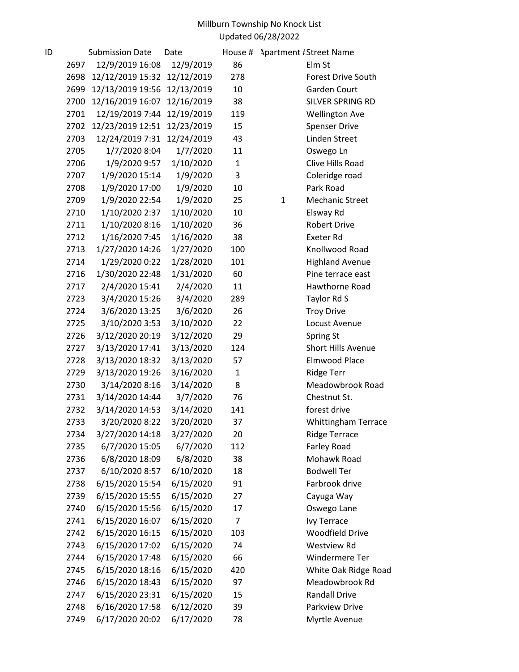| ID |      | <b>Submission Date</b> | Date       | House #        |              | <b>Apartment #Street Name</b> |
|----|------|------------------------|------------|----------------|--------------|-------------------------------|
|    | 2697 | 12/9/2019 16:08        | 12/9/2019  | 86             |              | Elm St                        |
|    | 2698 | 12/12/2019 15:32       | 12/12/2019 | 278            |              | <b>Forest Drive South</b>     |
|    | 2699 | 12/13/2019 19:56       | 12/13/2019 | 10             |              | Garden Court                  |
|    | 2700 | 12/16/2019 16:07       | 12/16/2019 | 38             |              | SILVER SPRING RD              |
|    | 2701 | 12/19/2019 7:44        | 12/19/2019 | 119            |              | <b>Wellington Ave</b>         |
|    | 2702 | 12/23/2019 12:51       | 12/23/2019 | 15             |              | <b>Spenser Drive</b>          |
|    | 2703 | 12/24/2019 7:31        | 12/24/2019 | 43             |              | Linden Street                 |
|    | 2705 | 1/7/2020 8:04          | 1/7/2020   | 11             |              | Oswego Ln                     |
|    | 2706 | 1/9/2020 9:57          | 1/10/2020  | $\mathbf{1}$   |              | Clive Hills Road              |
|    | 2707 | 1/9/2020 15:14         | 1/9/2020   | 3              |              | Coleridge road                |
|    | 2708 | 1/9/2020 17:00         | 1/9/2020   | 10             |              | Park Road                     |
|    | 2709 | 1/9/2020 22:54         | 1/9/2020   | 25             | $\mathbf{1}$ | <b>Mechanic Street</b>        |
|    | 2710 | 1/10/2020 2:37         | 1/10/2020  | 10             |              | Elsway Rd                     |
|    | 2711 | 1/10/2020 8:16         | 1/10/2020  | 36             |              | <b>Robert Drive</b>           |
|    | 2712 | 1/16/2020 7:45         | 1/16/2020  | 38             |              | <b>Exeter Rd</b>              |
|    | 2713 | 1/27/2020 14:26        | 1/27/2020  | 100            |              | Knollwood Road                |
|    | 2714 | 1/29/2020 0:22         | 1/28/2020  | 101            |              | <b>Highland Avenue</b>        |
|    | 2716 | 1/30/2020 22:48        | 1/31/2020  | 60             |              | Pine terrace east             |
|    | 2717 | 2/4/2020 15:41         | 2/4/2020   | 11             |              | Hawthorne Road                |
|    | 2723 | 3/4/2020 15:26         | 3/4/2020   | 289            |              | Taylor Rd S                   |
|    | 2724 | 3/6/2020 13:25         | 3/6/2020   | 26             |              | <b>Troy Drive</b>             |
|    | 2725 | 3/10/2020 3:53         | 3/10/2020  | 22             |              | Locust Avenue                 |
|    | 2726 | 3/12/2020 20:19        | 3/12/2020  | 29             |              | Spring St                     |
|    | 2727 | 3/13/2020 17:41        | 3/13/2020  | 124            |              | <b>Short Hills Avenue</b>     |
|    | 2728 | 3/13/2020 18:32        | 3/13/2020  | 57             |              | <b>Elmwood Place</b>          |
|    | 2729 | 3/13/2020 19:26        | 3/16/2020  | $\mathbf{1}$   |              | <b>Ridge Terr</b>             |
|    | 2730 | 3/14/2020 8:16         | 3/14/2020  | 8              |              | Meadowbrook Road              |
|    | 2731 | 3/14/2020 14:44        | 3/7/2020   | 76             |              | Chestnut St.                  |
|    | 2732 | 3/14/2020 14:53        | 3/14/2020  | 141            |              | forest drive                  |
|    | 2733 | 3/20/2020 8:22         | 3/20/2020  | 37             |              | <b>Whittingham Terrace</b>    |
|    | 2734 | 3/27/2020 14:18        | 3/27/2020  | 20             |              | Ridge Terrace                 |
|    | 2735 | 6/7/2020 15:05         | 6/7/2020   | 112            |              | Farley Road                   |
|    | 2736 | 6/8/2020 18:09         | 6/8/2020   | 38             |              | Mohawk Road                   |
|    | 2737 | 6/10/2020 8:57         | 6/10/2020  | 18             |              | <b>Bodwell Ter</b>            |
|    | 2738 | 6/15/2020 15:54        | 6/15/2020  | 91             |              | Farbrook drive                |
|    | 2739 | 6/15/2020 15:55        | 6/15/2020  | 27             |              | Cayuga Way                    |
|    | 2740 | 6/15/2020 15:56        | 6/15/2020  | 17             |              | Oswego Lane                   |
|    | 2741 | 6/15/2020 16:07        | 6/15/2020  | $\overline{7}$ |              | <b>Ivy Terrace</b>            |
|    | 2742 | 6/15/2020 16:15        | 6/15/2020  | 103            |              | <b>Woodfield Drive</b>        |
|    | 2743 | 6/15/2020 17:02        | 6/15/2020  | 74             |              | <b>Westview Rd</b>            |
|    | 2744 | 6/15/2020 17:48        | 6/15/2020  | 66             |              | Windermere Ter                |
|    | 2745 | 6/15/2020 18:16        | 6/15/2020  | 420            |              | White Oak Ridge Road          |
|    | 2746 | 6/15/2020 18:43        | 6/15/2020  | 97             |              | Meadowbrook Rd                |
|    | 2747 | 6/15/2020 23:31        | 6/15/2020  | 15             |              | <b>Randall Drive</b>          |
|    | 2748 | 6/16/2020 17:58        | 6/12/2020  | 39             |              | Parkview Drive                |
|    | 2749 | 6/17/2020 20:02        | 6/17/2020  | 78             |              | Myrtle Avenue                 |
|    |      |                        |            |                |              |                               |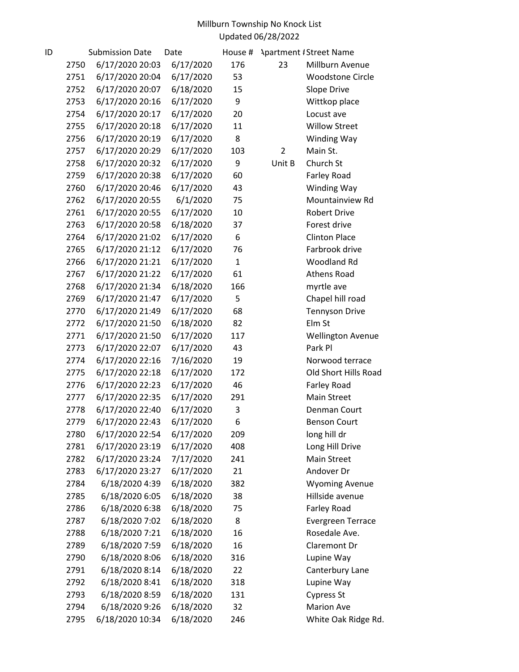| ID |      | <b>Submission Date</b> | Date      | House #      |                | <b>Apartment #Street Name</b> |
|----|------|------------------------|-----------|--------------|----------------|-------------------------------|
|    | 2750 | 6/17/2020 20:03        | 6/17/2020 | 176          | 23             | Millburn Avenue               |
|    | 2751 | 6/17/2020 20:04        | 6/17/2020 | 53           |                | <b>Woodstone Circle</b>       |
|    | 2752 | 6/17/2020 20:07        | 6/18/2020 | 15           |                | Slope Drive                   |
|    | 2753 | 6/17/2020 20:16        | 6/17/2020 | 9            |                | Wittkop place                 |
|    | 2754 | 6/17/2020 20:17        | 6/17/2020 | 20           |                | Locust ave                    |
|    | 2755 | 6/17/2020 20:18        | 6/17/2020 | 11           |                | <b>Willow Street</b>          |
|    | 2756 | 6/17/2020 20:19        | 6/17/2020 | 8            |                | Winding Way                   |
|    | 2757 | 6/17/2020 20:29        | 6/17/2020 | 103          | $\overline{2}$ | Main St.                      |
|    | 2758 | 6/17/2020 20:32        | 6/17/2020 | 9            | Unit B         | Church St                     |
|    | 2759 | 6/17/2020 20:38        | 6/17/2020 | 60           |                | Farley Road                   |
|    | 2760 | 6/17/2020 20:46        | 6/17/2020 | 43           |                | Winding Way                   |
|    | 2762 | 6/17/2020 20:55        | 6/1/2020  | 75           |                | Mountainview Rd               |
|    | 2761 | 6/17/2020 20:55        | 6/17/2020 | 10           |                | <b>Robert Drive</b>           |
|    | 2763 | 6/17/2020 20:58        | 6/18/2020 | 37           |                | Forest drive                  |
|    | 2764 | 6/17/2020 21:02        | 6/17/2020 | 6            |                | <b>Clinton Place</b>          |
|    | 2765 | 6/17/2020 21:12        | 6/17/2020 | 76           |                | Farbrook drive                |
|    | 2766 | 6/17/2020 21:21        | 6/17/2020 | $\mathbf{1}$ |                | <b>Woodland Rd</b>            |
|    | 2767 | 6/17/2020 21:22        | 6/17/2020 | 61           |                | <b>Athens Road</b>            |
|    | 2768 | 6/17/2020 21:34        | 6/18/2020 | 166          |                | myrtle ave                    |
|    | 2769 | 6/17/2020 21:47        | 6/17/2020 | 5            |                | Chapel hill road              |
|    | 2770 | 6/17/2020 21:49        | 6/17/2020 | 68           |                | <b>Tennyson Drive</b>         |
|    | 2772 | 6/17/2020 21:50        | 6/18/2020 | 82           |                | Elm St                        |
|    | 2771 | 6/17/2020 21:50        | 6/17/2020 | 117          |                | <b>Wellington Avenue</b>      |
|    | 2773 | 6/17/2020 22:07        | 6/17/2020 | 43           |                | Park Pl                       |
|    | 2774 | 6/17/2020 22:16        | 7/16/2020 | 19           |                | Norwood terrace               |
|    | 2775 | 6/17/2020 22:18        | 6/17/2020 | 172          |                | Old Short Hills Road          |
|    | 2776 | 6/17/2020 22:23        | 6/17/2020 | 46           |                | Farley Road                   |
|    | 2777 | 6/17/2020 22:35        | 6/17/2020 | 291          |                | <b>Main Street</b>            |
|    | 2778 | 6/17/2020 22:40        | 6/17/2020 | 3            |                | Denman Court                  |
|    | 2779 | 6/17/2020 22:43        | 6/17/2020 | 6            |                | <b>Benson Court</b>           |
|    | 2780 | 6/17/2020 22:54        | 6/17/2020 | 209          |                | long hill dr                  |
|    | 2781 | 6/17/2020 23:19        | 6/17/2020 | 408          |                | Long Hill Drive               |
|    | 2782 | 6/17/2020 23:24        | 7/17/2020 | 241          |                | Main Street                   |
|    | 2783 | 6/17/2020 23:27        | 6/17/2020 | 21           |                | Andover Dr                    |
|    | 2784 | 6/18/2020 4:39         | 6/18/2020 | 382          |                | <b>Wyoming Avenue</b>         |
|    | 2785 | 6/18/2020 6:05         | 6/18/2020 | 38           |                | Hillside avenue               |
|    | 2786 | 6/18/2020 6:38         | 6/18/2020 | 75           |                | Farley Road                   |
|    | 2787 | 6/18/2020 7:02         | 6/18/2020 | 8            |                | <b>Evergreen Terrace</b>      |
|    | 2788 | 6/18/2020 7:21         | 6/18/2020 | 16           |                | Rosedale Ave.                 |
|    | 2789 | 6/18/2020 7:59         | 6/18/2020 | 16           |                | Claremont Dr                  |
|    | 2790 | 6/18/2020 8:06         | 6/18/2020 | 316          |                | Lupine Way                    |
|    | 2791 | 6/18/2020 8:14         | 6/18/2020 | 22           |                | Canterbury Lane               |
|    | 2792 | 6/18/2020 8:41         | 6/18/2020 | 318          |                | Lupine Way                    |
|    | 2793 | 6/18/2020 8:59         | 6/18/2020 | 131          |                | <b>Cypress St</b>             |
|    | 2794 | 6/18/2020 9:26         | 6/18/2020 | 32           |                | <b>Marion Ave</b>             |
|    | 2795 | 6/18/2020 10:34        | 6/18/2020 | 246          |                | White Oak Ridge Rd.           |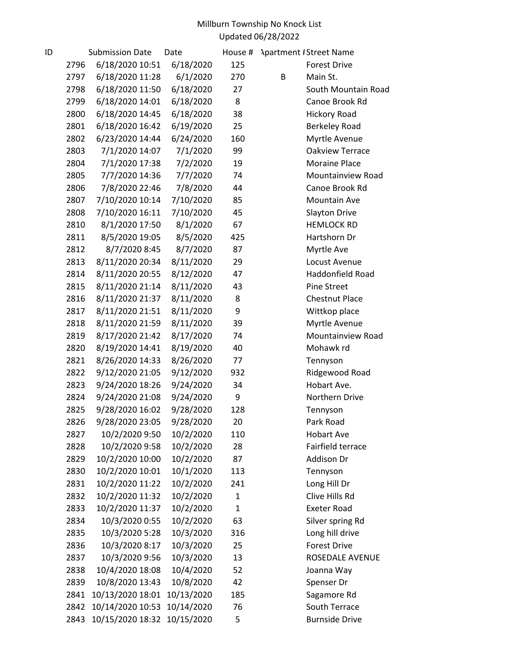| ID |      | <b>Submission Date</b> | Date       | House #      | <b>Apartment # Street Name</b> |  |
|----|------|------------------------|------------|--------------|--------------------------------|--|
|    | 2796 | 6/18/2020 10:51        | 6/18/2020  | 125          | <b>Forest Drive</b>            |  |
|    | 2797 | 6/18/2020 11:28        | 6/1/2020   | 270          | B<br>Main St.                  |  |
|    | 2798 | 6/18/2020 11:50        | 6/18/2020  | 27           | South Mountain Road            |  |
|    | 2799 | 6/18/2020 14:01        | 6/18/2020  | 8            | Canoe Brook Rd                 |  |
|    | 2800 | 6/18/2020 14:45        | 6/18/2020  | 38           | <b>Hickory Road</b>            |  |
|    | 2801 | 6/18/2020 16:42        | 6/19/2020  | 25           | Berkeley Road                  |  |
|    | 2802 | 6/23/2020 14:44        | 6/24/2020  | 160          | Myrtle Avenue                  |  |
|    | 2803 | 7/1/2020 14:07         | 7/1/2020   | 99           | Oakview Terrace                |  |
|    | 2804 | 7/1/2020 17:38         | 7/2/2020   | 19           | <b>Moraine Place</b>           |  |
|    | 2805 | 7/7/2020 14:36         | 7/7/2020   | 74           | Mountainview Road              |  |
|    | 2806 | 7/8/2020 22:46         | 7/8/2020   | 44           | Canoe Brook Rd                 |  |
|    | 2807 | 7/10/2020 10:14        | 7/10/2020  | 85           | Mountain Ave                   |  |
|    | 2808 | 7/10/2020 16:11        | 7/10/2020  | 45           | Slayton Drive                  |  |
|    | 2810 | 8/1/2020 17:50         | 8/1/2020   | 67           | <b>HEMLOCK RD</b>              |  |
|    | 2811 | 8/5/2020 19:05         | 8/5/2020   | 425          | Hartshorn Dr                   |  |
|    | 2812 | 8/7/2020 8:45          | 8/7/2020   | 87           | Myrtle Ave                     |  |
|    | 2813 | 8/11/2020 20:34        | 8/11/2020  | 29           | Locust Avenue                  |  |
|    | 2814 | 8/11/2020 20:55        | 8/12/2020  | 47           | Haddonfield Road               |  |
|    | 2815 | 8/11/2020 21:14        | 8/11/2020  | 43           | <b>Pine Street</b>             |  |
|    | 2816 | 8/11/2020 21:37        | 8/11/2020  | 8            | <b>Chestnut Place</b>          |  |
|    | 2817 | 8/11/2020 21:51        | 8/11/2020  | 9            | Wittkop place                  |  |
|    | 2818 | 8/11/2020 21:59        | 8/11/2020  | 39           | Myrtle Avenue                  |  |
|    | 2819 | 8/17/2020 21:42        | 8/17/2020  | 74           | Mountainview Road              |  |
|    | 2820 | 8/19/2020 14:41        | 8/19/2020  | 40           | Mohawk rd                      |  |
|    | 2821 | 8/26/2020 14:33        | 8/26/2020  | 77           | Tennyson                       |  |
|    | 2822 | 9/12/2020 21:05        | 9/12/2020  | 932          | Ridgewood Road                 |  |
|    | 2823 | 9/24/2020 18:26        | 9/24/2020  | 34           | Hobart Ave.                    |  |
|    | 2824 | 9/24/2020 21:08        | 9/24/2020  | 9            | Northern Drive                 |  |
|    | 2825 | 9/28/2020 16:02        | 9/28/2020  | 128          | Tennyson                       |  |
|    | 2826 | 9/28/2020 23:05        | 9/28/2020  | 20           | Park Road                      |  |
|    | 2827 | 10/2/2020 9:50         | 10/2/2020  | 110          | <b>Hobart Ave</b>              |  |
|    | 2828 | 10/2/2020 9:58         | 10/2/2020  | 28           | Fairfield terrace              |  |
|    | 2829 | 10/2/2020 10:00        | 10/2/2020  | 87           | Addison Dr                     |  |
|    | 2830 | 10/2/2020 10:01        | 10/1/2020  | 113          | Tennyson                       |  |
|    | 2831 | 10/2/2020 11:22        | 10/2/2020  | 241          | Long Hill Dr                   |  |
|    | 2832 | 10/2/2020 11:32        | 10/2/2020  | $\mathbf{1}$ | Clive Hills Rd                 |  |
|    | 2833 | 10/2/2020 11:37        | 10/2/2020  | $\mathbf{1}$ | <b>Exeter Road</b>             |  |
|    | 2834 | 10/3/2020 0:55         | 10/2/2020  | 63           | Silver spring Rd               |  |
|    | 2835 | 10/3/2020 5:28         | 10/3/2020  | 316          | Long hill drive                |  |
|    | 2836 | 10/3/2020 8:17         | 10/3/2020  | 25           | <b>Forest Drive</b>            |  |
|    | 2837 | 10/3/2020 9:56         | 10/3/2020  | 13           | ROSEDALE AVENUE                |  |
|    | 2838 | 10/4/2020 18:08        | 10/4/2020  | 52           | Joanna Way                     |  |
|    | 2839 | 10/8/2020 13:43        | 10/8/2020  | 42           | Spenser Dr                     |  |
|    | 2841 | 10/13/2020 18:01       | 10/13/2020 | 185          | Sagamore Rd                    |  |
|    | 2842 | 10/14/2020 10:53       | 10/14/2020 | 76           | South Terrace                  |  |
|    | 2843 | 10/15/2020 18:32       | 10/15/2020 | 5            | <b>Burnside Drive</b>          |  |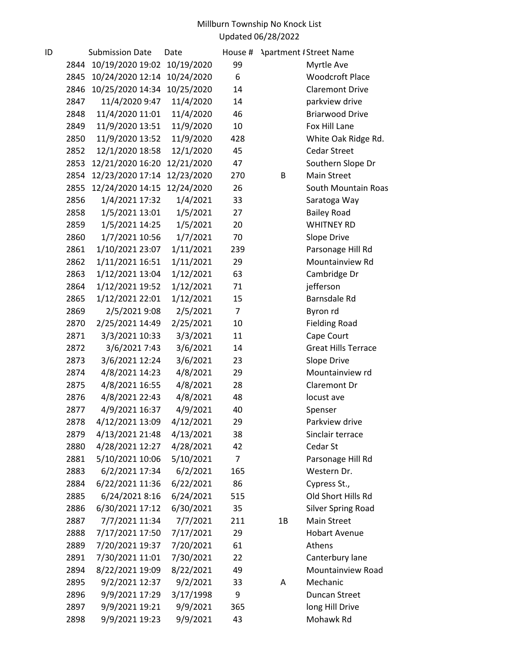| ID |              | <b>Submission Date</b>            | Date                   | House #        |    | <b>Apartment #Street Name</b>                   |
|----|--------------|-----------------------------------|------------------------|----------------|----|-------------------------------------------------|
|    | 2844         | 10/19/2020 19:02                  | 10/19/2020             | 99             |    | Myrtle Ave                                      |
|    | 2845         | 10/24/2020 12:14                  | 10/24/2020             | 6              |    | <b>Woodcroft Place</b>                          |
|    | 2846         | 10/25/2020 14:34                  | 10/25/2020             | 14             |    | <b>Claremont Drive</b>                          |
|    | 2847         | 11/4/2020 9:47                    | 11/4/2020              | 14             |    | parkview drive                                  |
|    | 2848         | 11/4/2020 11:01                   | 11/4/2020              | 46             |    | <b>Briarwood Drive</b>                          |
|    | 2849         | 11/9/2020 13:51                   | 11/9/2020              | 10             |    | Fox Hill Lane                                   |
|    | 2850         | 11/9/2020 13:52                   | 11/9/2020              | 428            |    | White Oak Ridge Rd.                             |
|    | 2852         | 12/1/2020 18:58                   | 12/1/2020              | 45             |    | <b>Cedar Street</b>                             |
|    | 2853         | 12/21/2020 16:20                  | 12/21/2020             | 47             |    | Southern Slope Dr                               |
|    | 2854         | 12/23/2020 17:14                  | 12/23/2020             | 270            | B  | <b>Main Street</b>                              |
|    | 2855         | 12/24/2020 14:15                  | 12/24/2020             | 26             |    | South Mountain Roas                             |
|    | 2856         | 1/4/2021 17:32                    | 1/4/2021               | 33             |    | Saratoga Way                                    |
|    | 2858         | 1/5/2021 13:01                    | 1/5/2021               | 27             |    | <b>Bailey Road</b>                              |
|    | 2859         | 1/5/2021 14:25                    | 1/5/2021               | 20             |    | <b>WHITNEY RD</b>                               |
|    | 2860         | 1/7/2021 10:56                    | 1/7/2021               | 70             |    | Slope Drive                                     |
|    | 2861         | 1/10/2021 23:07                   | 1/11/2021              | 239            |    | Parsonage Hill Rd                               |
|    | 2862         | 1/11/2021 16:51                   | 1/11/2021              | 29             |    | Mountainview Rd                                 |
|    | 2863         | 1/12/2021 13:04                   | 1/12/2021              | 63             |    | Cambridge Dr                                    |
|    | 2864         | 1/12/2021 19:52                   | 1/12/2021              | 71             |    | jefferson                                       |
|    | 2865         | 1/12/2021 22:01                   | 1/12/2021              | 15             |    | Barnsdale Rd                                    |
|    | 2869         | 2/5/2021 9:08                     | 2/5/2021               | $\overline{7}$ |    | Byron rd                                        |
|    | 2870         | 2/25/2021 14:49                   | 2/25/2021              | 10             |    | <b>Fielding Road</b>                            |
|    | 2871         | 3/3/2021 10:33                    | 3/3/2021               | 11             |    | Cape Court                                      |
|    | 2872         | 3/6/2021 7:43                     | 3/6/2021               | 14             |    | <b>Great Hills Terrace</b>                      |
|    | 2873         | 3/6/2021 12:24                    | 3/6/2021               | 23             |    | Slope Drive                                     |
|    | 2874         | 4/8/2021 14:23                    | 4/8/2021               | 29             |    | Mountainview rd                                 |
|    | 2875         | 4/8/2021 16:55                    | 4/8/2021               | 28             |    | Claremont Dr                                    |
|    | 2876         | 4/8/2021 22:43                    | 4/8/2021               | 48             |    | locust ave                                      |
|    | 2877         | 4/9/2021 16:37                    | 4/9/2021               | 40             |    | Spenser                                         |
|    | 2878         | 4/12/2021 13:09                   | 4/12/2021              | 29             |    | Parkview drive                                  |
|    | 2879         | 4/13/2021 21:48                   | 4/13/2021              | 38             |    | Sinclair terrace                                |
|    | 2880         | 4/28/2021 12:27                   | 4/28/2021              | 42             |    | Cedar St                                        |
|    | 2881         | 5/10/2021 10:06                   | 5/10/2021              | 7              |    | Parsonage Hill Rd                               |
|    | 2883         | 6/2/2021 17:34                    | 6/2/2021               | 165            |    | Western Dr.                                     |
|    | 2884         | 6/22/2021 11:36                   | 6/22/2021              | 86             |    | Cypress St.,                                    |
|    | 2885<br>2886 | 6/24/2021 8:16<br>6/30/2021 17:12 | 6/24/2021<br>6/30/2021 | 515<br>35      |    | Old Short Hills Rd<br><b>Silver Spring Road</b> |
|    | 2887         | 7/7/2021 11:34                    | 7/7/2021               | 211            | 1B | <b>Main Street</b>                              |
|    | 2888         | 7/17/2021 17:50                   | 7/17/2021              | 29             |    | <b>Hobart Avenue</b>                            |
|    | 2889         | 7/20/2021 19:37                   | 7/20/2021              | 61             |    | Athens                                          |
|    | 2891         | 7/30/2021 11:01                   | 7/30/2021              | 22             |    | Canterbury lane                                 |
|    | 2894         | 8/22/2021 19:09                   | 8/22/2021              | 49             |    | Mountainview Road                               |
|    | 2895         | 9/2/2021 12:37                    | 9/2/2021               | 33             | A  | Mechanic                                        |
|    | 2896         | 9/9/2021 17:29                    | 3/17/1998              | 9              |    | Duncan Street                                   |
|    | 2897         | 9/9/2021 19:21                    | 9/9/2021               | 365            |    | long Hill Drive                                 |
|    | 2898         | 9/9/2021 19:23                    | 9/9/2021               | 43             |    | Mohawk Rd                                       |
|    |              |                                   |                        |                |    |                                                 |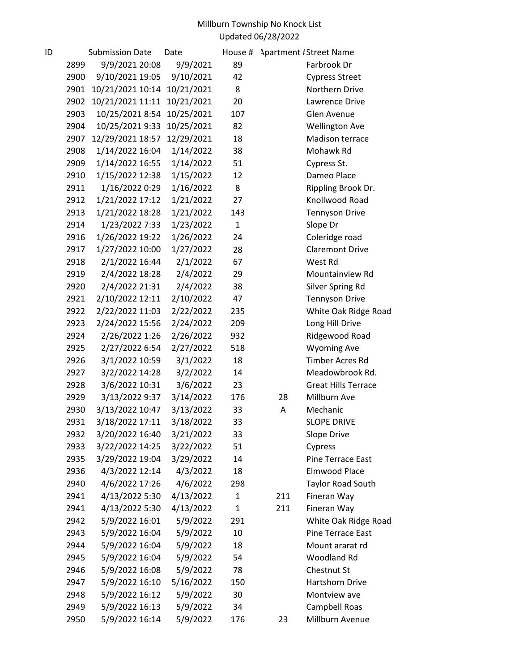| ID |      | <b>Submission Date</b> | Date       | House #      |     | <b>Apartment / Street Name</b> |
|----|------|------------------------|------------|--------------|-----|--------------------------------|
|    | 2899 | 9/9/2021 20:08         | 9/9/2021   | 89           |     | Farbrook Dr                    |
|    | 2900 | 9/10/2021 19:05        | 9/10/2021  | 42           |     | <b>Cypress Street</b>          |
|    | 2901 | 10/21/2021 10:14       | 10/21/2021 | 8            |     | Northern Drive                 |
|    | 2902 | 10/21/2021 11:11       | 10/21/2021 | 20           |     | Lawrence Drive                 |
|    | 2903 | 10/25/2021 8:54        | 10/25/2021 | 107          |     | Glen Avenue                    |
|    | 2904 | 10/25/2021 9:33        | 10/25/2021 | 82           |     | <b>Wellington Ave</b>          |
|    | 2907 | 12/29/2021 18:57       | 12/29/2021 | 18           |     | Madison terrace                |
|    | 2908 | 1/14/2022 16:04        | 1/14/2022  | 38           |     | Mohawk Rd                      |
|    | 2909 | 1/14/2022 16:55        | 1/14/2022  | 51           |     | Cypress St.                    |
|    | 2910 | 1/15/2022 12:38        | 1/15/2022  | 12           |     | Dameo Place                    |
|    | 2911 | 1/16/2022 0:29         | 1/16/2022  | 8            |     | Rippling Brook Dr.             |
|    | 2912 | 1/21/2022 17:12        | 1/21/2022  | 27           |     | Knollwood Road                 |
|    | 2913 | 1/21/2022 18:28        | 1/21/2022  | 143          |     | <b>Tennyson Drive</b>          |
|    | 2914 | 1/23/2022 7:33         | 1/23/2022  | $\mathbf{1}$ |     | Slope Dr                       |
|    | 2916 | 1/26/2022 19:22        | 1/26/2022  | 24           |     | Coleridge road                 |
|    | 2917 | 1/27/2022 10:00        | 1/27/2022  | 28           |     | <b>Claremont Drive</b>         |
|    | 2918 | 2/1/2022 16:44         | 2/1/2022   | 67           |     | West Rd                        |
|    | 2919 | 2/4/2022 18:28         | 2/4/2022   | 29           |     | Mountainview Rd                |
|    | 2920 | 2/4/2022 21:31         | 2/4/2022   | 38           |     | Silver Spring Rd               |
|    | 2921 | 2/10/2022 12:11        | 2/10/2022  | 47           |     | <b>Tennyson Drive</b>          |
|    | 2922 | 2/22/2022 11:03        | 2/22/2022  | 235          |     | White Oak Ridge Road           |
|    | 2923 | 2/24/2022 15:56        | 2/24/2022  | 209          |     | Long Hill Drive                |
|    | 2924 | 2/26/2022 1:26         | 2/26/2022  | 932          |     | Ridgewood Road                 |
|    | 2925 | 2/27/2022 6:54         | 2/27/2022  | 518          |     | <b>Wyoming Ave</b>             |
|    | 2926 | 3/1/2022 10:59         | 3/1/2022   | 18           |     | <b>Timber Acres Rd</b>         |
|    | 2927 | 3/2/2022 14:28         | 3/2/2022   | 14           |     | Meadowbrook Rd.                |
|    | 2928 | 3/6/2022 10:31         | 3/6/2022   | 23           |     | <b>Great Hills Terrace</b>     |
|    | 2929 | 3/13/2022 9:37         | 3/14/2022  | 176          | 28  | Millburn Ave                   |
|    | 2930 | 3/13/2022 10:47        | 3/13/2022  | 33           | A   | Mechanic                       |
|    | 2931 | 3/18/2022 17:11        | 3/18/2022  | 33           |     | <b>SLOPE DRIVE</b>             |
|    | 2932 | 3/20/2022 16:40        | 3/21/2022  | 33           |     | Slope Drive                    |
|    | 2933 | 3/22/2022 14:25        | 3/22/2022  | 51           |     | Cypress                        |
|    | 2935 | 3/29/2022 19:04        | 3/29/2022  | 14           |     | Pine Terrace East              |
|    | 2936 | 4/3/2022 12:14         | 4/3/2022   | 18           |     | <b>Elmwood Place</b>           |
|    | 2940 | 4/6/2022 17:26         | 4/6/2022   | 298          |     | <b>Taylor Road South</b>       |
|    | 2941 | 4/13/2022 5:30         | 4/13/2022  | 1            | 211 | Fineran Way                    |
|    | 2941 | 4/13/2022 5:30         | 4/13/2022  | $\mathbf{1}$ | 211 | Fineran Way                    |
|    | 2942 | 5/9/2022 16:01         | 5/9/2022   | 291          |     | White Oak Ridge Road           |
|    | 2943 | 5/9/2022 16:04         | 5/9/2022   | 10           |     | Pine Terrace East              |
|    | 2944 | 5/9/2022 16:04         | 5/9/2022   | 18           |     | Mount ararat rd                |
|    | 2945 | 5/9/2022 16:04         | 5/9/2022   | 54           |     | Woodland Rd                    |
|    | 2946 | 5/9/2022 16:08         | 5/9/2022   | 78           |     | Chestnut St                    |
|    | 2947 | 5/9/2022 16:10         | 5/16/2022  | 150          |     | Hartshorn Drive                |
|    | 2948 | 5/9/2022 16:12         | 5/9/2022   | 30           |     | Montview ave                   |
|    | 2949 | 5/9/2022 16:13         | 5/9/2022   | 34           |     | Campbell Roas                  |
|    | 2950 | 5/9/2022 16:14         | 5/9/2022   | 176          | 23  | Millburn Avenue                |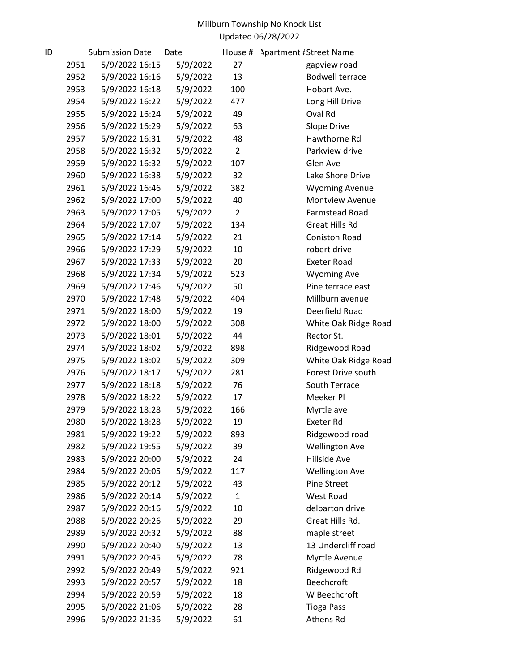| ID |      | <b>Submission Date</b> | Date     | House #        | <b>Apartment #Street Name</b> |
|----|------|------------------------|----------|----------------|-------------------------------|
|    | 2951 | 5/9/2022 16:15         | 5/9/2022 | 27             | gapview road                  |
|    | 2952 | 5/9/2022 16:16         | 5/9/2022 | 13             | <b>Bodwell terrace</b>        |
|    | 2953 | 5/9/2022 16:18         | 5/9/2022 | 100            | Hobart Ave.                   |
|    | 2954 | 5/9/2022 16:22         | 5/9/2022 | 477            | Long Hill Drive               |
|    | 2955 | 5/9/2022 16:24         | 5/9/2022 | 49             | Oval Rd                       |
|    | 2956 | 5/9/2022 16:29         | 5/9/2022 | 63             | Slope Drive                   |
|    | 2957 | 5/9/2022 16:31         | 5/9/2022 | 48             | Hawthorne Rd                  |
|    | 2958 | 5/9/2022 16:32         | 5/9/2022 | $\overline{2}$ | Parkview drive                |
|    | 2959 | 5/9/2022 16:32         | 5/9/2022 | 107            | Glen Ave                      |
|    | 2960 | 5/9/2022 16:38         | 5/9/2022 | 32             | Lake Shore Drive              |
|    | 2961 | 5/9/2022 16:46         | 5/9/2022 | 382            | <b>Wyoming Avenue</b>         |
|    | 2962 | 5/9/2022 17:00         | 5/9/2022 | 40             | <b>Montview Avenue</b>        |
|    | 2963 | 5/9/2022 17:05         | 5/9/2022 | $\overline{2}$ | Farmstead Road                |
|    | 2964 | 5/9/2022 17:07         | 5/9/2022 | 134            | <b>Great Hills Rd</b>         |
|    | 2965 | 5/9/2022 17:14         | 5/9/2022 | 21             | <b>Coniston Road</b>          |
|    | 2966 | 5/9/2022 17:29         | 5/9/2022 | 10             | robert drive                  |
|    | 2967 | 5/9/2022 17:33         | 5/9/2022 | 20             | <b>Exeter Road</b>            |
|    | 2968 | 5/9/2022 17:34         | 5/9/2022 | 523            | <b>Wyoming Ave</b>            |
|    | 2969 | 5/9/2022 17:46         | 5/9/2022 | 50             | Pine terrace east             |
|    | 2970 | 5/9/2022 17:48         | 5/9/2022 | 404            | Millburn avenue               |
|    | 2971 | 5/9/2022 18:00         | 5/9/2022 | 19             | Deerfield Road                |
|    | 2972 | 5/9/2022 18:00         | 5/9/2022 | 308            | White Oak Ridge Road          |
|    | 2973 | 5/9/2022 18:01         | 5/9/2022 | 44             | Rector St.                    |
|    | 2974 | 5/9/2022 18:02         | 5/9/2022 | 898            | Ridgewood Road                |
|    | 2975 | 5/9/2022 18:02         | 5/9/2022 | 309            | White Oak Ridge Road          |
|    | 2976 | 5/9/2022 18:17         | 5/9/2022 | 281            | Forest Drive south            |
|    | 2977 | 5/9/2022 18:18         | 5/9/2022 | 76             | South Terrace                 |
|    | 2978 | 5/9/2022 18:22         | 5/9/2022 | 17             | Meeker Pl                     |
|    | 2979 | 5/9/2022 18:28         | 5/9/2022 | 166            | Myrtle ave                    |
|    | 2980 | 5/9/2022 18:28         | 5/9/2022 | 19             | Exeter Rd                     |
|    | 2981 | 5/9/2022 19:22         | 5/9/2022 | 893            | Ridgewood road                |
|    | 2982 | 5/9/2022 19:55         | 5/9/2022 | 39             | <b>Wellington Ave</b>         |
|    | 2983 | 5/9/2022 20:00         | 5/9/2022 | 24             | Hillside Ave                  |
|    | 2984 | 5/9/2022 20:05         | 5/9/2022 | 117            | <b>Wellington Ave</b>         |
|    | 2985 | 5/9/2022 20:12         | 5/9/2022 | 43             | <b>Pine Street</b>            |
|    | 2986 | 5/9/2022 20:14         | 5/9/2022 | $\mathbf{1}$   | West Road                     |
|    | 2987 | 5/9/2022 20:16         | 5/9/2022 | 10             | delbarton drive               |
|    | 2988 | 5/9/2022 20:26         | 5/9/2022 | 29             | Great Hills Rd.               |
|    | 2989 | 5/9/2022 20:32         | 5/9/2022 | 88             | maple street                  |
|    | 2990 | 5/9/2022 20:40         | 5/9/2022 | 13             | 13 Undercliff road            |
|    | 2991 | 5/9/2022 20:45         | 5/9/2022 | 78             | Myrtle Avenue                 |
|    | 2992 | 5/9/2022 20:49         | 5/9/2022 | 921            | Ridgewood Rd                  |
|    | 2993 | 5/9/2022 20:57         | 5/9/2022 | 18             | Beechcroft                    |
|    | 2994 | 5/9/2022 20:59         | 5/9/2022 | 18             | W Beechcroft                  |
|    | 2995 | 5/9/2022 21:06         | 5/9/2022 | 28             | <b>Tioga Pass</b>             |
|    | 2996 | 5/9/2022 21:36         | 5/9/2022 | 61             | Athens Rd                     |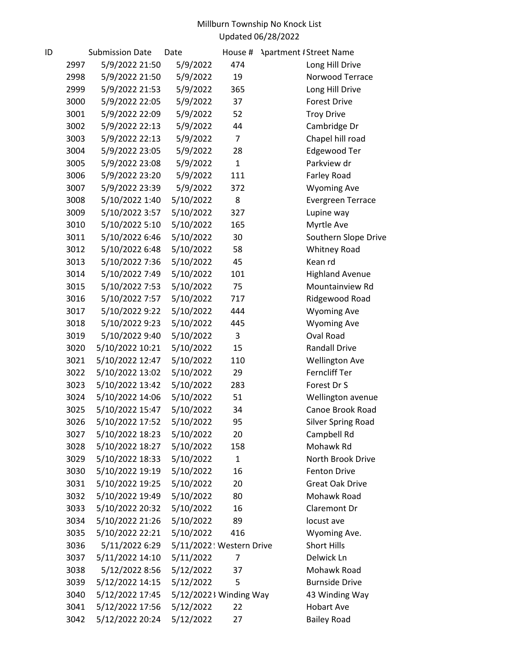| ID |      | <b>Submission Date</b> | Date                    | House #        | <b>Apartment #Street Name</b> |
|----|------|------------------------|-------------------------|----------------|-------------------------------|
|    | 2997 | 5/9/2022 21:50         | 5/9/2022                | 474            | Long Hill Drive               |
|    | 2998 | 5/9/2022 21:50         | 5/9/2022                | 19             | Norwood Terrace               |
|    | 2999 | 5/9/2022 21:53         | 5/9/2022                | 365            | Long Hill Drive               |
|    | 3000 | 5/9/2022 22:05         | 5/9/2022                | 37             | <b>Forest Drive</b>           |
|    | 3001 | 5/9/2022 22:09         | 5/9/2022                | 52             | <b>Troy Drive</b>             |
|    | 3002 | 5/9/2022 22:13         | 5/9/2022                | 44             | Cambridge Dr                  |
|    | 3003 | 5/9/2022 22:13         | 5/9/2022                | $\overline{7}$ | Chapel hill road              |
|    | 3004 | 5/9/2022 23:05         | 5/9/2022                | 28             | Edgewood Ter                  |
|    | 3005 | 5/9/2022 23:08         | 5/9/2022                | $\mathbf{1}$   | Parkview dr                   |
|    | 3006 | 5/9/2022 23:20         | 5/9/2022                | 111            | Farley Road                   |
|    | 3007 | 5/9/2022 23:39         | 5/9/2022                | 372            | <b>Wyoming Ave</b>            |
|    | 3008 | 5/10/2022 1:40         | 5/10/2022               | 8              | <b>Evergreen Terrace</b>      |
|    | 3009 | 5/10/2022 3:57         | 5/10/2022               | 327            | Lupine way                    |
|    | 3010 | 5/10/2022 5:10         | 5/10/2022               | 165            | Myrtle Ave                    |
|    | 3011 | 5/10/2022 6:46         | 5/10/2022               | 30             | Southern Slope Drive          |
|    | 3012 | 5/10/2022 6:48         | 5/10/2022               | 58             | <b>Whitney Road</b>           |
|    | 3013 | 5/10/2022 7:36         | 5/10/2022               | 45             | Kean rd                       |
|    | 3014 | 5/10/2022 7:49         | 5/10/2022               | 101            | <b>Highland Avenue</b>        |
|    | 3015 | 5/10/2022 7:53         | 5/10/2022               | 75             | Mountainview Rd               |
|    | 3016 | 5/10/2022 7:57         | 5/10/2022               | 717            | Ridgewood Road                |
|    | 3017 | 5/10/2022 9:22         | 5/10/2022               | 444            | <b>Wyoming Ave</b>            |
|    | 3018 | 5/10/2022 9:23         | 5/10/2022               | 445            | <b>Wyoming Ave</b>            |
|    | 3019 | 5/10/2022 9:40         | 5/10/2022               | 3              | Oval Road                     |
|    | 3020 | 5/10/2022 10:21        | 5/10/2022               | 15             | <b>Randall Drive</b>          |
|    | 3021 | 5/10/2022 12:47        | 5/10/2022               | 110            | <b>Wellington Ave</b>         |
|    | 3022 | 5/10/2022 13:02        | 5/10/2022               | 29             | Ferncliff Ter                 |
|    | 3023 | 5/10/2022 13:42        | 5/10/2022               | 283            | Forest Dr S                   |
|    | 3024 | 5/10/2022 14:06        | 5/10/2022               | 51             | Wellington avenue             |
|    | 3025 | 5/10/2022 15:47        | 5/10/2022               | 34             | Canoe Brook Road              |
|    | 3026 | 5/10/2022 17:52        | 5/10/2022               | 95             | <b>Silver Spring Road</b>     |
|    | 3027 | 5/10/2022 18:23        | 5/10/2022               | 20             | Campbell Rd                   |
|    | 3028 | 5/10/2022 18:27        | 5/10/2022               | 158            | Mohawk Rd                     |
|    | 3029 | 5/10/2022 18:33        | 5/10/2022               | $\mathbf{1}$   | North Brook Drive             |
|    | 3030 | 5/10/2022 19:19        | 5/10/2022               | 16             | <b>Fenton Drive</b>           |
|    | 3031 | 5/10/2022 19:25        | 5/10/2022               | 20             | <b>Great Oak Drive</b>        |
|    | 3032 | 5/10/2022 19:49        | 5/10/2022               | 80             | Mohawk Road                   |
|    | 3033 | 5/10/2022 20:32        | 5/10/2022               | 16             | Claremont Dr                  |
|    | 3034 | 5/10/2022 21:26        | 5/10/2022               | 89             | locust ave                    |
|    | 3035 | 5/10/2022 22:21        | 5/10/2022               | 416            | Wyoming Ave.                  |
|    | 3036 | 5/11/2022 6:29         | 5/11/2022 Western Drive |                | Short Hills                   |
|    | 3037 | 5/11/2022 14:10        | 5/11/2022               | 7              | Delwick Ln                    |
|    | 3038 | 5/12/2022 8:56         | 5/12/2022               | 37             | Mohawk Road                   |
|    | 3039 | 5/12/2022 14:15        | 5/12/2022               | 5              | <b>Burnside Drive</b>         |
|    | 3040 | 5/12/2022 17:45        | 5/12/2022 Winding Way   |                | 43 Winding Way                |
|    | 3041 | 5/12/2022 17:56        | 5/12/2022               | 22             | <b>Hobart Ave</b>             |
|    | 3042 | 5/12/2022 20:24        | 5/12/2022               | 27             | <b>Bailey Road</b>            |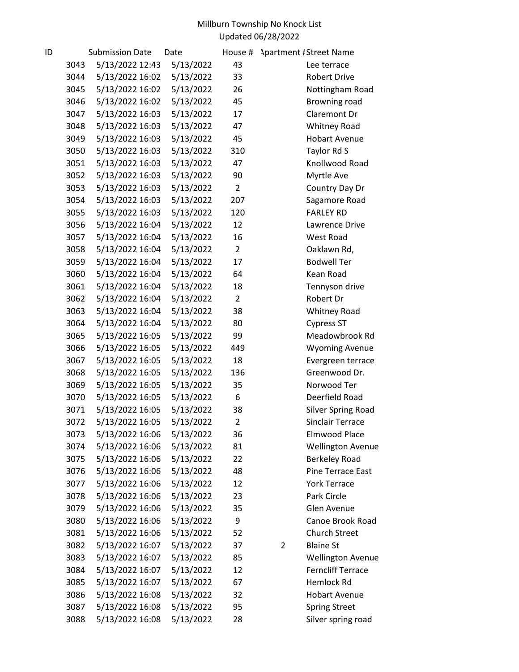| ID |      | <b>Submission Date</b> | Date      | House #        | <b>Apartment #Street Name</b>      |
|----|------|------------------------|-----------|----------------|------------------------------------|
|    | 3043 | 5/13/2022 12:43        | 5/13/2022 | 43             | Lee terrace                        |
|    | 3044 | 5/13/2022 16:02        | 5/13/2022 | 33             | <b>Robert Drive</b>                |
|    | 3045 | 5/13/2022 16:02        | 5/13/2022 | 26             | Nottingham Road                    |
|    | 3046 | 5/13/2022 16:02        | 5/13/2022 | 45             | Browning road                      |
|    | 3047 | 5/13/2022 16:03        | 5/13/2022 | 17             | Claremont Dr                       |
|    | 3048 | 5/13/2022 16:03        | 5/13/2022 | 47             | Whitney Road                       |
|    | 3049 | 5/13/2022 16:03        | 5/13/2022 | 45             | <b>Hobart Avenue</b>               |
|    | 3050 | 5/13/2022 16:03        | 5/13/2022 | 310            | Taylor Rd S                        |
|    | 3051 | 5/13/2022 16:03        | 5/13/2022 | 47             | Knollwood Road                     |
|    | 3052 | 5/13/2022 16:03        | 5/13/2022 | 90             | Myrtle Ave                         |
|    | 3053 | 5/13/2022 16:03        | 5/13/2022 | $\overline{2}$ | Country Day Dr                     |
|    | 3054 | 5/13/2022 16:03        | 5/13/2022 | 207            | Sagamore Road                      |
|    | 3055 | 5/13/2022 16:03        | 5/13/2022 | 120            | <b>FARLEY RD</b>                   |
|    | 3056 | 5/13/2022 16:04        | 5/13/2022 | 12             | Lawrence Drive                     |
|    | 3057 | 5/13/2022 16:04        | 5/13/2022 | 16             | West Road                          |
|    | 3058 | 5/13/2022 16:04        | 5/13/2022 | $\overline{2}$ | Oaklawn Rd,                        |
|    | 3059 | 5/13/2022 16:04        | 5/13/2022 | 17             | <b>Bodwell Ter</b>                 |
|    | 3060 | 5/13/2022 16:04        | 5/13/2022 | 64             | Kean Road                          |
|    | 3061 | 5/13/2022 16:04        | 5/13/2022 | 18             | Tennyson drive                     |
|    | 3062 | 5/13/2022 16:04        | 5/13/2022 | $\overline{2}$ | Robert Dr                          |
|    | 3063 | 5/13/2022 16:04        | 5/13/2022 | 38             | <b>Whitney Road</b>                |
|    | 3064 | 5/13/2022 16:04        | 5/13/2022 | 80             | <b>Cypress ST</b>                  |
|    | 3065 | 5/13/2022 16:05        | 5/13/2022 | 99             | Meadowbrook Rd                     |
|    | 3066 | 5/13/2022 16:05        | 5/13/2022 | 449            | <b>Wyoming Avenue</b>              |
|    | 3067 | 5/13/2022 16:05        | 5/13/2022 | 18             | Evergreen terrace                  |
|    | 3068 | 5/13/2022 16:05        | 5/13/2022 | 136            | Greenwood Dr.                      |
|    | 3069 | 5/13/2022 16:05        | 5/13/2022 | 35             | Norwood Ter                        |
|    | 3070 | 5/13/2022 16:05        | 5/13/2022 | 6              | Deerfield Road                     |
|    | 3071 | 5/13/2022 16:05        | 5/13/2022 | 38             | <b>Silver Spring Road</b>          |
|    | 3072 | 5/13/2022 16:05        | 5/13/2022 | 2              | Sinclair Terrace                   |
|    | 3073 | 5/13/2022 16:06        | 5/13/2022 | 36             | Elmwood Place                      |
|    | 3074 | 5/13/2022 16:06        | 5/13/2022 | 81             | <b>Wellington Avenue</b>           |
|    | 3075 | 5/13/2022 16:06        | 5/13/2022 | 22             | <b>Berkeley Road</b>               |
|    | 3076 | 5/13/2022 16:06        | 5/13/2022 | 48             | Pine Terrace East                  |
|    | 3077 | 5/13/2022 16:06        | 5/13/2022 | 12             | <b>York Terrace</b>                |
|    | 3078 | 5/13/2022 16:06        | 5/13/2022 | 23             | Park Circle                        |
|    | 3079 | 5/13/2022 16:06        | 5/13/2022 | 35             | Glen Avenue                        |
|    | 3080 | 5/13/2022 16:06        | 5/13/2022 | 9              | Canoe Brook Road                   |
|    | 3081 | 5/13/2022 16:06        | 5/13/2022 | 52             | <b>Church Street</b>               |
|    | 3082 | 5/13/2022 16:07        | 5/13/2022 | 37             | <b>Blaine St</b><br>$\overline{2}$ |
|    | 3083 | 5/13/2022 16:07        | 5/13/2022 | 85             | <b>Wellington Avenue</b>           |
|    | 3084 | 5/13/2022 16:07        | 5/13/2022 | 12             | <b>Ferncliff Terrace</b>           |
|    | 3085 | 5/13/2022 16:07        | 5/13/2022 | 67             | Hemlock Rd                         |
|    | 3086 | 5/13/2022 16:08        | 5/13/2022 | 32             | <b>Hobart Avenue</b>               |
|    | 3087 | 5/13/2022 16:08        | 5/13/2022 | 95             | <b>Spring Street</b>               |
|    | 3088 | 5/13/2022 16:08        | 5/13/2022 | 28             | Silver spring road                 |
|    |      |                        |           |                |                                    |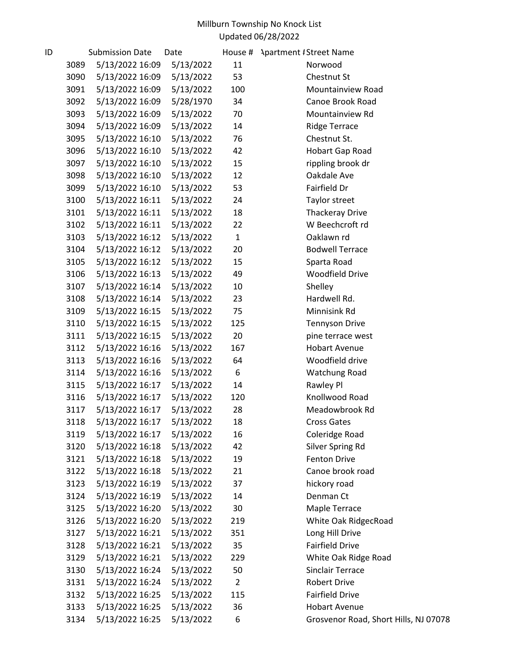| ID |      | <b>Submission Date</b> | Date      |                | House # Apartment / Street Name       |
|----|------|------------------------|-----------|----------------|---------------------------------------|
|    | 3089 | 5/13/2022 16:09        | 5/13/2022 | 11             | Norwood                               |
|    | 3090 | 5/13/2022 16:09        | 5/13/2022 | 53             | Chestnut St                           |
|    | 3091 | 5/13/2022 16:09        | 5/13/2022 | 100            | Mountainview Road                     |
|    | 3092 | 5/13/2022 16:09        | 5/28/1970 | 34             | Canoe Brook Road                      |
|    | 3093 | 5/13/2022 16:09        | 5/13/2022 | 70             | Mountainview Rd                       |
|    | 3094 | 5/13/2022 16:09        | 5/13/2022 | 14             | <b>Ridge Terrace</b>                  |
|    | 3095 | 5/13/2022 16:10        | 5/13/2022 | 76             | Chestnut St.                          |
|    | 3096 | 5/13/2022 16:10        | 5/13/2022 | 42             | Hobart Gap Road                       |
|    | 3097 | 5/13/2022 16:10        | 5/13/2022 | 15             | rippling brook dr                     |
|    | 3098 | 5/13/2022 16:10        | 5/13/2022 | 12             | Oakdale Ave                           |
|    | 3099 | 5/13/2022 16:10        | 5/13/2022 | 53             | Fairfield Dr                          |
|    | 3100 | 5/13/2022 16:11        | 5/13/2022 | 24             | Taylor street                         |
|    | 3101 | 5/13/2022 16:11        | 5/13/2022 | 18             | <b>Thackeray Drive</b>                |
|    | 3102 | 5/13/2022 16:11        | 5/13/2022 | 22             | W Beechcroft rd                       |
|    | 3103 | 5/13/2022 16:12        | 5/13/2022 | $\mathbf{1}$   | Oaklawn rd                            |
|    | 3104 | 5/13/2022 16:12        | 5/13/2022 | 20             | <b>Bodwell Terrace</b>                |
|    | 3105 | 5/13/2022 16:12        | 5/13/2022 | 15             | Sparta Road                           |
|    | 3106 | 5/13/2022 16:13        | 5/13/2022 | 49             | <b>Woodfield Drive</b>                |
|    | 3107 | 5/13/2022 16:14        | 5/13/2022 | 10             | Shelley                               |
|    | 3108 | 5/13/2022 16:14        | 5/13/2022 | 23             | Hardwell Rd.                          |
|    | 3109 | 5/13/2022 16:15        | 5/13/2022 | 75             | Minnisink Rd                          |
|    | 3110 | 5/13/2022 16:15        | 5/13/2022 | 125            | <b>Tennyson Drive</b>                 |
|    | 3111 | 5/13/2022 16:15        | 5/13/2022 | 20             | pine terrace west                     |
|    | 3112 | 5/13/2022 16:16        | 5/13/2022 | 167            | <b>Hobart Avenue</b>                  |
|    | 3113 | 5/13/2022 16:16        | 5/13/2022 | 64             | Woodfield drive                       |
|    | 3114 | 5/13/2022 16:16        | 5/13/2022 | 6              | Watchung Road                         |
|    | 3115 | 5/13/2022 16:17        | 5/13/2022 | 14             | Rawley Pl                             |
|    | 3116 | 5/13/2022 16:17        | 5/13/2022 | 120            | Knollwood Road                        |
|    | 3117 | 5/13/2022 16:17        | 5/13/2022 | 28             | Meadowbrook Rd                        |
|    | 3118 | 5/13/2022 16:17        | 5/13/2022 | 18             | Cross Gates                           |
|    | 3119 | 5/13/2022 16:17        | 5/13/2022 | 16             | Coleridge Road                        |
|    | 3120 | 5/13/2022 16:18        | 5/13/2022 | 42             | Silver Spring Rd                      |
|    | 3121 | 5/13/2022 16:18        | 5/13/2022 | 19             | Fenton Drive                          |
|    | 3122 | 5/13/2022 16:18        | 5/13/2022 | 21             | Canoe brook road                      |
|    | 3123 | 5/13/2022 16:19        | 5/13/2022 | 37             | hickory road                          |
|    | 3124 | 5/13/2022 16:19        | 5/13/2022 | 14             | Denman Ct                             |
|    | 3125 | 5/13/2022 16:20        | 5/13/2022 | 30             | Maple Terrace                         |
|    | 3126 | 5/13/2022 16:20        | 5/13/2022 | 219            | White Oak RidgecRoad                  |
|    | 3127 | 5/13/2022 16:21        | 5/13/2022 | 351            | Long Hill Drive                       |
|    | 3128 | 5/13/2022 16:21        | 5/13/2022 | 35             | <b>Fairfield Drive</b>                |
|    | 3129 | 5/13/2022 16:21        | 5/13/2022 | 229            | White Oak Ridge Road                  |
|    | 3130 | 5/13/2022 16:24        | 5/13/2022 | 50             | <b>Sinclair Terrace</b>               |
|    | 3131 | 5/13/2022 16:24        | 5/13/2022 | $\overline{2}$ | <b>Robert Drive</b>                   |
|    | 3132 | 5/13/2022 16:25        | 5/13/2022 | 115            | Fairfield Drive                       |
|    | 3133 | 5/13/2022 16:25        | 5/13/2022 | 36             | <b>Hobart Avenue</b>                  |
|    | 3134 | 5/13/2022 16:25        | 5/13/2022 | 6              | Grosvenor Road, Short Hills, NJ 07078 |
|    |      |                        |           |                |                                       |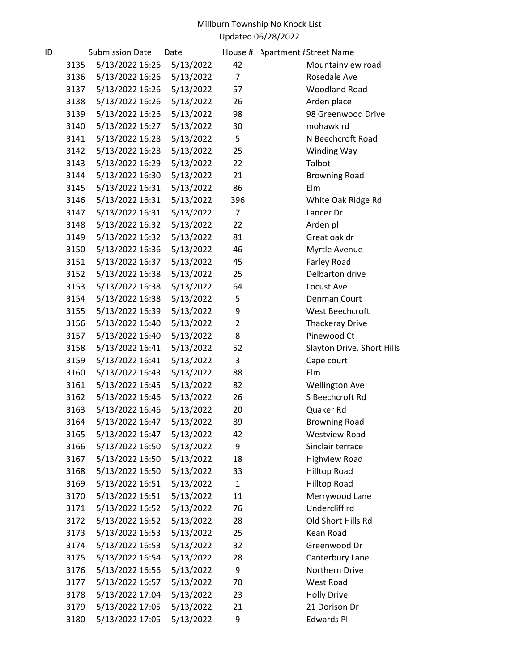| ID |      | <b>Submission Date</b> | Date      | House #        | <b>Apartment #Street Name</b> |
|----|------|------------------------|-----------|----------------|-------------------------------|
|    | 3135 | 5/13/2022 16:26        | 5/13/2022 | 42             | Mountainview road             |
|    | 3136 | 5/13/2022 16:26        | 5/13/2022 | $\overline{7}$ | Rosedale Ave                  |
|    | 3137 | 5/13/2022 16:26        | 5/13/2022 | 57             | <b>Woodland Road</b>          |
|    | 3138 | 5/13/2022 16:26        | 5/13/2022 | 26             | Arden place                   |
|    | 3139 | 5/13/2022 16:26        | 5/13/2022 | 98             | 98 Greenwood Drive            |
|    | 3140 | 5/13/2022 16:27        | 5/13/2022 | 30             | mohawk rd                     |
|    | 3141 | 5/13/2022 16:28        | 5/13/2022 | 5              | N Beechcroft Road             |
|    | 3142 | 5/13/2022 16:28        | 5/13/2022 | 25             | Winding Way                   |
|    | 3143 | 5/13/2022 16:29        | 5/13/2022 | 22             | Talbot                        |
|    | 3144 | 5/13/2022 16:30        | 5/13/2022 | 21             | <b>Browning Road</b>          |
|    | 3145 | 5/13/2022 16:31        | 5/13/2022 | 86             | Elm                           |
|    | 3146 | 5/13/2022 16:31        | 5/13/2022 | 396            | White Oak Ridge Rd            |
|    | 3147 | 5/13/2022 16:31        | 5/13/2022 | $\overline{7}$ | Lancer Dr                     |
|    | 3148 | 5/13/2022 16:32        | 5/13/2022 | 22             | Arden pl                      |
|    | 3149 | 5/13/2022 16:32        | 5/13/2022 | 81             | Great oak dr                  |
|    | 3150 | 5/13/2022 16:36        | 5/13/2022 | 46             | Myrtle Avenue                 |
|    | 3151 | 5/13/2022 16:37        | 5/13/2022 | 45             | Farley Road                   |
|    | 3152 | 5/13/2022 16:38        | 5/13/2022 | 25             | Delbarton drive               |
|    | 3153 | 5/13/2022 16:38        | 5/13/2022 | 64             | Locust Ave                    |
|    | 3154 | 5/13/2022 16:38        | 5/13/2022 | 5              | Denman Court                  |
|    | 3155 | 5/13/2022 16:39        | 5/13/2022 | 9              | West Beechcroft               |
|    | 3156 | 5/13/2022 16:40        | 5/13/2022 | $\overline{2}$ | <b>Thackeray Drive</b>        |
|    | 3157 | 5/13/2022 16:40        | 5/13/2022 | 8              | Pinewood Ct                   |
|    | 3158 | 5/13/2022 16:41        | 5/13/2022 | 52             | Slayton Drive. Short Hills    |
|    | 3159 | 5/13/2022 16:41        | 5/13/2022 | 3              | Cape court                    |
|    | 3160 | 5/13/2022 16:43        | 5/13/2022 | 88             | Elm                           |
|    | 3161 | 5/13/2022 16:45        | 5/13/2022 | 82             | <b>Wellington Ave</b>         |
|    | 3162 | 5/13/2022 16:46        | 5/13/2022 | 26             | S Beechcroft Rd               |
|    | 3163 | 5/13/2022 16:46        | 5/13/2022 | 20             | Quaker Rd                     |
|    | 3164 | 5/13/2022 16:47        | 5/13/2022 | 89             | <b>Browning Road</b>          |
|    | 3165 | 5/13/2022 16:47        | 5/13/2022 | 42             | <b>Westview Road</b>          |
|    | 3166 | 5/13/2022 16:50        | 5/13/2022 | 9              | Sinclair terrace              |
|    | 3167 | 5/13/2022 16:50        | 5/13/2022 | 18             | <b>Highview Road</b>          |
|    | 3168 | 5/13/2022 16:50        | 5/13/2022 | 33             | <b>Hilltop Road</b>           |
|    | 3169 | 5/13/2022 16:51        | 5/13/2022 | $\mathbf{1}$   | <b>Hilltop Road</b>           |
|    | 3170 | 5/13/2022 16:51        | 5/13/2022 | 11             | Merrywood Lane                |
|    | 3171 | 5/13/2022 16:52        | 5/13/2022 | 76             | Undercliff rd                 |
|    | 3172 | 5/13/2022 16:52        | 5/13/2022 | 28             | Old Short Hills Rd            |
|    | 3173 | 5/13/2022 16:53        | 5/13/2022 | 25             | Kean Road                     |
|    | 3174 | 5/13/2022 16:53        | 5/13/2022 | 32             | Greenwood Dr                  |
|    | 3175 | 5/13/2022 16:54        | 5/13/2022 | 28             | Canterbury Lane               |
|    | 3176 | 5/13/2022 16:56        | 5/13/2022 | 9              | Northern Drive                |
|    | 3177 | 5/13/2022 16:57        | 5/13/2022 | 70             | West Road                     |
|    | 3178 | 5/13/2022 17:04        | 5/13/2022 | 23             | <b>Holly Drive</b>            |
|    | 3179 | 5/13/2022 17:05        | 5/13/2022 | 21             | 21 Dorison Dr                 |
|    | 3180 | 5/13/2022 17:05        | 5/13/2022 | 9              | <b>Edwards Pl</b>             |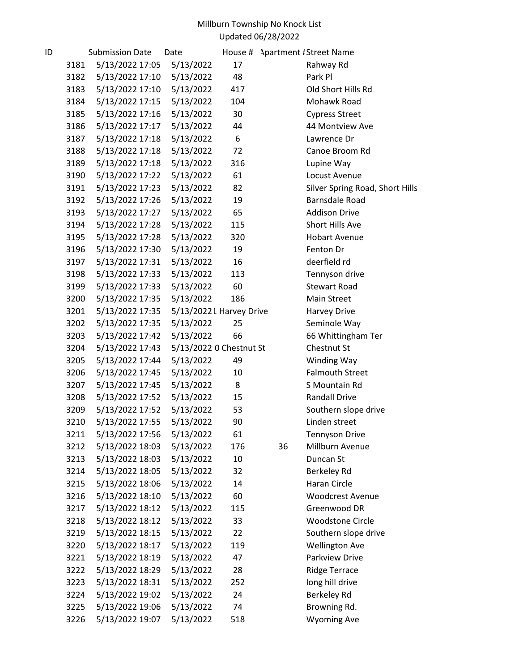| ID |      | <b>Submission Date</b> | Date      | House #                  |    | <b>Apartment #Street Name</b>   |
|----|------|------------------------|-----------|--------------------------|----|---------------------------------|
|    | 3181 | 5/13/2022 17:05        | 5/13/2022 | 17                       |    | Rahway Rd                       |
|    | 3182 | 5/13/2022 17:10        | 5/13/2022 | 48                       |    | Park Pl                         |
|    | 3183 | 5/13/2022 17:10        | 5/13/2022 | 417                      |    | Old Short Hills Rd              |
|    | 3184 | 5/13/2022 17:15        | 5/13/2022 | 104                      |    | Mohawk Road                     |
|    | 3185 | 5/13/2022 17:16        | 5/13/2022 | 30                       |    | <b>Cypress Street</b>           |
|    | 3186 | 5/13/2022 17:17        | 5/13/2022 | 44                       |    | 44 Montview Ave                 |
|    | 3187 | 5/13/2022 17:18        | 5/13/2022 | 6                        |    | Lawrence Dr                     |
|    | 3188 | 5/13/2022 17:18        | 5/13/2022 | 72                       |    | Canoe Broom Rd                  |
|    | 3189 | 5/13/2022 17:18        | 5/13/2022 | 316                      |    | Lupine Way                      |
|    | 3190 | 5/13/2022 17:22        | 5/13/2022 | 61                       |    | Locust Avenue                   |
|    | 3191 | 5/13/2022 17:23        | 5/13/2022 | 82                       |    | Silver Spring Road, Short Hills |
|    | 3192 | 5/13/2022 17:26        | 5/13/2022 | 19                       |    | Barnsdale Road                  |
|    | 3193 | 5/13/2022 17:27        | 5/13/2022 | 65                       |    | <b>Addison Drive</b>            |
|    | 3194 | 5/13/2022 17:28        | 5/13/2022 | 115                      |    | Short Hills Ave                 |
|    | 3195 | 5/13/2022 17:28        | 5/13/2022 | 320                      |    | <b>Hobart Avenue</b>            |
|    | 3196 | 5/13/2022 17:30        | 5/13/2022 | 19                       |    | Fenton Dr                       |
|    | 3197 | 5/13/2022 17:31        | 5/13/2022 | 16                       |    | deerfield rd                    |
|    | 3198 | 5/13/2022 17:33        | 5/13/2022 | 113                      |    | Tennyson drive                  |
|    | 3199 | 5/13/2022 17:33        | 5/13/2022 | 60                       |    | <b>Stewart Road</b>             |
|    | 3200 | 5/13/2022 17:35        | 5/13/2022 | 186                      |    | Main Street                     |
|    | 3201 | 5/13/2022 17:35        |           | 5/13/2022 L Harvey Drive |    | Harvey Drive                    |
|    | 3202 | 5/13/2022 17:35        | 5/13/2022 | 25                       |    | Seminole Way                    |
|    | 3203 | 5/13/2022 17:42        | 5/13/2022 | 66                       |    | 66 Whittingham Ter              |
|    | 3204 | 5/13/2022 17:43        |           | 5/13/2022 0 Chestnut St  |    | Chestnut St                     |
|    | 3205 | 5/13/2022 17:44        | 5/13/2022 | 49                       |    | Winding Way                     |
|    | 3206 | 5/13/2022 17:45        | 5/13/2022 | 10                       |    | <b>Falmouth Street</b>          |
|    | 3207 | 5/13/2022 17:45        | 5/13/2022 | 8                        |    | S Mountain Rd                   |
|    | 3208 | 5/13/2022 17:52        | 5/13/2022 | 15                       |    | <b>Randall Drive</b>            |
|    | 3209 | 5/13/2022 17:52        | 5/13/2022 | 53                       |    | Southern slope drive            |
|    | 3210 | 5/13/2022 17:55        | 5/13/2022 | 90                       |    | Linden street                   |
|    | 3211 | 5/13/2022 17:56        | 5/13/2022 | 61                       |    | <b>Tennyson Drive</b>           |
|    | 3212 | 5/13/2022 18:03        | 5/13/2022 | 176                      | 36 | Millburn Avenue                 |
|    | 3213 | 5/13/2022 18:03        | 5/13/2022 | 10                       |    | Duncan St                       |
|    | 3214 | 5/13/2022 18:05        | 5/13/2022 | 32                       |    | Berkeley Rd                     |
|    | 3215 | 5/13/2022 18:06        | 5/13/2022 | 14                       |    | Haran Circle                    |
|    | 3216 | 5/13/2022 18:10        | 5/13/2022 | 60                       |    | <b>Woodcrest Avenue</b>         |
|    | 3217 | 5/13/2022 18:12        | 5/13/2022 | 115                      |    | Greenwood DR                    |
|    | 3218 | 5/13/2022 18:12        | 5/13/2022 | 33                       |    | <b>Woodstone Circle</b>         |
|    | 3219 | 5/13/2022 18:15        | 5/13/2022 | 22                       |    | Southern slope drive            |
|    | 3220 | 5/13/2022 18:17        | 5/13/2022 | 119                      |    | <b>Wellington Ave</b>           |
|    | 3221 | 5/13/2022 18:19        | 5/13/2022 | 47                       |    | Parkview Drive                  |
|    | 3222 | 5/13/2022 18:29        | 5/13/2022 | 28                       |    | <b>Ridge Terrace</b>            |
|    | 3223 | 5/13/2022 18:31        | 5/13/2022 | 252                      |    | long hill drive                 |
|    | 3224 | 5/13/2022 19:02        | 5/13/2022 | 24                       |    | Berkeley Rd                     |
|    | 3225 | 5/13/2022 19:06        | 5/13/2022 | 74                       |    | Browning Rd.                    |
|    | 3226 | 5/13/2022 19:07        | 5/13/2022 | 518                      |    | <b>Wyoming Ave</b>              |
|    |      |                        |           |                          |    |                                 |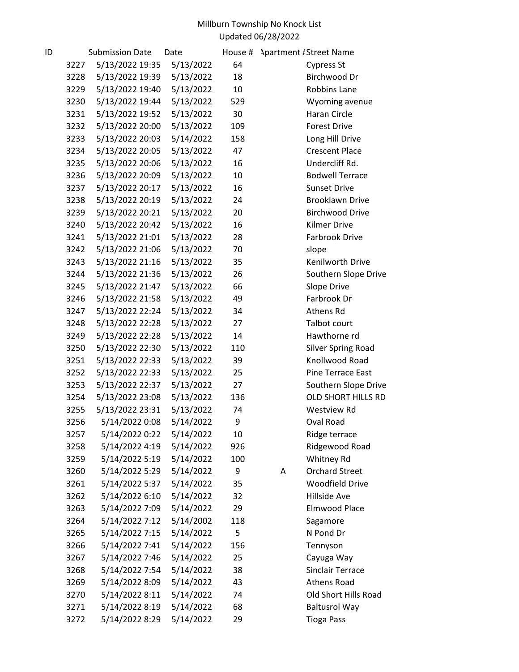| ID |      | <b>Submission Date</b> | Date      | House # | <b>Apartment / Street Name</b> |
|----|------|------------------------|-----------|---------|--------------------------------|
|    | 3227 | 5/13/2022 19:35        | 5/13/2022 | 64      | <b>Cypress St</b>              |
|    | 3228 | 5/13/2022 19:39        | 5/13/2022 | 18      | Birchwood Dr                   |
|    | 3229 | 5/13/2022 19:40        | 5/13/2022 | 10      | <b>Robbins Lane</b>            |
|    | 3230 | 5/13/2022 19:44        | 5/13/2022 | 529     | Wyoming avenue                 |
|    | 3231 | 5/13/2022 19:52        | 5/13/2022 | 30      | Haran Circle                   |
|    | 3232 | 5/13/2022 20:00        | 5/13/2022 | 109     | <b>Forest Drive</b>            |
|    | 3233 | 5/13/2022 20:03        | 5/14/2022 | 158     | Long Hill Drive                |
|    | 3234 | 5/13/2022 20:05        | 5/13/2022 | 47      | <b>Crescent Place</b>          |
|    | 3235 | 5/13/2022 20:06        | 5/13/2022 | 16      | Undercliff Rd.                 |
|    | 3236 | 5/13/2022 20:09        | 5/13/2022 | 10      | <b>Bodwell Terrace</b>         |
|    | 3237 | 5/13/2022 20:17        | 5/13/2022 | 16      | <b>Sunset Drive</b>            |
|    | 3238 | 5/13/2022 20:19        | 5/13/2022 | 24      | <b>Brooklawn Drive</b>         |
|    | 3239 | 5/13/2022 20:21        | 5/13/2022 | 20      | <b>Birchwood Drive</b>         |
|    | 3240 | 5/13/2022 20:42        | 5/13/2022 | 16      | <b>Kilmer Drive</b>            |
|    | 3241 | 5/13/2022 21:01        | 5/13/2022 | 28      | <b>Farbrook Drive</b>          |
|    | 3242 | 5/13/2022 21:06        | 5/13/2022 | 70      | slope                          |
|    | 3243 | 5/13/2022 21:16        | 5/13/2022 | 35      | Kenilworth Drive               |
|    | 3244 | 5/13/2022 21:36        | 5/13/2022 | 26      | Southern Slope Drive           |
|    | 3245 | 5/13/2022 21:47        | 5/13/2022 | 66      | Slope Drive                    |
|    | 3246 | 5/13/2022 21:58        | 5/13/2022 | 49      | Farbrook Dr                    |
|    | 3247 | 5/13/2022 22:24        | 5/13/2022 | 34      | Athens Rd                      |
|    | 3248 | 5/13/2022 22:28        | 5/13/2022 | 27      | Talbot court                   |
|    | 3249 | 5/13/2022 22:28        | 5/13/2022 | 14      | Hawthorne rd                   |
|    | 3250 | 5/13/2022 22:30        | 5/13/2022 | 110     | <b>Silver Spring Road</b>      |
|    | 3251 | 5/13/2022 22:33        | 5/13/2022 | 39      | Knollwood Road                 |
|    | 3252 | 5/13/2022 22:33        | 5/13/2022 | 25      | Pine Terrace East              |
|    | 3253 | 5/13/2022 22:37        | 5/13/2022 | 27      | Southern Slope Drive           |
|    | 3254 | 5/13/2022 23:08        | 5/13/2022 | 136     | OLD SHORT HILLS RD             |
|    | 3255 | 5/13/2022 23:31        | 5/13/2022 | 74      | <b>Westview Rd</b>             |
|    | 3256 | 5/14/2022 0:08         | 5/14/2022 | 9       | Oval Road                      |
|    | 3257 | 5/14/2022 0:22         | 5/14/2022 | 10      | Ridge terrace                  |
|    | 3258 | 5/14/2022 4:19         | 5/14/2022 | 926     | Ridgewood Road                 |
|    | 3259 | 5/14/2022 5:19         | 5/14/2022 | 100     | Whitney Rd                     |
|    | 3260 | 5/14/2022 5:29         | 5/14/2022 | 9       | <b>Orchard Street</b><br>Α     |
|    | 3261 | 5/14/2022 5:37         | 5/14/2022 | 35      | <b>Woodfield Drive</b>         |
|    | 3262 | 5/14/2022 6:10         | 5/14/2022 | 32      | <b>Hillside Ave</b>            |
|    | 3263 | 5/14/2022 7:09         | 5/14/2022 | 29      | <b>Elmwood Place</b>           |
|    | 3264 | 5/14/2022 7:12         | 5/14/2002 | 118     | Sagamore                       |
|    | 3265 | 5/14/2022 7:15         | 5/14/2022 | 5       | N Pond Dr                      |
|    | 3266 | 5/14/2022 7:41         | 5/14/2022 | 156     | Tennyson                       |
|    | 3267 | 5/14/2022 7:46         | 5/14/2022 | 25      | Cayuga Way                     |
|    | 3268 | 5/14/2022 7:54         | 5/14/2022 | 38      | <b>Sinclair Terrace</b>        |
|    | 3269 | 5/14/2022 8:09         | 5/14/2022 | 43      | <b>Athens Road</b>             |
|    | 3270 | 5/14/2022 8:11         | 5/14/2022 | 74      | Old Short Hills Road           |
|    | 3271 | 5/14/2022 8:19         | 5/14/2022 | 68      | <b>Baltusrol Way</b>           |
|    | 3272 | 5/14/2022 8:29         | 5/14/2022 | 29      | <b>Tioga Pass</b>              |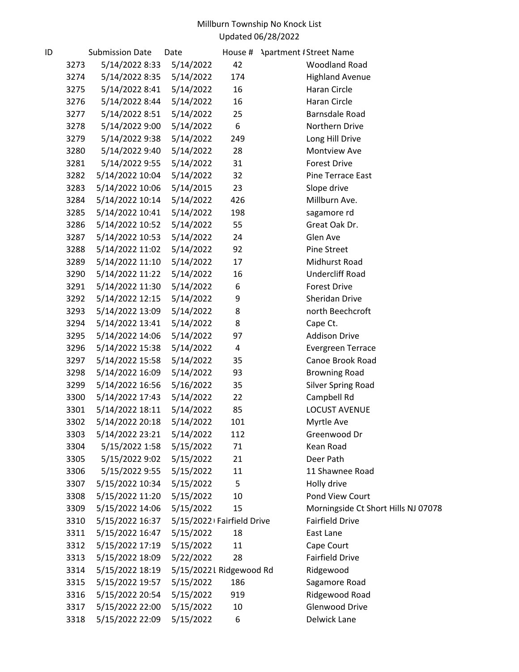| ID |      | <b>Submission Date</b> | Date                      | House # | <b>Apartment #Street Name</b>       |
|----|------|------------------------|---------------------------|---------|-------------------------------------|
|    | 3273 | 5/14/2022 8:33         | 5/14/2022                 | 42      | <b>Woodland Road</b>                |
|    | 3274 | 5/14/2022 8:35         | 5/14/2022                 | 174     | <b>Highland Avenue</b>              |
|    | 3275 | 5/14/2022 8:41         | 5/14/2022                 | 16      | Haran Circle                        |
|    | 3276 | 5/14/2022 8:44         | 5/14/2022                 | 16      | Haran Circle                        |
|    | 3277 | 5/14/2022 8:51         | 5/14/2022                 | 25      | <b>Barnsdale Road</b>               |
|    | 3278 | 5/14/2022 9:00         | 5/14/2022                 | 6       | Northern Drive                      |
|    | 3279 | 5/14/2022 9:38         | 5/14/2022                 | 249     | Long Hill Drive                     |
|    | 3280 | 5/14/2022 9:40         | 5/14/2022                 | 28      | Montview Ave                        |
|    | 3281 | 5/14/2022 9:55         | 5/14/2022                 | 31      | <b>Forest Drive</b>                 |
|    | 3282 | 5/14/2022 10:04        | 5/14/2022                 | 32      | Pine Terrace East                   |
|    | 3283 | 5/14/2022 10:06        | 5/14/2015                 | 23      | Slope drive                         |
|    | 3284 | 5/14/2022 10:14        | 5/14/2022                 | 426     | Millburn Ave.                       |
|    | 3285 | 5/14/2022 10:41        | 5/14/2022                 | 198     | sagamore rd                         |
|    | 3286 | 5/14/2022 10:52        | 5/14/2022                 | 55      | Great Oak Dr.                       |
|    | 3287 | 5/14/2022 10:53        | 5/14/2022                 | 24      | Glen Ave                            |
|    | 3288 | 5/14/2022 11:02        | 5/14/2022                 | 92      | <b>Pine Street</b>                  |
|    | 3289 | 5/14/2022 11:10        | 5/14/2022                 | 17      | Midhurst Road                       |
|    | 3290 | 5/14/2022 11:22        | 5/14/2022                 | 16      | <b>Undercliff Road</b>              |
|    | 3291 | 5/14/2022 11:30        | 5/14/2022                 | 6       | <b>Forest Drive</b>                 |
|    | 3292 | 5/14/2022 12:15        | 5/14/2022                 | 9       | Sheridan Drive                      |
|    | 3293 | 5/14/2022 13:09        | 5/14/2022                 | 8       | north Beechcroft                    |
|    | 3294 | 5/14/2022 13:41        | 5/14/2022                 | 8       | Cape Ct.                            |
|    | 3295 | 5/14/2022 14:06        | 5/14/2022                 | 97      | <b>Addison Drive</b>                |
|    | 3296 | 5/14/2022 15:38        | 5/14/2022                 | 4       | <b>Evergreen Terrace</b>            |
|    | 3297 | 5/14/2022 15:58        | 5/14/2022                 | 35      | Canoe Brook Road                    |
|    | 3298 | 5/14/2022 16:09        | 5/14/2022                 | 93      | <b>Browning Road</b>                |
|    | 3299 | 5/14/2022 16:56        | 5/16/2022                 | 35      | <b>Silver Spring Road</b>           |
|    | 3300 | 5/14/2022 17:43        | 5/14/2022                 | 22      | Campbell Rd                         |
|    | 3301 | 5/14/2022 18:11        | 5/14/2022                 | 85      | <b>LOCUST AVENUE</b>                |
|    | 3302 | 5/14/2022 20:18        | 5/14/2022                 | 101     | Myrtle Ave                          |
|    | 3303 | 5/14/2022 23:21        | 5/14/2022                 | 112     | Greenwood Dr                        |
|    | 3304 | 5/15/2022 1:58         | 5/15/2022                 | 71      | Kean Road                           |
|    | 3305 | 5/15/2022 9:02         | 5/15/2022                 | 21      | Deer Path                           |
|    | 3306 | 5/15/2022 9:55         | 5/15/2022                 | 11      | 11 Shawnee Road                     |
|    | 3307 | 5/15/2022 10:34        | 5/15/2022                 | 5       | Holly drive                         |
|    | 3308 | 5/15/2022 11:20        | 5/15/2022                 | 10      | Pond View Court                     |
|    | 3309 | 5/15/2022 14:06        | 5/15/2022                 | 15      | Morningside Ct Short Hills NJ 07078 |
|    | 3310 | 5/15/2022 16:37        | 5/15/2022 Fairfield Drive |         | <b>Fairfield Drive</b>              |
|    | 3311 | 5/15/2022 16:47        | 5/15/2022                 | 18      | East Lane                           |
|    | 3312 | 5/15/2022 17:19        | 5/15/2022                 | 11      | Cape Court                          |
|    | 3313 | 5/15/2022 18:09        | 5/22/2022                 | 28      | <b>Fairfield Drive</b>              |
|    | 3314 | 5/15/2022 18:19        | 5/15/2022L Ridgewood Rd   |         | Ridgewood                           |
|    | 3315 | 5/15/2022 19:57        | 5/15/2022                 | 186     | Sagamore Road                       |
|    | 3316 | 5/15/2022 20:54        | 5/15/2022                 | 919     | Ridgewood Road                      |
|    | 3317 | 5/15/2022 22:00        | 5/15/2022                 | 10      | Glenwood Drive                      |
|    | 3318 | 5/15/2022 22:09        | 5/15/2022                 | 6       | Delwick Lane                        |